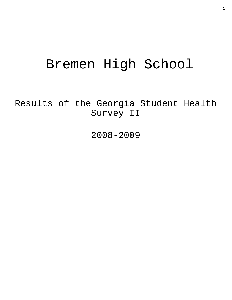# Bremen High School

Results of the Georgia Student Health Survey II

2008-2009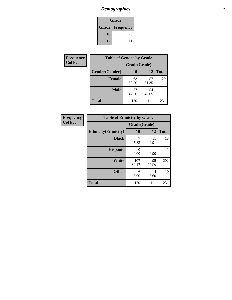# *Demographics* **2**

| Grade                  |     |  |  |  |
|------------------------|-----|--|--|--|
| <b>Grade Frequency</b> |     |  |  |  |
| 10                     | 120 |  |  |  |
| 12                     | 111 |  |  |  |

| <b>Frequency</b> | <b>Table of Gender by Grade</b> |              |             |              |  |
|------------------|---------------------------------|--------------|-------------|--------------|--|
| <b>Col Pct</b>   |                                 | Grade(Grade) |             |              |  |
|                  | Gender(Gender)                  | 10           | 12          | <b>Total</b> |  |
|                  | <b>Female</b>                   | 63<br>52.50  | 57<br>51.35 | 120          |  |
|                  | <b>Male</b>                     | 57<br>47.50  | 54<br>48.65 | 111          |  |
|                  | <b>Total</b>                    | 120          | 111         | 231          |  |

| Frequency |
|-----------|
| Col Pct   |

| <b>Table of Ethnicity by Grade</b> |              |             |              |  |  |  |
|------------------------------------|--------------|-------------|--------------|--|--|--|
|                                    | Grade(Grade) |             |              |  |  |  |
| <b>Ethnicity</b> (Ethnicity)       | 10           | 12          | <b>Total</b> |  |  |  |
| <b>Black</b>                       | 7<br>5.83    | 11<br>9.91  | 18           |  |  |  |
| <b>Hispanic</b>                    | 0<br>0.00    | 0.90        |              |  |  |  |
| White                              | 107<br>89.17 | 95<br>85.59 | 202          |  |  |  |
| <b>Other</b>                       | 6<br>5.00    | 4<br>3.60   | 10           |  |  |  |
| <b>Total</b>                       | 120          | 111         | 231          |  |  |  |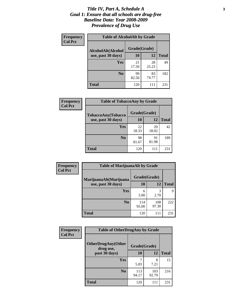#### *Title IV, Part A, Schedule A* **3** *Goal 1: Ensure that all schools are drug-free Baseline Data: Year 2008-2009 Prevalence of Drug Use*

| Frequency<br><b>Col Pct</b> | <b>Table of AlcoholAlt by Grade</b> |              |             |              |  |  |
|-----------------------------|-------------------------------------|--------------|-------------|--------------|--|--|
|                             | AlcoholAlt(Alcohol                  | Grade(Grade) |             |              |  |  |
|                             | use, past 30 days)                  | 10           | 12          | <b>Total</b> |  |  |
|                             | Yes                                 | 21<br>17.50  | 28<br>25.23 | 49           |  |  |
|                             | N <sub>0</sub>                      | 99<br>82.50  | 83<br>74.77 | 182          |  |  |
|                             | <b>Total</b>                        | 120          | 111         | 231          |  |  |

| Frequency      | <b>Table of TobaccoAny by Grade</b> |              |             |              |  |  |
|----------------|-------------------------------------|--------------|-------------|--------------|--|--|
| <b>Col Pct</b> | <b>TobaccoAny(Tobacco</b>           | Grade(Grade) |             |              |  |  |
|                | use, past 30 days)                  | 10           | 12          | <b>Total</b> |  |  |
|                | Yes                                 | 22<br>18.33  | 20<br>18.02 | 42           |  |  |
|                | N <sub>0</sub>                      | 98<br>81.67  | 91<br>81.98 | 189          |  |  |
|                | Total                               | 120          | 111         | 231          |  |  |

| Frequency<br><b>Col Pct</b> | <b>Table of MarijuanaAlt by Grade</b> |              |              |              |  |
|-----------------------------|---------------------------------------|--------------|--------------|--------------|--|
|                             | MarijuanaAlt(Marijuana                | Grade(Grade) |              |              |  |
|                             | use, past 30 days)                    | 10           | 12           | <b>Total</b> |  |
|                             | Yes                                   | 6<br>5.00    | 3<br>2.70    | Q            |  |
|                             | N <sub>0</sub>                        | 114<br>95.00 | 108<br>97.30 | 222          |  |
|                             | <b>Total</b>                          | 120          | 111          | 231          |  |

| Frequency<br><b>Col Pct</b> | <b>Table of OtherDrugAny by Grade</b>  |              |              |              |  |  |
|-----------------------------|----------------------------------------|--------------|--------------|--------------|--|--|
|                             | <b>OtherDrugAny(Other</b><br>drug use, | Grade(Grade) |              |              |  |  |
|                             | past 30 days)                          | 10           | 12           | <b>Total</b> |  |  |
|                             | <b>Yes</b>                             | 5.83         | 8<br>7.21    | 15           |  |  |
|                             | N <sub>0</sub>                         | 113<br>94.17 | 103<br>92.79 | 216          |  |  |
|                             | <b>Total</b>                           | 120          | 111          | 231          |  |  |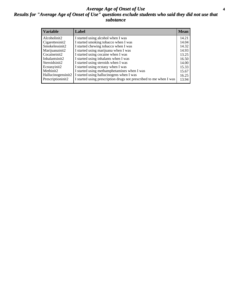#### *Average Age of Onset of Use* **4** *Results for "Average Age of Onset of Use" questions exclude students who said they did not use that substance*

| <b>Variable</b>    | Label                                                              | <b>Mean</b> |
|--------------------|--------------------------------------------------------------------|-------------|
| Alcoholinit2       | I started using alcohol when I was                                 | 14.21       |
| Cigarettesinit2    | I started smoking tobacco when I was                               | 14.04       |
| Smokelessinit2     | I started chewing tobacco when I was                               | 14.32       |
| Marijuanainit2     | I started using marijuana when I was                               | 14.93       |
| Cocaineinit2       | I started using cocaine when I was                                 | 13.25       |
| Inhalantsinit2     | I started using inhalants when I was                               | 16.50       |
| Steroidsinit2      | I started using steroids when I was                                | 14.00       |
| Ecstasyinit2       | I started using ecstasy when I was                                 | 15.33       |
| Methinit2          | I started using methamphetamines when I was                        | 15.67       |
| Hallucinogensinit2 | I started using hallucinogens when I was                           | 16.25       |
| Prescriptioninit2  | I started using prescription drugs not prescribed to me when I was | 13.94       |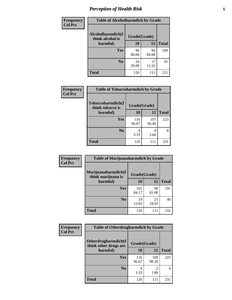# *Perception of Health Risk* **5**

| <b>Frequency</b> | <b>Table of Alcoholharmdich by Grade</b> |              |             |              |  |
|------------------|------------------------------------------|--------------|-------------|--------------|--|
| <b>Col Pct</b>   | Alcoholharmdich(I<br>think alcohol is    | Grade(Grade) |             |              |  |
|                  | harmful)                                 | 10           | 12          | <b>Total</b> |  |
|                  | <b>Yes</b>                               | 96           | 94          | 190          |  |
|                  |                                          | 80.00        | 84.68       |              |  |
|                  | N <sub>0</sub>                           | 24<br>20.00  | 17<br>15.32 | 41           |  |
|                  | <b>Total</b>                             | 120          | 111         | 231          |  |

| Frequency      | <b>Table of Tobaccoharmdich by Grade</b> |              |              |              |  |
|----------------|------------------------------------------|--------------|--------------|--------------|--|
| <b>Col Pct</b> | Tobaccoharmdich(I<br>think tobacco is    | Grade(Grade) |              |              |  |
|                | harmful)                                 | 10           | 12           | <b>Total</b> |  |
|                | <b>Yes</b>                               | 116<br>96.67 | 107<br>96.40 | 223          |  |
|                | N <sub>0</sub>                           | 4<br>3.33    | 4<br>3.60    | 8            |  |
|                | Total                                    | 120          | 111          | 231          |  |

| Frequency      | <b>Table of Marijuanaharmdich by Grade</b> |              |             |              |  |  |
|----------------|--------------------------------------------|--------------|-------------|--------------|--|--|
| <b>Col Pct</b> | Marijuanaharmdich(I<br>think marijuana is  | Grade(Grade) |             |              |  |  |
|                | harmful)                                   | 10           | 12          | <b>Total</b> |  |  |
|                | Yes                                        | 101<br>84.17 | 90<br>81.08 | 191          |  |  |
|                | N <sub>0</sub>                             | 19<br>15.83  | 21<br>18.92 | 40           |  |  |
|                | <b>Total</b>                               | 120          | 111         | 231          |  |  |

| <b>Frequency</b> | <b>Table of Otherdrugharmdich by Grade</b>   |              |                        |              |  |  |  |  |
|------------------|----------------------------------------------|--------------|------------------------|--------------|--|--|--|--|
| <b>Col Pct</b>   | Otherdrugharmdich(I<br>think other drugs are | Grade(Grade) |                        |              |  |  |  |  |
|                  | harmful)                                     | 10           | 12                     | <b>Total</b> |  |  |  |  |
|                  | <b>Yes</b>                                   | 116<br>96.67 | 109<br>98.20           | 225          |  |  |  |  |
|                  | N <sub>0</sub>                               | 3.33         | $\mathfrak{D}$<br>1.80 | 6            |  |  |  |  |
|                  | <b>Total</b>                                 | 120          | 111                    | 231          |  |  |  |  |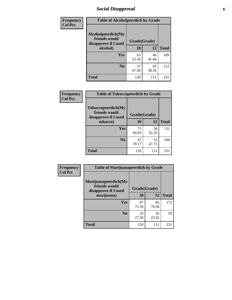# *Social Disapproval* **6**

| Frequency      | <b>Table of Alcoholpeerdich by Grade</b>                    |                    |              |     |
|----------------|-------------------------------------------------------------|--------------------|--------------|-----|
| <b>Col Pct</b> | Alcoholpeerdich(My<br>friends would<br>disapprove if I used | Grade(Grade)<br>12 |              |     |
|                | alcohol)                                                    | 10                 | <b>Total</b> |     |
|                | <b>Yes</b>                                                  | 63<br>52.50        | 46<br>41.44  | 109 |
|                | N <sub>0</sub>                                              | 57<br>47.50        | 65<br>58.56  | 122 |
|                | <b>Total</b>                                                | 120                | 111          | 231 |

| <b>Frequency</b> |
|------------------|
| <b>Col Pct</b>   |

| <b>Table of Tobaccopeerdich by Grade</b>                    |             |              |              |  |  |  |  |
|-------------------------------------------------------------|-------------|--------------|--------------|--|--|--|--|
| Tobaccopeerdich(My<br>friends would<br>disapprove if I used |             | Grade(Grade) |              |  |  |  |  |
| tobacco)                                                    | 10          | 12           | <b>Total</b> |  |  |  |  |
| Yes                                                         | 73<br>60.83 | 58<br>52.25  | 131          |  |  |  |  |
| N <sub>0</sub>                                              | 47<br>39.17 | 53<br>47.75  | 100          |  |  |  |  |
| <b>Total</b>                                                | 120         | 111          | 231          |  |  |  |  |

| Frequency      | <b>Table of Marijuanapeerdich by Grade</b>                    |              |             |              |  |  |  |  |
|----------------|---------------------------------------------------------------|--------------|-------------|--------------|--|--|--|--|
| <b>Col Pct</b> | Marijuanapeerdich(My<br>friends would<br>disapprove if I used | Grade(Grade) |             |              |  |  |  |  |
|                | marijuana)                                                    | 10           | 12          | <b>Total</b> |  |  |  |  |
|                | <b>Yes</b>                                                    | 87<br>72.50  | 85<br>76.58 | 172          |  |  |  |  |
|                | N <sub>0</sub>                                                | 33<br>27.50  | 26<br>23.42 | 59           |  |  |  |  |
|                | <b>Total</b>                                                  | 120          | 111         | 231          |  |  |  |  |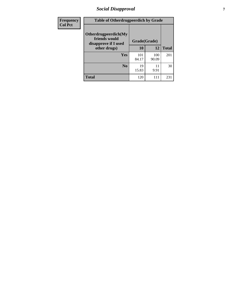# *Social Disapproval* **7**

| Frequency      | <b>Table of Otherdrugpeerdich by Grade</b>                    |              |              |              |  |  |  |  |
|----------------|---------------------------------------------------------------|--------------|--------------|--------------|--|--|--|--|
| <b>Col Pct</b> | Otherdrugpeerdich(My<br>friends would<br>disapprove if I used | Grade(Grade) |              |              |  |  |  |  |
|                | other drugs)                                                  | 10           | 12           | <b>Total</b> |  |  |  |  |
|                | Yes                                                           | 101<br>84.17 | 100<br>90.09 | 201          |  |  |  |  |
|                | N <sub>0</sub>                                                | 19<br>15.83  | 11<br>9.91   | 30           |  |  |  |  |
|                | <b>Total</b>                                                  | 120          | 111          | 231          |  |  |  |  |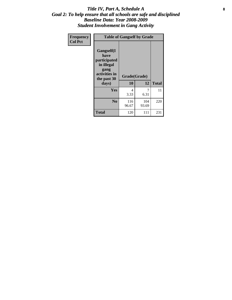#### Title IV, Part A, Schedule A **8** *Goal 2: To help ensure that all schools are safe and disciplined Baseline Data: Year 2008-2009 Student Involvement in Gang Activity*

| Frequency      | <b>Table of Gangself by Grade</b>                                                                 |                    |              |              |
|----------------|---------------------------------------------------------------------------------------------------|--------------------|--------------|--------------|
| <b>Col Pct</b> | Gangself(I<br>have<br>participated<br>in illegal<br>gang<br>activities in<br>the past 30<br>days) | Grade(Grade)<br>10 | 12           | <b>Total</b> |
|                | Yes                                                                                               | 4<br>3.33          | 7<br>6.31    | 11           |
|                | N <sub>0</sub>                                                                                    | 116<br>96.67       | 104<br>93.69 | 220          |
|                | <b>Total</b>                                                                                      | 120                | 111          | 231          |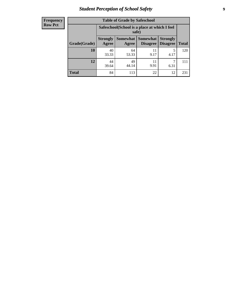# *Student Perception of School Safety* **9**

| <b>Frequency</b><br>Row Pct |
|-----------------------------|
|                             |

| <b>Table of Grade by Safeschool</b> |                          |                                                        |                      |                                    |              |  |  |
|-------------------------------------|--------------------------|--------------------------------------------------------|----------------------|------------------------------------|--------------|--|--|
|                                     |                          | Safeschool (School is a place at which I feel<br>safe) |                      |                                    |              |  |  |
| Grade(Grade)                        | <b>Strongly</b><br>Agree | Somewhat  <br>Agree                                    | Somewhat<br>Disagree | <b>Strongly</b><br><b>Disagree</b> | <b>Total</b> |  |  |
| 10                                  | 40<br>33.33              | 64<br>53.33                                            | 11<br>9.17           | 5<br>4.17                          | 120          |  |  |
| 12                                  | 44<br>39.64              | 49<br>44.14                                            | 11<br>9.91           | 6.31                               | 111          |  |  |
| <b>Total</b>                        | 84                       | 113                                                    | 22                   | 12                                 | 231          |  |  |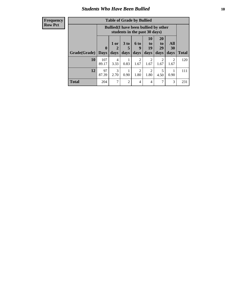### *Students Who Have Been Bullied* **10**

| <b>Frequency</b> |
|------------------|
| Row Pct          |

| <b>Table of Grade by Bullied</b> |                  |                                                                               |                     |                          |                        |                               |                        |              |
|----------------------------------|------------------|-------------------------------------------------------------------------------|---------------------|--------------------------|------------------------|-------------------------------|------------------------|--------------|
|                                  |                  | <b>Bullied</b> (I have been bullied by other<br>students in the past 30 days) |                     |                          |                        |                               |                        |              |
| Grade(Grade)                     | 0<br><b>Days</b> | 1 or<br>2<br>days                                                             | $3$ to<br>5<br>days | <b>6 to</b><br>9<br>days | 10<br>to<br>19<br>days | <b>20</b><br>to<br>29<br>days | All<br>30<br>days      | <b>Total</b> |
| 10                               | 107<br>89.17     | $\overline{4}$<br>3.33                                                        | 0.83                | $\overline{2}$<br>1.67   | 2<br>1.67              | $\overline{2}$<br>1.67        | $\mathfrak{D}$<br>1.67 | 120          |
| 12                               | 97<br>87.39      | 3<br>2.70                                                                     | 0.90                | $\overline{2}$<br>1.80   | 2<br>1.80              | 5<br>4.50                     | 0.90                   | 111          |
| <b>Total</b>                     | 204              |                                                                               | 2                   | 4                        | 4                      | ┑                             | 3                      | 231          |

 $\blacksquare$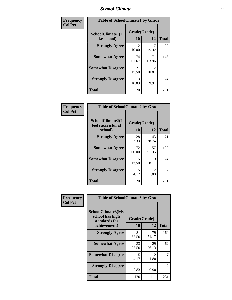### *School Climate* **11**

| Frequency      | <b>Table of SchoolClimate1 by Grade</b> |                    |             |              |  |  |  |
|----------------|-----------------------------------------|--------------------|-------------|--------------|--|--|--|
| <b>Col Pct</b> | SchoolClimate1(I<br>like school)        | Grade(Grade)<br>10 | 12          | <b>Total</b> |  |  |  |
|                | <b>Strongly Agree</b>                   | 12<br>10.00        | 17<br>15.32 | 29           |  |  |  |
|                | <b>Somewhat Agree</b>                   | 74<br>61.67        | 71<br>63.96 | 145          |  |  |  |
|                | <b>Somewhat Disagree</b>                | 21<br>17.50        | 12<br>10.81 | 33           |  |  |  |
|                | <b>Strongly Disagree</b>                | 13<br>10.83        | 11<br>9.91  | 24           |  |  |  |
|                | <b>Total</b>                            | 120                | 111         | 231          |  |  |  |

| <b>Frequency</b> |  |
|------------------|--|
| <b>Col Pct</b>   |  |

| <b>Table of SchoolClimate2 by Grade</b>           |                    |                        |              |  |  |
|---------------------------------------------------|--------------------|------------------------|--------------|--|--|
| SchoolClimate2(I<br>feel successful at<br>school) | Grade(Grade)<br>10 | 12                     | <b>Total</b> |  |  |
| <b>Strongly Agree</b>                             | 28<br>23.33        | 43<br>38.74            | 71           |  |  |
| <b>Somewhat Agree</b>                             | 72<br>60.00        | 57<br>51.35            | 129          |  |  |
| <b>Somewhat Disagree</b>                          | 15<br>12.50        | 9<br>8.11              | 24           |  |  |
| <b>Strongly Disagree</b>                          | 5<br>4.17          | $\mathfrak{D}$<br>1.80 | 7            |  |  |
| <b>Total</b>                                      | 120                | 111                    | 231          |  |  |

| <b>Table of SchoolClimate3 by Grade</b>                      |              |                          |               |  |  |
|--------------------------------------------------------------|--------------|--------------------------|---------------|--|--|
| <b>SchoolClimate3(My</b><br>school has high<br>standards for |              | Grade(Grade)<br>10<br>12 |               |  |  |
|                                                              |              |                          | <b>Total</b>  |  |  |
| <b>Strongly Agree</b>                                        | 81<br>67.50  | 79<br>71.17              | 160           |  |  |
| <b>Somewhat Agree</b>                                        | 33<br>27.50  | 29<br>26.13              | 62            |  |  |
| <b>Somewhat Disagree</b>                                     | 5<br>4.17    | $\mathfrak{D}$<br>1.80   |               |  |  |
| <b>Strongly Disagree</b>                                     | 0.83         | 0.90                     | $\mathcal{L}$ |  |  |
| Total                                                        | 120          | 111                      | 231           |  |  |
|                                                              | achievement) |                          |               |  |  |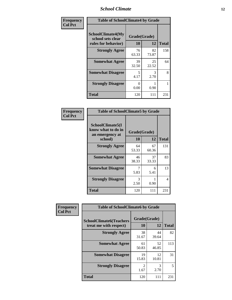### *School Climate* **12**

| Frequency      | <b>Table of SchoolClimate4 by Grade</b>                              |                    |             |              |
|----------------|----------------------------------------------------------------------|--------------------|-------------|--------------|
| <b>Col Pct</b> | <b>SchoolClimate4(My</b><br>school sets clear<br>rules for behavior) | Grade(Grade)<br>10 | 12          | <b>Total</b> |
|                | <b>Strongly Agree</b>                                                | 76<br>63.33        | 82<br>73.87 | 158          |
|                | <b>Somewhat Agree</b>                                                | 39<br>32.50        | 25<br>22.52 | 64           |
|                | <b>Somewhat Disagree</b>                                             | 5<br>4.17          | 3<br>2.70   | 8            |
|                | <b>Strongly Disagree</b>                                             | 0<br>0.00          | 0.90        |              |
|                | <b>Total</b>                                                         | 120                | 111         | 231          |

| <b>Table of SchoolClimate5 by Grade</b>                   |              |             |              |  |  |
|-----------------------------------------------------------|--------------|-------------|--------------|--|--|
| SchoolClimate5(I<br>know what to do in<br>an emergency at | Grade(Grade) |             |              |  |  |
| school)                                                   | 10           | 12          | <b>Total</b> |  |  |
| <b>Strongly Agree</b>                                     | 64<br>53.33  | 67<br>60.36 | 131          |  |  |
| <b>Somewhat Agree</b>                                     | 46<br>38.33  | 37<br>33.33 | 83           |  |  |
| <b>Somewhat Disagree</b>                                  | 7<br>5.83    | 6<br>5.41   | 13           |  |  |
| <b>Strongly Disagree</b>                                  | 3<br>2.50    | 0.90        | 4            |  |  |
| <b>Total</b>                                              | 120          | 111         | 231          |  |  |

| Frequency      | <b>Table of SchoolClimate6 by Grade</b>                  |                        |             |              |  |
|----------------|----------------------------------------------------------|------------------------|-------------|--------------|--|
| <b>Col Pct</b> | <b>SchoolClimate6(Teachers</b><br>treat me with respect) | Grade(Grade)<br>10     | 12          | <b>Total</b> |  |
|                | <b>Strongly Agree</b>                                    | 38<br>31.67            | 44<br>39.64 | 82           |  |
|                | <b>Somewhat Agree</b>                                    | 61<br>50.83            | 52<br>46.85 | 113          |  |
|                | <b>Somewhat Disagree</b>                                 | 19<br>15.83            | 12<br>10.81 | 31           |  |
|                | <b>Strongly Disagree</b>                                 | $\mathfrak{D}$<br>1.67 | 3<br>2.70   | 5            |  |
|                | <b>Total</b>                                             | 120                    | 111         | 231          |  |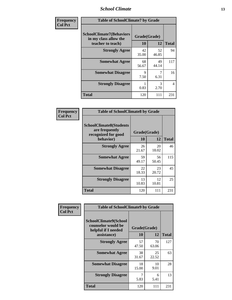### *School Climate* **13**

| Frequency      | <b>Table of SchoolClimate7 by Grade</b>                                       |                           |             |              |  |
|----------------|-------------------------------------------------------------------------------|---------------------------|-------------|--------------|--|
| <b>Col Pct</b> | <b>SchoolClimate7(Behaviors</b><br>in my class allow the<br>teacher to teach) | Grade(Grade)<br><b>10</b> | 12          | <b>Total</b> |  |
|                | <b>Strongly Agree</b>                                                         | 42<br>35.00               | 52<br>46.85 | 94           |  |
|                | <b>Somewhat Agree</b>                                                         | 68<br>56.67               | 49<br>44.14 | 117          |  |
|                | <b>Somewhat Disagree</b>                                                      | $\mathbf Q$<br>7.50       | 7<br>6.31   | 16           |  |
|                | <b>Strongly Disagree</b>                                                      | 0.83                      | 3<br>2.70   | 4            |  |
|                | <b>Total</b>                                                                  | 120                       | 111         | 231          |  |

| Frequency      | <b>Table of SchoolClimate8 by Grade</b>                                              |                    |             |              |  |
|----------------|--------------------------------------------------------------------------------------|--------------------|-------------|--------------|--|
| <b>Col Pct</b> | <b>SchoolClimate8(Students</b><br>are frequently<br>recognized for good<br>behavior) | Grade(Grade)<br>10 | 12          | <b>Total</b> |  |
|                | <b>Strongly Agree</b>                                                                | 26<br>21.67        | 20<br>18.02 | 46           |  |
|                | <b>Somewhat Agree</b>                                                                | 59<br>49.17        | 56<br>50.45 | 115          |  |
|                | <b>Somewhat Disagree</b>                                                             | 22<br>18.33        | 23<br>20.72 | 45           |  |
|                | <b>Strongly Disagree</b>                                                             | 13<br>10.83        | 12<br>10.81 | 25           |  |
|                | <b>Total</b>                                                                         | 120                | 111         | 231          |  |

| <b>Frequency</b> | <b>Table of SchoolClimate9 by Grade</b>                                           |                    |             |              |  |
|------------------|-----------------------------------------------------------------------------------|--------------------|-------------|--------------|--|
| <b>Col Pct</b>   | SchoolClimate9(School<br>counselor would be<br>helpful if I needed<br>assistance) | Grade(Grade)<br>10 | 12          | <b>Total</b> |  |
|                  | <b>Strongly Agree</b>                                                             | 57<br>47.50        | 70<br>63.06 | 127          |  |
|                  | <b>Somewhat Agree</b>                                                             | 38<br>31.67        | 25<br>22.52 | 63           |  |
|                  | <b>Somewhat Disagree</b>                                                          | 18<br>15.00        | 10<br>9.01  | 28           |  |
|                  | <b>Strongly Disagree</b>                                                          | 5.83               | 6<br>5.41   | 13           |  |
|                  | <b>Total</b>                                                                      | 120                | 111         | 231          |  |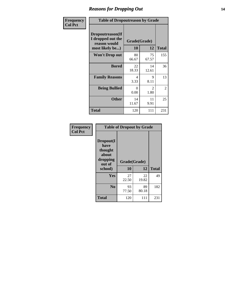### *Reasons for Dropping Out* **14**

| Frequency      | <b>Table of Dropoutreason by Grade</b>                                   |                  |                    |              |  |
|----------------|--------------------------------------------------------------------------|------------------|--------------------|--------------|--|
| <b>Col Pct</b> | Dropoutreason(If<br>I dropped out the<br>reason would<br>most likely be) | 10               | Grade(Grade)<br>12 | <b>Total</b> |  |
|                | <b>Won't Drop out</b>                                                    | 80<br>66.67      | 75<br>67.57        | 155          |  |
|                | <b>Bored</b>                                                             | 22<br>18.33      | 14<br>12.61        | 36           |  |
|                | <b>Family Reasons</b>                                                    | 4<br>3.33        | 9<br>8.11          | 13           |  |
|                | <b>Being Bullied</b>                                                     | $\Omega$<br>0.00 | 2<br>1.80          | 2            |  |
|                | <b>Other</b>                                                             | 14<br>11.67      | 11<br>9.91         | 25           |  |
|                | <b>Total</b>                                                             | 120              | 111                | 231          |  |

| Frequency<br><b>Col Pct</b> | <b>Table of Dropout by Grade</b>                                       |                    |       |              |  |
|-----------------------------|------------------------------------------------------------------------|--------------------|-------|--------------|--|
|                             | Dropout(I<br>have<br>thought<br>about<br>dropping<br>out of<br>school) | Grade(Grade)<br>10 | 12    | <b>Total</b> |  |
|                             |                                                                        |                    |       |              |  |
|                             | Yes                                                                    | 27                 | 22    | 49           |  |
|                             |                                                                        | 22.50              | 19.82 |              |  |
|                             | N <sub>0</sub>                                                         | 93                 | 89    | 182          |  |
|                             |                                                                        | 77.50              | 80.18 |              |  |
|                             | <b>Total</b>                                                           | 120                | 111   | 231          |  |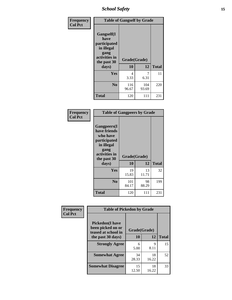*School Safety* **15**

| Frequency      | <b>Table of Gangself by Grade</b>                                                                 |                    |              |              |
|----------------|---------------------------------------------------------------------------------------------------|--------------------|--------------|--------------|
| <b>Col Pct</b> | Gangself(I<br>have<br>participated<br>in illegal<br>gang<br>activities in<br>the past 30<br>days) | Grade(Grade)<br>10 | 12           | <b>Total</b> |
|                | Yes                                                                                               | 4<br>3.33          | 7<br>6.31    | 11           |
|                | N <sub>0</sub>                                                                                    | 116<br>96.67       | 104<br>93.69 | 220          |
|                | <b>Total</b>                                                                                      | 120                | 111          | 231          |

| Frequency<br><b>Col Pct</b> | <b>Table of Gangpeers by Grade</b>                                                                                             |                    |             |              |  |  |  |  |
|-----------------------------|--------------------------------------------------------------------------------------------------------------------------------|--------------------|-------------|--------------|--|--|--|--|
|                             | <b>Gangpeers</b> (I<br>have friends<br>who have<br>participated<br>in illegal<br>gang<br>activities in<br>the past 30<br>days) | Grade(Grade)<br>10 | 12          | <b>Total</b> |  |  |  |  |
|                             | Yes                                                                                                                            | 19<br>15.83        | 13<br>11.71 | 32           |  |  |  |  |
|                             | N <sub>0</sub>                                                                                                                 | 101<br>84.17       | 98<br>88.29 | 199          |  |  |  |  |
|                             | <b>Total</b>                                                                                                                   | 120                | 111         | 231          |  |  |  |  |

| Frequency      |                                                                    | <b>Table of Pickedon by Grade</b> |             |              |  |  |  |  |  |
|----------------|--------------------------------------------------------------------|-----------------------------------|-------------|--------------|--|--|--|--|--|
| <b>Col Pct</b> | <b>Pickedon(I have</b><br>been picked on or<br>teased at school in | Grade(Grade)                      |             |              |  |  |  |  |  |
|                | the past 30 days)                                                  | 10                                | 12          | <b>Total</b> |  |  |  |  |  |
|                | <b>Strongly Agree</b>                                              | 6<br>5.00                         | 9<br>8.11   | 15           |  |  |  |  |  |
|                | <b>Somewhat Agree</b>                                              | 34<br>28.33                       | 18<br>16.22 | 52           |  |  |  |  |  |
|                | <b>Somewhat Disagree</b>                                           | 15<br>12.50                       | 18<br>16.22 | 33           |  |  |  |  |  |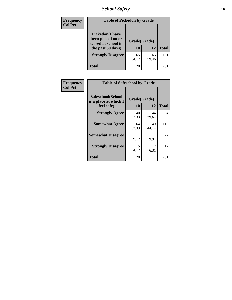*School Safety* **16**

| <b>Frequency</b> | <b>Table of Pickedon by Grade</b>                                                        |                    |             |              |
|------------------|------------------------------------------------------------------------------------------|--------------------|-------------|--------------|
| <b>Col Pct</b>   | <b>Pickedon</b> (I have<br>been picked on or<br>teased at school in<br>the past 30 days) | Grade(Grade)<br>10 | 12          | <b>Total</b> |
|                  | <b>Strongly Disagree</b>                                                                 | 65<br>54.17        | 66<br>59.46 | 131          |
|                  | Total                                                                                    | 120                | 111         | 23           |

| Frequency      | <b>Table of Safeschool by Grade</b>                      |                    |             |     |  |  |  |
|----------------|----------------------------------------------------------|--------------------|-------------|-----|--|--|--|
| <b>Col Pct</b> | Safeschool(School<br>is a place at which I<br>feel safe) | Grade(Grade)<br>10 |             |     |  |  |  |
|                | <b>Strongly Agree</b>                                    | 40<br>33.33        | 44<br>39.64 | 84  |  |  |  |
|                | <b>Somewhat Agree</b>                                    | 64<br>53.33        | 49<br>44.14 | 113 |  |  |  |
|                | <b>Somewhat Disagree</b>                                 | 11<br>9.17         | 11<br>9.91  | 22  |  |  |  |
|                | <b>Strongly Disagree</b>                                 | 5<br>4.17          | 6.31        | 12  |  |  |  |
|                | <b>Total</b>                                             | 120                | 111         | 231 |  |  |  |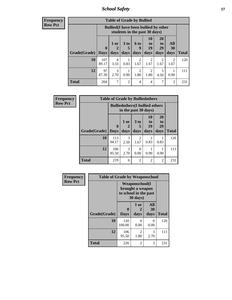*School Safety* **17**

| Frequency      |
|----------------|
| <b>Row Pct</b> |

| <b>Table of Grade by Bullied</b> |                                                                                                                                                                                                                               |                                                                               |                |                        |                        |           |                        |     |  |  |  |
|----------------------------------|-------------------------------------------------------------------------------------------------------------------------------------------------------------------------------------------------------------------------------|-------------------------------------------------------------------------------|----------------|------------------------|------------------------|-----------|------------------------|-----|--|--|--|
|                                  |                                                                                                                                                                                                                               | <b>Bullied</b> (I have been bullied by other<br>students in the past 30 days) |                |                        |                        |           |                        |     |  |  |  |
| Grade(Grade)                     | 10<br>20<br><b>All</b><br>$1$ or<br>3 <sub>to</sub><br>6 to<br>to<br>to<br>19<br>29<br>$\boldsymbol{0}$<br><b>30</b><br>$\mathbf{2}$<br>5<br>9<br><b>Total</b><br>days<br>days<br><b>Days</b><br>days<br>days<br>days<br>days |                                                                               |                |                        |                        |           |                        |     |  |  |  |
| 10                               | 107<br>89.17                                                                                                                                                                                                                  | 4<br>3.33                                                                     | 0.83           | $\mathfrak{D}$<br>1.67 | $\mathfrak{D}$<br>1.67 | 2<br>1.67 | $\mathfrak{D}$<br>1.67 | 120 |  |  |  |
| 12                               | 97<br>87.39                                                                                                                                                                                                                   | 3<br>2.70                                                                     | 0.90           | 2<br>1.80              | 2<br>1.80              | 5<br>4.50 | 0.90                   | 111 |  |  |  |
| <b>Total</b>                     | 204                                                                                                                                                                                                                           | 7                                                                             | $\overline{2}$ | $\overline{4}$         | 4                      | 7         | 3                      | 231 |  |  |  |

| Frequency      | <b>Table of Grade by Bulliedothers</b> |                            |                                                                |                         |                        |                               |              |  |
|----------------|----------------------------------------|----------------------------|----------------------------------------------------------------|-------------------------|------------------------|-------------------------------|--------------|--|
| <b>Row Pct</b> |                                        |                            | <b>Bulliedothers</b> (I bullied others<br>in the past 30 days) |                         |                        |                               |              |  |
|                | Grade(Grade)                           | $\mathbf 0$<br><b>Days</b> | 1 or<br>days                                                   | 3 <sub>to</sub><br>days | 10<br>to<br>19<br>days | <b>20</b><br>to<br>29<br>days | <b>Total</b> |  |
|                | 10                                     | 113<br>94.17               | 3<br>2.50                                                      | 2<br>1.67               | 0.83                   | 0.83                          | 120          |  |
|                | 12                                     | 106<br>95.50               | 3<br>2.70                                                      | 0<br>0.00               | 0.90                   | 0.90                          | 111          |  |
|                | <b>Total</b>                           | 219                        | 6                                                              | 2                       | $\mathfrak{D}$         | $\mathfrak{D}$                | 231          |  |

| <b>Frequency</b> | <b>Table of Grade by Weaponschool</b> |                  |                                                                                 |                   |              |  |  |  |
|------------------|---------------------------------------|------------------|---------------------------------------------------------------------------------|-------------------|--------------|--|--|--|
| <b>Row Pct</b>   |                                       |                  | <b>Weaponschool</b> (I<br>brought a weapon<br>to school in the past<br>30 days) |                   |              |  |  |  |
|                  | Grade(Grade)                          | 0<br><b>Days</b> | 1 or<br>2<br>days                                                               | All<br>30<br>days | <b>Total</b> |  |  |  |
|                  | 10                                    | 120<br>100.00    | 0<br>0.00                                                                       | 0<br>0.00         | 120          |  |  |  |
|                  | 12                                    | 106<br>95.50     | $\mathfrak{D}$<br>1.80                                                          | 3<br>2.70         | 111          |  |  |  |
|                  | <b>Total</b>                          | 226              | 2                                                                               | 3                 | 231          |  |  |  |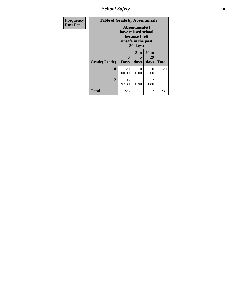*School Safety* **18**

| <b>Frequency</b> | <b>Table of Grade by Absentunsafe</b> |                         |                                                                                          |                        |              |  |  |  |  |
|------------------|---------------------------------------|-------------------------|------------------------------------------------------------------------------------------|------------------------|--------------|--|--|--|--|
| <b>Row Pct</b>   |                                       |                         | Absentunsafe(I<br>have missed school<br>because I felt<br>unsafe in the past<br>30 days) |                        |              |  |  |  |  |
|                  | Grade(Grade)                          | $\bf{0}$<br><b>Days</b> | 3 to<br>5<br>days                                                                        | 20 to<br>29<br>days    | <b>Total</b> |  |  |  |  |
|                  | 10                                    | 120<br>100.00           | 0<br>0.00                                                                                | $\mathbf{0}$<br>0.00   | 120          |  |  |  |  |
|                  | 12                                    | 108<br>97.30            | 1<br>0.90                                                                                | $\overline{2}$<br>1.80 | 111          |  |  |  |  |
|                  | <b>Total</b>                          | 228                     |                                                                                          | 2                      | 231          |  |  |  |  |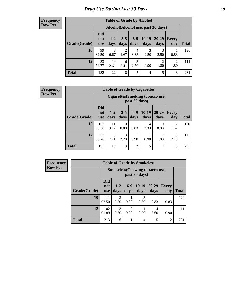# *Drug Use During Last 30 Days* **19**

#### **Frequency Row Pct**

| <b>Table of Grade by Alcohol</b> |                                                                                                                                   |                                    |           |           |           |                        |           |     |  |  |  |
|----------------------------------|-----------------------------------------------------------------------------------------------------------------------------------|------------------------------------|-----------|-----------|-----------|------------------------|-----------|-----|--|--|--|
|                                  |                                                                                                                                   | Alcohol(Alcohol use, past 30 days) |           |           |           |                        |           |     |  |  |  |
| Grade(Grade)                     | <b>Did</b><br>$6-9$<br>$10-19$<br>20-29<br>$3 - 5$<br>$1-2$<br>Every<br>not<br>days<br>days<br>day<br>days<br>days<br>days<br>use |                                    |           |           |           |                        |           |     |  |  |  |
| 10                               | 99<br>82.50                                                                                                                       | 8<br>6.67                          | 2<br>1.67 | 4<br>3.33 | 3<br>2.50 | 3<br>2.50              | 0.83      | 120 |  |  |  |
| 12                               | 83<br>74.77                                                                                                                       | 14<br>12.61                        | 6<br>5.41 | 3<br>2.70 | 0.90      | $\overline{2}$<br>1.80 | 2<br>1.80 | 111 |  |  |  |
| <b>Total</b>                     | 182                                                                                                                               | 22                                 | 8         | 7         | 4         | 5                      | 3         | 231 |  |  |  |

#### **Frequency Row Pct**

| <b>Table of Grade by Cigarettes</b> |              |                                                                                                                                                                                                                 |                  |                |           |                |                        |     |  |  |
|-------------------------------------|--------------|-----------------------------------------------------------------------------------------------------------------------------------------------------------------------------------------------------------------|------------------|----------------|-----------|----------------|------------------------|-----|--|--|
|                                     |              | Cigarettes (Smoking tobacco use,<br>past 30 days)<br><b>Did</b><br>$10-19$<br>$6-9$<br>20-29<br>$3 - 5$<br>$1 - 2$<br><b>Every</b><br>not<br>Total<br>days<br>days<br>days<br>days<br>day<br>days<br><b>use</b> |                  |                |           |                |                        |     |  |  |
| Grade(Grade)                        |              |                                                                                                                                                                                                                 |                  |                |           |                |                        |     |  |  |
| 10                                  | 102<br>85.00 | 11<br>9.17                                                                                                                                                                                                      | $\Omega$<br>0.00 | 0.83           | 4<br>3.33 | 0<br>0.00      | $\overline{2}$<br>1.67 | 120 |  |  |
| 12                                  | 93<br>83.78  | 3<br>8<br>1<br>$\overline{2}$<br>3<br>2.70<br>0.90<br>1.80<br>7.21<br>0.90<br>2.70                                                                                                                              |                  |                |           |                |                        |     |  |  |
| <b>Total</b>                        | 195          | 19                                                                                                                                                                                                              | 3                | $\overline{2}$ | 5         | $\overline{2}$ | 5                      | 231 |  |  |

**Frequency Row Pct**

| <b>Table of Grade by Smokeless</b> |                                 |                                                        |                  |                 |                   |                     |              |  |  |
|------------------------------------|---------------------------------|--------------------------------------------------------|------------------|-----------------|-------------------|---------------------|--------------|--|--|
|                                    |                                 | <b>Smokeless</b> (Chewing tobaccouse,<br>past 30 days) |                  |                 |                   |                     |              |  |  |
| Grade(Grade)                       | <b>Did</b><br>not<br><b>use</b> | $1 - 2$<br>days                                        | $6-9$<br>days    | $10-19$<br>days | $20 - 29$<br>days | <b>Every</b><br>day | <b>Total</b> |  |  |
| 10                                 | 111<br>92.50                    | 3<br>2.50                                              | 0.83             | 3<br>2.50       | 0.83              | 0.83                | 120          |  |  |
| 12                                 | 102<br>91.89                    | 3<br>2.70                                              | $\theta$<br>0.00 | 0.90            | 4<br>3.60         | 0.90                | 111          |  |  |
| <b>Total</b>                       | 213                             | 6                                                      | 1                | $\overline{4}$  | 5                 | $\overline{2}$      | 231          |  |  |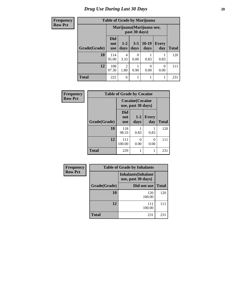# *Drug Use During Last 30 Days* 20

### **Frequency Row**

|  | <b>Table of Grade by Marijuana</b> |  |  |
|--|------------------------------------|--|--|
|  |                                    |  |  |

| uvuvy | Table of Graue by Infarroama |                                 |                                            |                 |                 |                     |              |
|-------|------------------------------|---------------------------------|--------------------------------------------|-----------------|-----------------|---------------------|--------------|
| Pct   |                              |                                 | Marijuana (Marijuana use,<br>past 30 days) |                 |                 |                     |              |
|       | Grade(Grade)                 | <b>Did</b><br>not<br><b>use</b> | $1-2$<br>days                              | $3 - 5$<br>days | $10-19$<br>days | <b>Every</b><br>day | <b>Total</b> |
|       | 10                           | 114<br>95.00                    | 4<br>3.33                                  | 0<br>0.00       | 0.83            | 0.83                | 120          |
|       | 12                           | 108<br>97.30                    | $\overline{2}$<br>1.80                     | 0.90            | 0<br>0.00       | $\Omega$<br>0.00    | 111          |
|       | <b>Total</b>                 | 222                             | 6                                          | 1               |                 |                     | 231          |

| Frequency      | <b>Table of Grade by Cocaine</b> |                                               |                 |                     |              |  |
|----------------|----------------------------------|-----------------------------------------------|-----------------|---------------------|--------------|--|
| <b>Row Pct</b> |                                  | <b>Cocaine</b> (Cocaine<br>use, past 30 days) |                 |                     |              |  |
|                | Grade(Grade)                     | <b>Did</b><br>not<br><b>use</b>               | $1 - 2$<br>days | <b>Every</b><br>day | <b>Total</b> |  |
|                | 10                               | 118<br>98.33                                  | 0.83            | 0.83                | 120          |  |
|                | 12                               | 111<br>100.00                                 | 0<br>0.00       | 0<br>0.00           | 111          |  |
|                | <b>Total</b>                     | 229                                           |                 | 1                   | 231          |  |

| Frequency      |                                                  | <b>Table of Grade by Inhalants</b> |              |  |  |
|----------------|--------------------------------------------------|------------------------------------|--------------|--|--|
| <b>Row Pct</b> | <b>Inhalants</b> (Inhalant<br>use, past 30 days) |                                    |              |  |  |
|                | Grade(Grade)                                     | Did not use                        | <b>Total</b> |  |  |
|                | 10                                               | 120<br>100.00                      | 120          |  |  |
|                | 12                                               | 111<br>100.00                      | 111          |  |  |
|                | <b>Total</b>                                     | 231                                | 231          |  |  |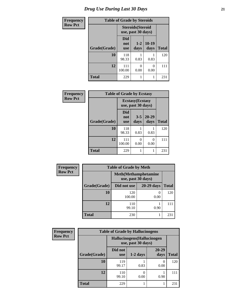| <b>Frequency</b> | <b>Table of Grade by Steroids</b> |                                                |                 |                 |              |  |
|------------------|-----------------------------------|------------------------------------------------|-----------------|-----------------|--------------|--|
| <b>Row Pct</b>   |                                   | <b>Steroids</b> (Steroid<br>use, past 30 days) |                 |                 |              |  |
|                  | Grade(Grade)                      | Did<br>not<br><b>use</b>                       | $1 - 2$<br>days | $10-19$<br>days | <b>Total</b> |  |
|                  | 10                                | 118<br>98.33                                   | 0.83            | 0.83            | 120          |  |
|                  | 12                                | 111<br>100.00                                  | 0<br>0.00       | 0<br>0.00       | 111          |  |
|                  | <b>Total</b>                      | 229                                            |                 |                 | 231          |  |

| Frequency      | <b>Table of Grade by Ecstasy</b> |                                               |                 |               |              |  |
|----------------|----------------------------------|-----------------------------------------------|-----------------|---------------|--------------|--|
| <b>Row Pct</b> |                                  | <b>Ecstasy</b> (Ecstasy<br>use, past 30 days) |                 |               |              |  |
|                | Grade(Grade)                     | Did<br>not<br><b>use</b>                      | $3 - 5$<br>days | 20-29<br>days | <b>Total</b> |  |
|                | 10                               | 118<br>98.33                                  | 0.83            | 0.83          | 120          |  |
|                | 12                               | 111<br>100.00                                 | 0<br>0.00       | 0<br>0.00     | 111          |  |
|                | <b>Total</b>                     | 229                                           |                 |               | 231          |  |

| <b>Frequency</b> | <b>Table of Grade by Meth</b> |                                                    |                       |              |  |  |  |
|------------------|-------------------------------|----------------------------------------------------|-----------------------|--------------|--|--|--|
| <b>Row Pct</b>   |                               | <b>Meth</b> (Methamphetamine<br>use, past 30 days) |                       |              |  |  |  |
|                  | Grade(Grade)                  | Did not use                                        | <b>20-29 days</b>     | <b>Total</b> |  |  |  |
|                  | 10                            | 120<br>100.00                                      | $\mathcal{L}$<br>0.00 | 120          |  |  |  |
|                  | 12                            | 110<br>99.10                                       | 0.90                  | 111          |  |  |  |
|                  | <b>Total</b>                  | 230                                                |                       | 231          |  |  |  |

| <b>Frequency</b> | <b>Table of Grade by Hallucinogens</b> |                                                   |            |                       |              |  |
|------------------|----------------------------------------|---------------------------------------------------|------------|-----------------------|--------------|--|
| <b>Row Pct</b>   |                                        | Hallucinogens (Hallucinogen<br>use, past 30 days) |            |                       |              |  |
|                  | Grade(Grade)                           | Did not<br><b>use</b>                             | $1-2$ days | 20-29<br>days         | <b>Total</b> |  |
|                  | 10                                     | 119<br>99.17                                      | 0.83       | $\mathcal{O}$<br>0.00 | 120          |  |
|                  | 12                                     | 110<br>99.10                                      | 0.00       | 0.90                  | 111          |  |
|                  | <b>Total</b>                           | 229                                               |            |                       | 231          |  |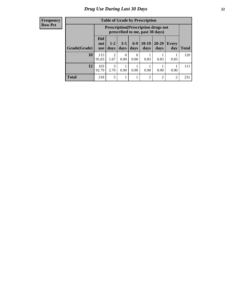| <b>Frequency</b> |
|------------------|
| <b>Row Pct</b>   |

| <b>Table of Grade by Prescription</b> |                                 |                                                                                |                 |                 |                 |                   |                |       |
|---------------------------------------|---------------------------------|--------------------------------------------------------------------------------|-----------------|-----------------|-----------------|-------------------|----------------|-------|
|                                       |                                 | <b>Prescription</b> (Prescription drugs not<br>prescribed to me, past 30 days) |                 |                 |                 |                   |                |       |
| Grade(Grade)                          | <b>Did</b><br>not<br><b>use</b> | $1 - 2$<br>days                                                                | $3 - 5$<br>days | $6 - 9$<br>days | $10-19$<br>days | $20 - 29$<br>days | Every<br>day   | Total |
| 10                                    | 115<br>95.83                    | $\mathfrak{D}$<br>1.67                                                         | 0<br>0.00       | 0<br>0.00       | 0.83            | 0.83              | 0.83           | 120   |
| 12                                    | 103<br>92.79                    | 3<br>2.70                                                                      | 0.90            | 0.90            | 0.90            | 0.90              | 0.90           | 111   |
| <b>Total</b>                          | 218                             | 5                                                                              |                 | 1               | $\overline{2}$  | $\overline{c}$    | $\overline{2}$ | 231   |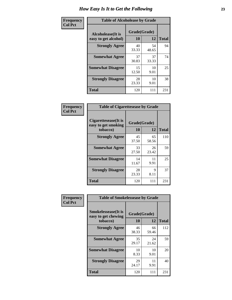| Frequency      | <b>Table of Alcoholease by Grade</b>              |                    |             |              |  |  |  |
|----------------|---------------------------------------------------|--------------------|-------------|--------------|--|--|--|
| <b>Col Pct</b> | <b>Alcoholease</b> (It is<br>easy to get alcohol) | Grade(Grade)<br>10 | 12          | <b>Total</b> |  |  |  |
|                | <b>Strongly Agree</b>                             | 40<br>33.33        | 54<br>48.65 | 94           |  |  |  |
|                | <b>Somewhat Agree</b>                             | 37<br>30.83        | 37<br>33.33 | 74           |  |  |  |
|                | <b>Somewhat Disagree</b>                          | 15<br>12.50        | 10<br>9.01  | 25           |  |  |  |
|                | <b>Strongly Disagree</b>                          | 28<br>23.33        | 10<br>9.01  | 38           |  |  |  |
|                | <b>Total</b>                                      | 120                | 111         | 231          |  |  |  |

| Frequency |  |
|-----------|--|
| Col Pct   |  |
|           |  |

| <b>Table of Cigarettesease by Grade</b>                 |             |                    |              |  |  |  |  |
|---------------------------------------------------------|-------------|--------------------|--------------|--|--|--|--|
| Cigarettesease(It is<br>easy to get smoking<br>tobacco) | 10          | Grade(Grade)<br>12 | <b>Total</b> |  |  |  |  |
| <b>Strongly Agree</b>                                   | 45<br>37.50 | 65<br>58.56        | 110          |  |  |  |  |
| <b>Somewhat Agree</b>                                   | 33<br>27.50 | 26<br>23.42        | 59           |  |  |  |  |
| <b>Somewhat Disagree</b>                                | 14<br>11.67 | 11<br>9.91         | 25           |  |  |  |  |
| <b>Strongly Disagree</b>                                | 28<br>23.33 | 9<br>8.11          | 37           |  |  |  |  |
| <b>Total</b>                                            | 120         | 111                | 231          |  |  |  |  |

| Frequency      | <b>Table of Smokelessease by Grade</b>             |              |             |              |  |  |  |  |  |
|----------------|----------------------------------------------------|--------------|-------------|--------------|--|--|--|--|--|
| <b>Col Pct</b> | <b>Smokelessease</b> (It is<br>easy to get chewing | Grade(Grade) |             |              |  |  |  |  |  |
|                | tobacco)                                           | 10           | 12          | <b>Total</b> |  |  |  |  |  |
|                | <b>Strongly Agree</b>                              | 46<br>38.33  | 66<br>59.46 | 112          |  |  |  |  |  |
|                | <b>Somewhat Agree</b>                              | 35<br>29.17  | 24<br>21.62 | 59           |  |  |  |  |  |
|                | <b>Somewhat Disagree</b>                           | 10<br>8.33   | 10<br>9.01  | 20           |  |  |  |  |  |
|                | <b>Strongly Disagree</b>                           | 29<br>24.17  | 11<br>9.91  | 40           |  |  |  |  |  |
|                | <b>Total</b>                                       | 120          | 111         | 231          |  |  |  |  |  |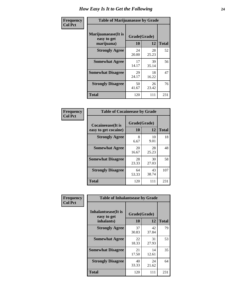| Frequency      | <b>Table of Marijuanaease by Grade</b>           |                    |             |              |  |  |  |  |
|----------------|--------------------------------------------------|--------------------|-------------|--------------|--|--|--|--|
| <b>Col Pct</b> | Marijuanaease(It is<br>easy to get<br>marijuana) | Grade(Grade)<br>10 | 12          | <b>Total</b> |  |  |  |  |
|                | <b>Strongly Agree</b>                            | 24<br>20.00        | 28<br>25.23 | 52           |  |  |  |  |
|                | <b>Somewhat Agree</b>                            | 17<br>14.17        | 39<br>35.14 | 56           |  |  |  |  |
|                | <b>Somewhat Disagree</b>                         | 29<br>24.17        | 18<br>16.22 | 47           |  |  |  |  |
|                | <b>Strongly Disagree</b>                         | 50<br>41.67        | 26<br>23.42 | 76           |  |  |  |  |
|                | <b>Total</b>                                     | 120                | 111         | 231          |  |  |  |  |

| <b>Table of Cocaineease by Grade</b>              |                    |              |     |  |  |  |  |
|---------------------------------------------------|--------------------|--------------|-----|--|--|--|--|
| <b>Cocaineease</b> (It is<br>easy to get cocaine) | Grade(Grade)<br>10 | <b>Total</b> |     |  |  |  |  |
| <b>Strongly Agree</b>                             | 8<br>6.67          | 10<br>9.01   | 18  |  |  |  |  |
| <b>Somewhat Agree</b>                             | 20<br>16.67        | 28<br>25.23  | 48  |  |  |  |  |
| <b>Somewhat Disagree</b>                          | 28<br>23.33        | 30<br>27.03  | 58  |  |  |  |  |
| <b>Strongly Disagree</b>                          | 64<br>53.33        | 43<br>38.74  | 107 |  |  |  |  |
| <b>Total</b>                                      | 120                | 111          | 231 |  |  |  |  |

| Frequency      | <b>Table of Inhalantsease by Grade</b>                   |                           |             |              |  |  |  |  |  |
|----------------|----------------------------------------------------------|---------------------------|-------------|--------------|--|--|--|--|--|
| <b>Col Pct</b> | <b>Inhalantsease</b> (It is<br>easy to get<br>inhalants) | Grade(Grade)<br><b>10</b> | 12          | <b>Total</b> |  |  |  |  |  |
|                | <b>Strongly Agree</b>                                    | 37<br>30.83               | 42<br>37.84 | 79           |  |  |  |  |  |
|                | <b>Somewhat Agree</b>                                    | 22<br>18.33               | 31<br>27.93 | 53           |  |  |  |  |  |
|                | <b>Somewhat Disagree</b>                                 | 21<br>17.50               | 14<br>12.61 | 35           |  |  |  |  |  |
|                | <b>Strongly Disagree</b>                                 | 40<br>33.33               | 24<br>21.62 | 64           |  |  |  |  |  |
|                | <b>Total</b>                                             | 120                       | 111         | 231          |  |  |  |  |  |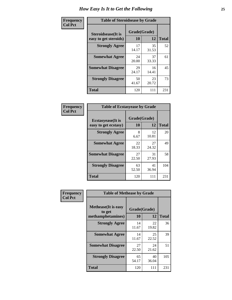| Frequency      | <b>Table of Steroidsease by Grade</b>               |                    |              |     |  |  |  |  |
|----------------|-----------------------------------------------------|--------------------|--------------|-----|--|--|--|--|
| <b>Col Pct</b> | <b>Steroidsease</b> (It is<br>easy to get steroids) | Grade(Grade)<br>10 | <b>Total</b> |     |  |  |  |  |
|                | <b>Strongly Agree</b>                               | 17<br>14.17        | 35<br>31.53  | 52  |  |  |  |  |
|                | <b>Somewhat Agree</b>                               | 24<br>20.00        | 37<br>33.33  | 61  |  |  |  |  |
|                | <b>Somewhat Disagree</b>                            | 29<br>24.17        | 16<br>14.41  | 45  |  |  |  |  |
|                | <b>Strongly Disagree</b>                            | 50<br>41.67        | 23<br>20.72  | 73  |  |  |  |  |
|                | <b>Total</b>                                        | 120                | 111          | 231 |  |  |  |  |

| Frequency      | <b>Table of Ecstasyease by Grade</b>              |                    |             |              |  |  |  |  |  |
|----------------|---------------------------------------------------|--------------------|-------------|--------------|--|--|--|--|--|
| <b>Col Pct</b> | <b>Ecstasyease</b> (It is<br>easy to get ecstasy) | Grade(Grade)<br>10 | 12          | <b>Total</b> |  |  |  |  |  |
|                | <b>Strongly Agree</b>                             | 8<br>6.67          | 12<br>10.81 | 20           |  |  |  |  |  |
|                | <b>Somewhat Agree</b>                             | 22<br>18.33        | 27<br>24.32 | 49           |  |  |  |  |  |
|                | <b>Somewhat Disagree</b>                          | 27<br>22.50        | 31<br>27.93 | 58           |  |  |  |  |  |
|                | <b>Strongly Disagree</b>                          | 63<br>52.50        | 41<br>36.94 | 104          |  |  |  |  |  |
|                | <b>Total</b>                                      | 120                | 111         | 231          |  |  |  |  |  |

| Frequency      | <b>Table of Methease by Grade</b>                          |                    |             |              |  |  |  |  |
|----------------|------------------------------------------------------------|--------------------|-------------|--------------|--|--|--|--|
| <b>Col Pct</b> | <b>Methease</b> (It is easy<br>to get<br>methamphetamines) | Grade(Grade)<br>10 | 12          | <b>Total</b> |  |  |  |  |
|                | <b>Strongly Agree</b>                                      | 14<br>11.67        | 22<br>19.82 | 36           |  |  |  |  |
|                | <b>Somewhat Agree</b>                                      | 14<br>11.67        | 25<br>22.52 | 39           |  |  |  |  |
|                | <b>Somewhat Disagree</b>                                   | 27<br>22.50        | 24<br>21.62 | 51           |  |  |  |  |
|                | <b>Strongly Disagree</b>                                   | 65<br>54.17        | 40<br>36.04 | 105          |  |  |  |  |
|                | <b>Total</b>                                               | 120                | 111         | 231          |  |  |  |  |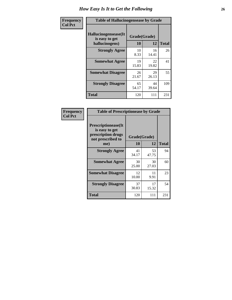| <b>Frequency</b> | <b>Table of Hallucinogensease by Grade</b>                                                           |             |             |     |  |  |  |  |
|------------------|------------------------------------------------------------------------------------------------------|-------------|-------------|-----|--|--|--|--|
| <b>Col Pct</b>   | Hallucinogensease(It<br>Grade(Grade)<br>is easy to get<br>10<br>12<br>hallucinogens)<br><b>Total</b> |             |             |     |  |  |  |  |
|                  | <b>Strongly Agree</b>                                                                                | 10<br>8.33  | 16<br>14.41 | 26  |  |  |  |  |
|                  | <b>Somewhat Agree</b>                                                                                | 19<br>15.83 | 22<br>19.82 | 41  |  |  |  |  |
|                  | <b>Somewhat Disagree</b>                                                                             | 26<br>21.67 | 29<br>26.13 | 55  |  |  |  |  |
|                  | <b>Strongly Disagree</b>                                                                             | 65<br>54.17 | 44<br>39.64 | 109 |  |  |  |  |
|                  | <b>Total</b>                                                                                         | 120         | 111         | 231 |  |  |  |  |

| Frequency<br>Col Pct |
|----------------------|
|                      |

| <b>Table of Prescriptionease by Grade</b>                                                |              |             |              |  |  |  |
|------------------------------------------------------------------------------------------|--------------|-------------|--------------|--|--|--|
| <b>Prescriptionease</b> (It<br>is easy to get<br>prescription drugs<br>not prescribed to | Grade(Grade) |             |              |  |  |  |
| me)                                                                                      | 10           | 12          | <b>Total</b> |  |  |  |
| <b>Strongly Agree</b>                                                                    | 41<br>34.17  | 53<br>47.75 | 94           |  |  |  |
| <b>Somewhat Agree</b>                                                                    | 30<br>25.00  | 30<br>27.03 | 60           |  |  |  |
| <b>Somewhat Disagree</b>                                                                 | 12<br>10.00  | 11<br>9.91  | 23           |  |  |  |
| <b>Strongly Disagree</b>                                                                 | 37<br>30.83  | 17<br>15.32 | 54           |  |  |  |
| <b>Total</b>                                                                             | 120          | 111         | 231          |  |  |  |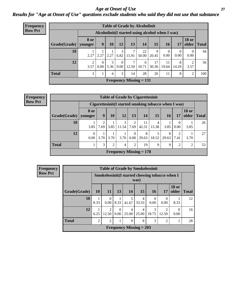#### *Age at Onset of Use* **27** *Results for "Age at Onset of Use" questions exclude students who said they did not use that substance*

| <b>Frequency</b> | <b>Table of Grade by Alcoholinit</b> |             |                  |               |                                   |            |                           |                                                  |                  |                  |                       |              |
|------------------|--------------------------------------|-------------|------------------|---------------|-----------------------------------|------------|---------------------------|--------------------------------------------------|------------------|------------------|-----------------------|--------------|
| <b>Row Pct</b>   |                                      |             |                  |               |                                   |            |                           | Alcoholinit (I started using alcohol when I was) |                  |                  |                       |              |
|                  | Grade(Grade)   younger               | <b>8 or</b> | 9                | 10            | 12                                | 13         | 14                        | 15                                               | <b>16</b>        | 17               | <b>18 or</b><br>older | <b>Total</b> |
|                  | 10                                   | 2.27        | 2.27             |               | $2.27 \mid 6.82 \mid$             | 7<br>15.91 | 22<br>50.00               | 9<br>20.45                                       | $\theta$<br>0.00 | $\Omega$<br>0.00 | $\Omega$<br>0.00      | 44           |
|                  | 12                                   | 3.57        | $\Omega$<br>0.00 | $\mathcal{F}$ | $\Omega$<br>$5.36 \mid 0.00 \mid$ | 7<br>12.50 | 6<br>10.71                | 17<br>30.36                                      | 11<br>19.64      | 8<br>14.29       | 2<br>3.57             | 56           |
|                  | <b>Total</b>                         | 3           |                  | 4             | 3 <sub>1</sub>                    | 14         | 28                        | 26                                               | 11               | 8                | 2                     | 100          |
|                  |                                      |             |                  |               |                                   |            | Frequency Missing $= 131$ |                                                  |                  |                  |                       |              |

| <b>Frequency</b> |
|------------------|
| <b>Row Pct</b>   |

| <b>Table of Grade by Cigarettesinit</b> |                                |                                                       |           |            |                        |             |            |            |           |                       |              |
|-----------------------------------------|--------------------------------|-------------------------------------------------------|-----------|------------|------------------------|-------------|------------|------------|-----------|-----------------------|--------------|
|                                         |                                | Cigarettesinit (I started smoking tobacco when I was) |           |            |                        |             |            |            |           |                       |              |
| Grade(Grade)                            | 8 or<br>younger                | 9                                                     | <b>10</b> | 12         | 13                     | 14          | 15         | 16         | 17        | <b>18 or</b><br>older | <b>Total</b> |
| 10                                      | 3.85                           | $\overline{c}$<br>7.69                                | 3.85      | 3<br>11.54 | $\overline{2}$<br>7.69 | 11<br>42.31 | 4<br>15.38 | 3.85       | 0.00      | 3.85                  | 26           |
| 12                                      | $\Omega$<br>0.00               | 3.70                                                  | 3.70      | 3.70       | $\mathbf{0}$<br>0.00   | 8<br>29.63  | 18.52      | 8<br>29.63 | ↑<br>7.41 | 3.70                  | 27           |
| <b>Total</b>                            |                                | 3                                                     | 2         | 4          | $\overline{2}$         | 19          | 9          | 9          | 2         | $\mathcal{D}$         | 53           |
|                                         | <b>Frequency Missing = 178</b> |                                                       |           |            |                        |             |            |            |           |                       |              |

| Frequency      | <b>Table of Grade by Smokelessinit</b> |                |                  |                               |                                                 |                         |                  |                        |                       |              |
|----------------|----------------------------------------|----------------|------------------|-------------------------------|-------------------------------------------------|-------------------------|------------------|------------------------|-----------------------|--------------|
| <b>Row Pct</b> |                                        |                |                  |                               | Smokelessinit (I started chewing tobacco when I | was)                    |                  |                        |                       |              |
|                | Grade(Grade)                           | 10             | <b>11</b>        | 13                            | 14                                              | 15                      | 16               | 17                     | <b>18 or</b><br>older | <b>Total</b> |
|                | 10                                     | 8.33           | $\Omega$<br>0.00 | 8.33                          | 5<br>41.67                                      | $\overline{4}$<br>33.33 | $\Omega$<br>0.00 | $\Omega$<br>0.00       | 8.33                  | 12           |
|                | 12                                     | 6.25           | 2<br>12.50       | $\theta$<br>0.00 <sub>1</sub> | 4<br>25.00                                      | $\overline{4}$<br>25.00 | 3<br>18.75       | $\mathcal{D}$<br>12.50 | $\Omega$<br>0.00      | 16           |
|                | <b>Total</b>                           | $\overline{2}$ | 2                |                               | 9                                               | 8                       | 3                | $\overline{2}$         |                       | 28           |
|                |                                        |                |                  |                               | <b>Frequency Missing = 203</b>                  |                         |                  |                        |                       |              |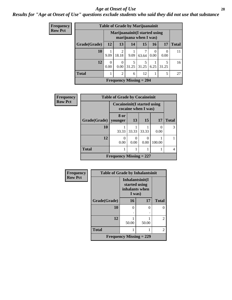#### *Age at Onset of Use* **28**

*Results for "Age at Onset of Use" questions exclude students who said they did not use that substance*

| <b>Frequency</b> |              | <b>Table of Grade by Marijuanainit</b> |                                                         |            |                           |           |            |              |  |
|------------------|--------------|----------------------------------------|---------------------------------------------------------|------------|---------------------------|-----------|------------|--------------|--|
| <b>Row Pct</b>   |              |                                        | Marijuanainit (I started using<br>marijuana when I was) |            |                           |           |            |              |  |
|                  | Grade(Grade) | 12                                     | 13                                                      | 14         | 15                        | 16        | 17         | <b>Total</b> |  |
|                  | 10           | 9.09                                   | 2<br>18.18                                              | 9.09       | 7<br>63.64                | 0<br>0.00 | 0<br>0.00  | 11           |  |
|                  | 12           | $\theta$<br>0.00                       | $\Omega$<br>0.00                                        | 5<br>31.25 | 5<br>31.25                | 6.25      | 5<br>31.25 | 16           |  |
|                  | <b>Total</b> | 1                                      | $\overline{2}$                                          | 6          | 12                        |           | 5          | 27           |  |
|                  |              |                                        |                                                         |            | Frequency Missing $= 204$ |           |            |              |  |

| Frequency      |              | <b>Table of Grade by Cocaineinit</b> |       |                     |        |              |  |
|----------------|--------------|--------------------------------------|-------|---------------------|--------|--------------|--|
| <b>Row Pct</b> |              | <b>Cocaineinit</b> (I started using  |       | cocaine when I was) |        |              |  |
|                | Grade(Grade) | 8 or<br>vounger                      | 13    | <b>15</b>           | 17     | <b>Total</b> |  |
|                | 10           | 33.33                                | 33.33 | 33.33               | 0.00   | 3            |  |
|                | 12           | 0.00                                 | 0.00  | 0.00                | 100.00 |              |  |
|                | <b>Total</b> |                                      |       |                     |        |              |  |
|                |              | Frequency Missing $= 227$            |       |                     |        |              |  |

| Frequency      | <b>Table of Grade by Inhalantsinit</b> |                                                              |       |                |  |  |  |  |
|----------------|----------------------------------------|--------------------------------------------------------------|-------|----------------|--|--|--|--|
| <b>Row Pct</b> |                                        | Inhalantsinit(I<br>started using<br>inhalants when<br>I was) |       |                |  |  |  |  |
|                | Grade(Grade)                           | 16                                                           | 17    | <b>Total</b>   |  |  |  |  |
|                | 10                                     | 0                                                            | 0     | ∩              |  |  |  |  |
|                |                                        |                                                              |       |                |  |  |  |  |
|                | 12                                     | 50.00                                                        | 50.00 | 2              |  |  |  |  |
|                | <b>Total</b>                           |                                                              |       | $\overline{2}$ |  |  |  |  |
|                |                                        | Frequency Missing $= 229$                                    |       |                |  |  |  |  |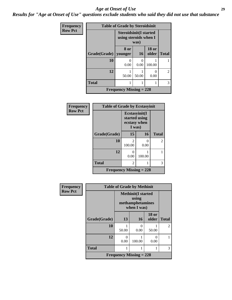#### *Age at Onset of Use* **29**

*Results for "Age at Onset of Use" questions exclude students who said they did not use that substance*

| Frequency      | <b>Table of Grade by Steroidsinit</b> |                                                                |           |                           |                |  |  |  |  |
|----------------|---------------------------------------|----------------------------------------------------------------|-----------|---------------------------|----------------|--|--|--|--|
| <b>Row Pct</b> |                                       | <b>Steroidsinit(I started</b><br>using steroids when I<br>was) |           |                           |                |  |  |  |  |
|                | Grade(Grade)   younger                | 8 or                                                           | 16        | <b>18 or</b><br>older     | <b>Total</b>   |  |  |  |  |
|                | 10                                    | 0<br>0.00                                                      | 0<br>0.00 | 100.00                    |                |  |  |  |  |
|                | 12                                    | 1<br>50.00                                                     | 50.00     | $\mathbf{\Omega}$<br>0.00 | $\overline{2}$ |  |  |  |  |
|                | <b>Total</b>                          | 1                                                              |           |                           | 3              |  |  |  |  |
|                | Frequency Missing $= 228$             |                                                                |           |                           |                |  |  |  |  |

| Frequency      | <b>Table of Grade by Ecstasyinit</b> |                         |                                                          |                |  |  |  |  |  |
|----------------|--------------------------------------|-------------------------|----------------------------------------------------------|----------------|--|--|--|--|--|
| <b>Row Pct</b> |                                      |                         | Ecstasyinit(I<br>started using<br>ecstasy when<br>I was) |                |  |  |  |  |  |
|                | Grade(Grade)                         | 15                      | 16                                                       | <b>Total</b>   |  |  |  |  |  |
|                | 10                                   | $\mathcal{L}$<br>100.00 | 0<br>0.00                                                | $\overline{2}$ |  |  |  |  |  |
|                | 12                                   | 0<br>0.00               | 100.00                                                   |                |  |  |  |  |  |
|                | <b>Total</b>                         | 2                       |                                                          | 3              |  |  |  |  |  |
|                | <b>Frequency Missing = 228</b>       |                         |                                                          |                |  |  |  |  |  |

| <b>Frequency</b> |              | <b>Table of Grade by Methinit</b>                             |           |                       |                |  |  |  |  |
|------------------|--------------|---------------------------------------------------------------|-----------|-----------------------|----------------|--|--|--|--|
| <b>Row Pct</b>   |              | <b>Methinit</b> (I started<br>methamphetamines<br>when I was) |           |                       |                |  |  |  |  |
|                  | Grade(Grade) | 13                                                            | 16        | <b>18 or</b><br>older | <b>Total</b>   |  |  |  |  |
|                  | 10           | 50.00                                                         | 0<br>0.00 | 50.00                 | $\mathfrak{D}$ |  |  |  |  |
|                  | 12           | 0<br>0.00                                                     | 100.00    | 0<br>0.00             |                |  |  |  |  |
|                  | <b>Total</b> |                                                               |           |                       | 3              |  |  |  |  |
|                  |              | Frequency Missing $= 228$                                     |           |                       |                |  |  |  |  |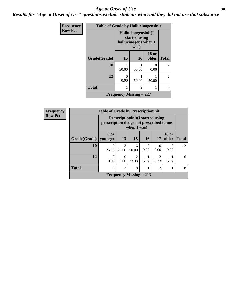#### Age at Onset of Use **30**

*Results for "Age at Onset of Use" questions exclude students who said they did not use that substance*

| <b>Frequency</b> | <b>Table of Grade by Hallucinogensinit</b> |                                                              |                           |                       |                |  |  |
|------------------|--------------------------------------------|--------------------------------------------------------------|---------------------------|-----------------------|----------------|--|--|
| <b>Row Pct</b>   |                                            | Hallucinogensinit(I<br>started using<br>hallucinogens when I |                           |                       |                |  |  |
|                  | Grade(Grade)                               | 15                                                           | 16                        | <b>18 or</b><br>older | <b>Total</b>   |  |  |
|                  | 10                                         | 50.00                                                        | 50.00                     | 0<br>0.00             | $\mathfrak{D}$ |  |  |
|                  | 12                                         | 0<br>0.00                                                    | 50.00                     | 50.00                 | $\overline{2}$ |  |  |
|                  | <b>Total</b>                               | 1                                                            | $\overline{c}$            |                       | 4              |  |  |
|                  |                                            |                                                              | Frequency Missing $= 227$ |                       |                |  |  |

| <b>Frequency</b> |              | <b>Table of Grade by Prescriptioninit</b>                                                          |            |                                |           |                |                       |              |  |  |
|------------------|--------------|----------------------------------------------------------------------------------------------------|------------|--------------------------------|-----------|----------------|-----------------------|--------------|--|--|
| <b>Row Pct</b>   |              | <b>Prescriptioninit (I started using</b><br>prescription drugs not prescribed to me<br>when I was) |            |                                |           |                |                       |              |  |  |
|                  | Grade(Grade) | 8 or<br>younger                                                                                    | 13         | 15                             | <b>16</b> | 17             | <b>18 or</b><br>older | <b>Total</b> |  |  |
|                  | 10           | 3<br>25.00                                                                                         | 3<br>25.00 | 6<br>50.00                     | 0<br>0.00 | 0.00           | $\Omega$<br>0.00      | 12           |  |  |
|                  | 12           | $\Omega$<br>0.00                                                                                   | 0.00       | 33.33                          | 16.67     | 33.33          | 16.67                 | 6            |  |  |
|                  | <b>Total</b> | 3                                                                                                  | 3          | 8                              |           | $\mathfrak{D}$ |                       | 18           |  |  |
|                  |              |                                                                                                    |            | <b>Frequency Missing = 213</b> |           |                |                       |              |  |  |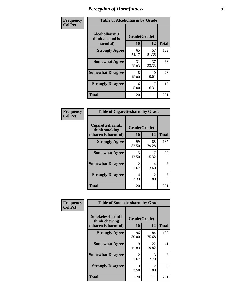| Frequency      | <b>Table of Alcoholharm by Grade</b>          |                    |             |              |  |  |  |
|----------------|-----------------------------------------------|--------------------|-------------|--------------|--|--|--|
| <b>Col Pct</b> | Alcoholharm(I<br>think alcohol is<br>harmful) | Grade(Grade)<br>10 | 12          | <b>Total</b> |  |  |  |
|                | <b>Strongly Agree</b>                         | 65<br>54.17        | 57<br>51.35 | 122          |  |  |  |
|                | <b>Somewhat Agree</b>                         | 31<br>25.83        | 37<br>33.33 | 68           |  |  |  |
|                | <b>Somewhat Disagree</b>                      | 18<br>15.00        | 10<br>9.01  | 28           |  |  |  |
|                | <b>Strongly Disagree</b>                      | 6<br>5.00          | 6.31        | 13           |  |  |  |
|                | <b>Total</b>                                  | 120                | 111         | 231          |  |  |  |

| <b>Table of Cigarettesharm by Grade</b>                  |             |                    |              |  |  |
|----------------------------------------------------------|-------------|--------------------|--------------|--|--|
| Cigarettesharm(I<br>think smoking<br>tobacco is harmful) | 10          | Grade(Grade)<br>12 | <b>Total</b> |  |  |
| <b>Strongly Agree</b>                                    | 99<br>82.50 | 88<br>79.28        | 187          |  |  |
| <b>Somewhat Agree</b>                                    | 15<br>12.50 | 17<br>15.32        | 32           |  |  |
| <b>Somewhat Disagree</b>                                 | 2<br>1.67   | 4<br>3.60          | 6            |  |  |
| <b>Strongly Disagree</b>                                 | 4<br>3.33   | 2<br>1.80          | 6            |  |  |
| <b>Total</b>                                             | 120         | 111                | 231          |  |  |

| Frequency      | <b>Table of Smokelessharm by Grade</b>                  |                    |                        |              |
|----------------|---------------------------------------------------------|--------------------|------------------------|--------------|
| <b>Col Pct</b> | Smokelessharm(I<br>think chewing<br>tobacco is harmful) | Grade(Grade)<br>10 | 12                     | <b>Total</b> |
|                | <b>Strongly Agree</b>                                   | 96<br>80.00        | 84<br>75.68            | 180          |
|                | <b>Somewhat Agree</b>                                   | 19<br>15.83        | 22<br>19.82            | 41           |
|                | <b>Somewhat Disagree</b>                                | 2<br>1.67          | 3<br>2.70              | 5            |
|                | <b>Strongly Disagree</b>                                | 3<br>2.50          | $\mathfrak{D}$<br>1.80 | 5            |
|                | <b>Total</b>                                            | 120                | 111                    | 231          |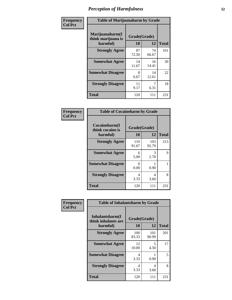| Frequency      | <b>Table of Marijuanaharm by Grade</b>            |                    |             |              |
|----------------|---------------------------------------------------|--------------------|-------------|--------------|
| <b>Col Pct</b> | Marijuanaharm(I<br>think marijuana is<br>harmful) | Grade(Grade)<br>10 | 12          | <b>Total</b> |
|                | <b>Strongly Agree</b>                             | 87<br>72.50        | 74<br>66.67 | 161          |
|                | <b>Somewhat Agree</b>                             | 14<br>11.67        | 16<br>14.41 | 30           |
|                | <b>Somewhat Disagree</b>                          | 8<br>6.67          | 14<br>12.61 | 22           |
|                | <b>Strongly Disagree</b>                          | 11<br>9.17         | 6.31        | 18           |
|                | <b>Total</b>                                      | 120                | 111         | 231          |

| <b>Table of Cocaineharm by Grade</b>          |                    |              |              |  |  |
|-----------------------------------------------|--------------------|--------------|--------------|--|--|
| Cocaineharm(I<br>think cocaine is<br>harmful) | Grade(Grade)<br>10 | 12           | <b>Total</b> |  |  |
| <b>Strongly Agree</b>                         | 110<br>91.67       | 103<br>92.79 | 213          |  |  |
| <b>Somewhat Agree</b>                         | 6<br>5.00          | 3<br>2.70    | 9            |  |  |
| <b>Somewhat Disagree</b>                      | 0<br>0.00          | 0.90         | 1            |  |  |
| <b>Strongly Disagree</b>                      | 4<br>3.33          | 4<br>3.60    | 8            |  |  |
| <b>Total</b>                                  | 120                | 111          | 231          |  |  |

| Frequency      | <b>Table of Inhalantsharm by Grade</b>             |                           |              |              |
|----------------|----------------------------------------------------|---------------------------|--------------|--------------|
| <b>Col Pct</b> | Inhalantsharm(I<br>think inhalants are<br>harmful) | Grade(Grade)<br><b>10</b> | 12           | <b>Total</b> |
|                | <b>Strongly Agree</b>                              | 100<br>83.33              | 101<br>90.99 | 201          |
|                | <b>Somewhat Agree</b>                              | 12<br>10.00               | 5<br>4.50    | 17           |
|                | <b>Somewhat Disagree</b>                           | 4<br>3.33                 | 0.90         | 5            |
|                | <b>Strongly Disagree</b>                           | 4<br>3.33                 | 4<br>3.60    | 8            |
|                | <b>Total</b>                                       | 120                       | 111          | 231          |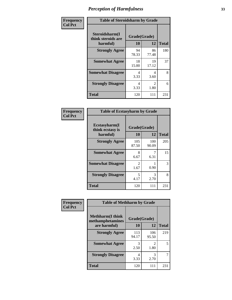| Frequency      | <b>Table of Steroidsharm by Grade</b>            |                    |                                     |              |
|----------------|--------------------------------------------------|--------------------|-------------------------------------|--------------|
| <b>Col Pct</b> | Steroidsharm(I<br>think steroids are<br>harmful) | Grade(Grade)<br>10 | 12                                  | <b>Total</b> |
|                | <b>Strongly Agree</b>                            | 94<br>78.33        | 86<br>77.48                         | 180          |
|                | <b>Somewhat Agree</b>                            | 18<br>15.00        | 19<br>17.12                         | 37           |
|                | <b>Somewhat Disagree</b>                         | 4<br>3.33          | 4<br>3.60                           | 8            |
|                | <b>Strongly Disagree</b>                         | 4<br>3.33          | $\mathcal{D}_{\mathcal{L}}$<br>1.80 | 6            |
|                | <b>Total</b>                                     | 120                | 111                                 | 231          |

| <b>Table of Ecstasyharm by Grade</b>          |                          |              |     |  |  |
|-----------------------------------------------|--------------------------|--------------|-----|--|--|
| Ecstasyharm(I<br>think ecstasy is<br>harmful) | Grade(Grade)<br>10<br>12 |              |     |  |  |
| <b>Strongly Agree</b>                         | 105<br>87.50             | 100<br>90.09 | 205 |  |  |
| <b>Somewhat Agree</b>                         | 8<br>6.67                | 6.31         | 15  |  |  |
| <b>Somewhat Disagree</b>                      | 2<br>1.67                | 0.90         | 3   |  |  |
| <b>Strongly Disagree</b>                      | 5<br>4.17                | 3<br>2.70    | 8   |  |  |
| Total                                         | 120                      | 111          | 231 |  |  |

| Frequency      | <b>Table of Methharm by Grade</b>            |              |                                  |              |
|----------------|----------------------------------------------|--------------|----------------------------------|--------------|
| <b>Col Pct</b> | <b>Methharm</b> (I think<br>methamphetamines | Grade(Grade) |                                  |              |
|                | are harmful)                                 | 10           | 12                               | <b>Total</b> |
|                | <b>Strongly Agree</b>                        | 113<br>94.17 | 106<br>95.50                     | 219          |
|                | <b>Somewhat Agree</b>                        | 3<br>2.50    | $\overline{\mathcal{L}}$<br>1.80 | 5            |
|                | <b>Strongly Disagree</b>                     | 4<br>3.33    | 3<br>2.70                        | 7            |
|                | <b>Total</b>                                 | 120          | 111                              | 231          |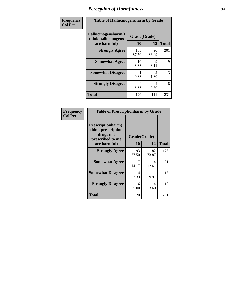| Frequency      | <b>Table of Hallucinogensharm by Grade</b>                 |                           |                       |              |
|----------------|------------------------------------------------------------|---------------------------|-----------------------|--------------|
| <b>Col Pct</b> | Hallucinogensharm(I<br>think hallucinogens<br>are harmful) | Grade(Grade)<br><b>10</b> | 12                    | <b>Total</b> |
|                | <b>Strongly Agree</b>                                      | 105<br>87.50              | 96<br>86.49           | 201          |
|                | <b>Somewhat Agree</b>                                      | 10<br>8.33                | 9<br>8.11             | 19           |
|                | <b>Somewhat Disagree</b>                                   | 0.83                      | $\mathcal{L}$<br>1.80 | 3            |
|                | <b>Strongly Disagree</b>                                   | 4<br>3.33                 | 4<br>3.60             | 8            |
|                | <b>Total</b>                                               | 120                       | 111                   | 231          |

| <b>Table of Prescriptionharm by Grade</b>                                                         |                    |             |              |  |
|---------------------------------------------------------------------------------------------------|--------------------|-------------|--------------|--|
| <b>Prescriptionharm(I)</b><br>think prescription<br>drugs not<br>prescribed to me<br>are harmful) | Grade(Grade)<br>10 | 12          | <b>Total</b> |  |
| <b>Strongly Agree</b>                                                                             | 93<br>77.50        | 82<br>73.87 | 175          |  |
| <b>Somewhat Agree</b>                                                                             | 17<br>14.17        | 14<br>12.61 | 31           |  |
| <b>Somewhat Disagree</b>                                                                          | 4<br>3.33          | 11<br>9.91  | 15           |  |
| <b>Strongly Disagree</b>                                                                          | 6<br>5.00          | 4<br>3.60   | 10           |  |
| Total                                                                                             | 120                | 111         | 231          |  |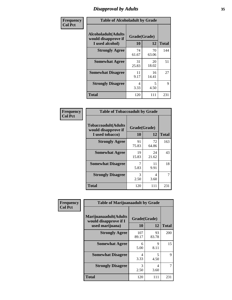# *Disapproval by Adults* **35**

| Frequency      | <b>Table of Alcoholadult by Grade</b>                                 |                    |             |              |
|----------------|-----------------------------------------------------------------------|--------------------|-------------|--------------|
| <b>Col Pct</b> | <b>Alcoholadult</b> (Adults<br>would disapprove if<br>I used alcohol) | Grade(Grade)<br>10 | 12          | <b>Total</b> |
|                | <b>Strongly Agree</b>                                                 | 74<br>61.67        | 70<br>63.06 | 144          |
|                | <b>Somewhat Agree</b>                                                 | 31<br>25.83        | 20<br>18.02 | 51           |
|                | <b>Somewhat Disagree</b>                                              | 11<br>9.17         | 16<br>14.41 | 27           |
|                | <b>Strongly Disagree</b>                                              | 4<br>3.33          | 5<br>4.50   | 9            |
|                | <b>Total</b>                                                          | 120                | 111         | 231          |

| <b>Table of Tobaccoadult by Grade</b>                                                             |             |             |     |  |  |
|---------------------------------------------------------------------------------------------------|-------------|-------------|-----|--|--|
| <b>Tobaccoadult</b> (Adults<br>Grade(Grade)<br>would disapprove if<br>10<br>12<br>I used tobacco) |             |             |     |  |  |
| <b>Strongly Agree</b>                                                                             | 91<br>75.83 | 72<br>64.86 | 163 |  |  |
| <b>Somewhat Agree</b>                                                                             | 19<br>15.83 | 24<br>21.62 | 43  |  |  |
| <b>Somewhat Disagree</b>                                                                          | 7<br>5.83   | 11<br>9.91  | 18  |  |  |
| <b>Strongly Disagree</b>                                                                          | 3<br>2.50   | 4<br>3.60   | 7   |  |  |
| <b>Total</b>                                                                                      | 120         | 111         | 231 |  |  |

| Frequency      | <b>Table of Marijuanaadult by Grade</b>                           |                    |             |              |  |
|----------------|-------------------------------------------------------------------|--------------------|-------------|--------------|--|
| <b>Col Pct</b> | Marijuanaadult(Adults<br>would disapprove if I<br>used marijuana) | Grade(Grade)<br>10 | 12          | <b>Total</b> |  |
|                | <b>Strongly Agree</b>                                             | 107<br>89.17       | 93<br>83.78 | 200          |  |
|                | <b>Somewhat Agree</b>                                             | 6<br>5.00          | 9<br>8.11   | 15           |  |
|                | <b>Somewhat Disagree</b>                                          | 4<br>3.33          | 5<br>4.50   | 9            |  |
|                | <b>Strongly Disagree</b>                                          | 3<br>2.50          | 4<br>3.60   |              |  |
|                | <b>Total</b>                                                      | 120                | 111         | 231          |  |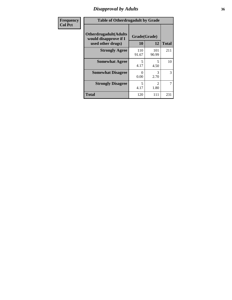### *Disapproval by Adults* **36**

| <b>Frequency</b> | <b>Table of Otherdrugadult by Grade</b>                                     |                    |                        |              |  |
|------------------|-----------------------------------------------------------------------------|--------------------|------------------------|--------------|--|
| <b>Col Pct</b>   | <b>Otherdrugadult</b> (Adults<br>would disapprove if I<br>used other drugs) | Grade(Grade)<br>10 | 12                     | <b>Total</b> |  |
|                  | <b>Strongly Agree</b>                                                       | 110<br>91.67       | 101<br>90.99           | 211          |  |
|                  | <b>Somewhat Agree</b>                                                       | 5<br>4.17          | 5<br>4.50              | 10           |  |
|                  | <b>Somewhat Disagree</b>                                                    | ∩<br>0.00          | 3<br>2.70              | 3            |  |
|                  | <b>Strongly Disagree</b>                                                    | 5<br>4.17          | $\mathfrak{D}$<br>1.80 | 7            |  |
|                  | <b>Total</b>                                                                | 120                | 111                    | 231          |  |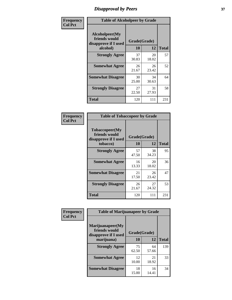# *Disapproval by Peers* **37**

| Frequency      | <b>Table of Alcoholpeer by Grade</b>                    |              |             |              |  |
|----------------|---------------------------------------------------------|--------------|-------------|--------------|--|
| <b>Col Pct</b> | Alcoholpeer(My<br>friends would<br>disapprove if I used | Grade(Grade) |             |              |  |
|                | alcohol)                                                | 10           | 12          | <b>Total</b> |  |
|                | <b>Strongly Agree</b>                                   | 37<br>30.83  | 20<br>18.02 | 57           |  |
|                | <b>Somewhat Agree</b>                                   | 26<br>21.67  | 26<br>23.42 | 52           |  |
|                | <b>Somewhat Disagree</b>                                | 30<br>25.00  | 34<br>30.63 | 64           |  |
|                | <b>Strongly Disagree</b>                                | 27<br>22.50  | 31<br>27.93 | 58           |  |
|                | Total                                                   | 120          | 111         | 231          |  |

| Frequency      | <b>Table of Tobaccopeer by Grade</b>                                |                           |             |              |
|----------------|---------------------------------------------------------------------|---------------------------|-------------|--------------|
| <b>Col Pct</b> | Tobaccopeer(My<br>friends would<br>disapprove if I used<br>tobacco) | Grade(Grade)<br><b>10</b> | 12          | <b>Total</b> |
|                | <b>Strongly Agree</b>                                               | 57<br>47.50               | 38<br>34.23 | 95           |
|                | <b>Somewhat Agree</b>                                               | 16<br>13.33               | 20<br>18.02 | 36           |
|                | <b>Somewhat Disagree</b>                                            | 21<br>17.50               | 26<br>23.42 | 47           |
|                | <b>Strongly Disagree</b>                                            | 26<br>21.67               | 27<br>24.32 | 53           |
|                | Total                                                               | 120                       | 111         | 231          |

| Frequency      | <b>Table of Marijuanapeer by Grade</b>                    |              |             |              |
|----------------|-----------------------------------------------------------|--------------|-------------|--------------|
| <b>Col Pct</b> | Marijuanapeer(My<br>friends would<br>disapprove if I used | Grade(Grade) |             |              |
|                | marijuana)                                                | 10           | 12          | <b>Total</b> |
|                | <b>Strongly Agree</b>                                     | 75<br>62.50  | 64<br>57.66 | 139          |
|                | <b>Somewhat Agree</b>                                     | 12<br>10.00  | 21<br>18.92 | 33           |
|                | <b>Somewhat Disagree</b>                                  | 18<br>15.00  | 16<br>14.41 | 34           |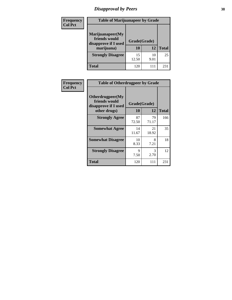# *Disapproval by Peers* **38**

| <b>Frequency</b> | <b>Table of Marijuanapeer by Grade</b>                                  |                    |            |              |  |
|------------------|-------------------------------------------------------------------------|--------------------|------------|--------------|--|
| <b>Col Pct</b>   | Marijuanapeer(My<br>friends would<br>disapprove if I used<br>marijuana) | Grade(Grade)<br>10 | 12         | <b>Total</b> |  |
|                  | <b>Strongly Disagree</b>                                                | 15<br>12.50        | 10<br>9.01 | 25           |  |
|                  | <b>Total</b>                                                            | 120                | 111        | $23^{\circ}$ |  |

| <b>Frequency</b> | <b>Table of Otherdrugpeer by Grade</b>                                    |                    |                       |              |
|------------------|---------------------------------------------------------------------------|--------------------|-----------------------|--------------|
| <b>Col Pct</b>   | Otherdrugpeer(My<br>friends would<br>disapprove if I used<br>other drugs) | Grade(Grade)<br>10 | 12                    | <b>Total</b> |
|                  | <b>Strongly Agree</b>                                                     | 87<br>72.50        | 79<br>71.17           | 166          |
|                  | <b>Somewhat Agree</b>                                                     | 14<br>11.67        | 21<br>18.92           | 35           |
|                  | <b>Somewhat Disagree</b>                                                  | 10<br>8.33         | 8<br>7.21             | 18           |
|                  | <b>Strongly Disagree</b>                                                  | 9<br>7.50          | $\mathcal{R}$<br>2.70 | 12           |
|                  | Total                                                                     | 120                | 111                   | 231          |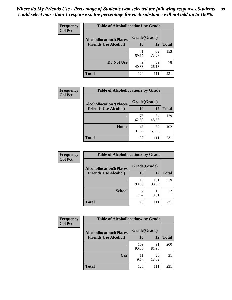| Frequency      | <b>Table of Alcohollocation1 by Grade</b> |              |             |              |
|----------------|-------------------------------------------|--------------|-------------|--------------|
| <b>Col Pct</b> | <b>Alcohollocation1(Places</b>            | Grade(Grade) |             |              |
|                | <b>Friends Use Alcohol)</b>               | 10           | 12          | <b>Total</b> |
|                |                                           | 71<br>59.17  | 82<br>73.87 | 153          |
|                | Do Not Use                                | 49<br>40.83  | 29<br>26.13 | 78           |
|                | <b>Total</b>                              | 120          | 111         | 231          |

| Frequency      | <b>Table of Alcohollocation2 by Grade</b>                     |                    |             |              |
|----------------|---------------------------------------------------------------|--------------------|-------------|--------------|
| <b>Col Pct</b> | <b>Alcohollocation2(Places</b><br><b>Friends Use Alcohol)</b> | Grade(Grade)<br>10 | <b>12</b>   | <b>Total</b> |
|                |                                                               | 75<br>62.50        | 54<br>48.65 | 129          |
|                | Home                                                          | 45<br>37.50        | 57<br>51.35 | 102          |
|                | <b>Total</b>                                                  | 120                | 111         | 231          |

| Frequency      | <b>Table of Alcohollocation3 by Grade</b>                     |                        |              |              |
|----------------|---------------------------------------------------------------|------------------------|--------------|--------------|
| <b>Col Pct</b> | <b>Alcohollocation3(Places</b><br><b>Friends Use Alcohol)</b> | Grade(Grade)<br>10     | 12           | <b>Total</b> |
|                |                                                               | 118<br>98.33           | 101<br>90.99 | 219          |
|                | <b>School</b>                                                 | $\overline{2}$<br>1.67 | 10<br>9.01   | 12           |
|                | <b>Total</b>                                                  | 120                    | 111          | 231          |

| <b>Frequency</b> | <b>Table of Alcohollocation4 by Grade</b> |              |             |              |
|------------------|-------------------------------------------|--------------|-------------|--------------|
| <b>Col Pct</b>   | <b>Alcohollocation4(Places</b>            | Grade(Grade) |             |              |
|                  | <b>Friends Use Alcohol)</b>               | 10           | 12          | <b>Total</b> |
|                  |                                           | 109<br>90.83 | 91<br>81.98 | 200          |
|                  | Car                                       | 11<br>9.17   | 20<br>18.02 | 31           |
|                  | Total                                     | 120          | 111         | 231          |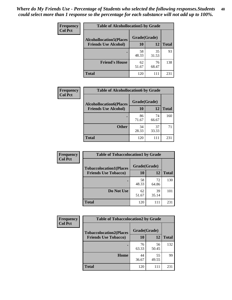| Frequency<br><b>Col Pct</b> | <b>Table of Alcohollocation5 by Grade</b>      |             |             |              |  |
|-----------------------------|------------------------------------------------|-------------|-------------|--------------|--|
|                             | Grade(Grade)<br><b>Alcohollocation5(Places</b> |             |             |              |  |
|                             | <b>Friends Use Alcohol)</b>                    | 10          | 12          | <b>Total</b> |  |
|                             |                                                | 58<br>48.33 | 35<br>31.53 | 93           |  |
|                             | <b>Friend's House</b>                          | 62<br>51.67 | 76<br>68.47 | 138          |  |
|                             | <b>Total</b>                                   | 120         | 111         | 231          |  |

| <b>Frequency</b> | <b>Table of Alcohollocation6 by Grade</b>                     |                    |             |              |
|------------------|---------------------------------------------------------------|--------------------|-------------|--------------|
| <b>Col Pct</b>   | <b>Alcohollocation6(Places</b><br><b>Friends Use Alcohol)</b> | Grade(Grade)<br>10 | 12          | <b>Total</b> |
|                  |                                                               | 86                 | 74          | 160          |
|                  |                                                               | 71.67              | 66.67       |              |
|                  | <b>Other</b>                                                  | 34<br>28.33        | 37<br>33.33 | 71           |
|                  | <b>Total</b>                                                  | 120                | 111         | 231          |

| Frequency      | <b>Table of Tobaccolocation1 by Grade</b> |              |             |              |
|----------------|-------------------------------------------|--------------|-------------|--------------|
| <b>Col Pct</b> | <b>Tobaccolocation1(Places</b>            | Grade(Grade) |             |              |
|                | <b>Friends Use Tobacco)</b>               | 10           | 12          | <b>Total</b> |
|                |                                           | 58<br>48.33  | 72<br>64.86 | 130          |
|                | Do Not Use                                | 62<br>51.67  | 39<br>35.14 | 101          |
|                | <b>Total</b>                              | 120          | 111         | 231          |

| <b>Frequency</b> | <b>Table of Tobaccolocation2 by Grade</b> |              |             |              |  |
|------------------|-------------------------------------------|--------------|-------------|--------------|--|
| <b>Col Pct</b>   | <b>Tobaccolocation2(Places</b>            | Grade(Grade) |             |              |  |
|                  | <b>Friends Use Tobacco)</b>               | 10           | 12          | <b>Total</b> |  |
|                  |                                           | 76<br>63.33  | 56<br>50.45 | 132          |  |
|                  | Home                                      | 44<br>36.67  | 55<br>49.55 | 99           |  |
|                  | <b>Total</b>                              | 120          |             | 231          |  |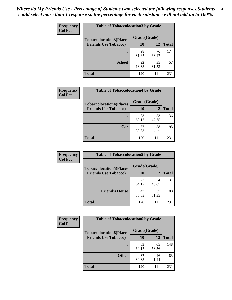| Frequency      | <b>Table of Tobaccolocation 3 by Grade</b> |              |             |              |
|----------------|--------------------------------------------|--------------|-------------|--------------|
| <b>Col Pct</b> | <b>Tobaccolocation3(Places</b>             | Grade(Grade) |             |              |
|                | <b>Friends Use Tobacco)</b>                | 10           | 12          | <b>Total</b> |
|                |                                            | 98<br>81.67  | 76<br>68.47 | 174          |
|                | <b>School</b>                              | 22<br>18.33  | 35<br>31.53 | 57           |
|                | <b>Total</b>                               | 120          | 111         | 231          |

| Frequency      | <b>Table of Tobaccolocation4 by Grade</b>                     |                           |             |              |
|----------------|---------------------------------------------------------------|---------------------------|-------------|--------------|
| <b>Col Pct</b> | <b>Tobaccolocation4(Places</b><br><b>Friends Use Tobacco)</b> | Grade(Grade)<br><b>10</b> | 12          | <b>Total</b> |
|                |                                                               | 83<br>69.17               | 53<br>47.75 | 136          |
|                | Car                                                           | 37<br>30.83               | 58<br>52.25 | 95           |
|                | <b>Total</b>                                                  | 120                       | 111         | 231          |

| Frequency<br><b>Col Pct</b> | <b>Table of Tobaccolocation5 by Grade</b>                     |                    |             |              |
|-----------------------------|---------------------------------------------------------------|--------------------|-------------|--------------|
|                             | <b>Tobaccolocation5(Places</b><br><b>Friends Use Tobacco)</b> | Grade(Grade)<br>10 | <b>12</b>   | <b>Total</b> |
|                             |                                                               |                    |             |              |
|                             |                                                               | 77<br>64.17        | 54<br>48.65 | 131          |
|                             | <b>Friend's House</b>                                         | 43<br>35.83        | 57<br>51.35 | 100          |
|                             | <b>Total</b>                                                  | 120                | 111         | 231          |

| Frequency      | <b>Table of Tobaccolocation6 by Grade</b> |              |             |              |  |
|----------------|-------------------------------------------|--------------|-------------|--------------|--|
| <b>Col Pct</b> | <b>Tobaccolocation6(Places</b>            | Grade(Grade) |             |              |  |
|                | <b>Friends Use Tobacco)</b>               | 10           | 12          | <b>Total</b> |  |
|                |                                           | 83<br>69.17  | 65<br>58.56 | 148          |  |
|                | <b>Other</b>                              | 37<br>30.83  | 46<br>41.44 | 83           |  |
|                | <b>Total</b>                              | 120          |             | 231          |  |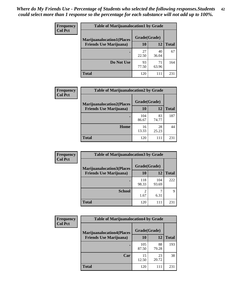| <b>Frequency</b> | <b>Table of Marijuanalocation1 by Grade</b> |              |             |              |
|------------------|---------------------------------------------|--------------|-------------|--------------|
| <b>Col Pct</b>   | <b>Marijuanalocation1(Places</b>            | Grade(Grade) |             |              |
|                  | <b>Friends Use Marijuana</b> )              | 10           | 12          | <b>Total</b> |
|                  |                                             | 27<br>22.50  | 40<br>36.04 | 67           |
|                  | Do Not Use                                  | 93<br>77.50  | 71<br>63.96 | 164          |
|                  | <b>Total</b>                                | 120          | 111         | 231          |

| <b>Frequency</b> | <b>Table of Marijuanalocation2 by Grade</b>                        |                    |             |              |
|------------------|--------------------------------------------------------------------|--------------------|-------------|--------------|
| <b>Col Pct</b>   | <b>Marijuanalocation2(Places</b><br><b>Friends Use Marijuana</b> ) | Grade(Grade)<br>10 | 12          | <b>Total</b> |
|                  |                                                                    | 104<br>86.67       | 83<br>74.77 | 187          |
|                  | Home                                                               | 16<br>13.33        | 28<br>25.23 | 44           |
|                  | <b>Total</b>                                                       | 120                | 111         | 231          |

| Frequency<br><b>Col Pct</b> | <b>Table of Marijuanalocation3 by Grade</b> |              |              |              |
|-----------------------------|---------------------------------------------|--------------|--------------|--------------|
|                             | <b>Marijuanalocation3</b> (Places           | Grade(Grade) |              |              |
|                             | <b>Friends Use Marijuana</b> )              | 10           | 12           | <b>Total</b> |
|                             |                                             | 118<br>98.33 | 104<br>93.69 | 222          |
|                             | <b>School</b>                               | 1.67         | 6.31         | Q            |
|                             | <b>Total</b>                                | 120          | 111          | 231          |

| <b>Frequency</b> | <b>Table of Marijuanalocation4 by Grade</b> |              |             |              |  |
|------------------|---------------------------------------------|--------------|-------------|--------------|--|
| <b>Col Pct</b>   | <b>Marijuanalocation4(Places</b>            | Grade(Grade) |             |              |  |
|                  | <b>Friends Use Marijuana</b> )              | 10           | 12          | <b>Total</b> |  |
|                  |                                             | 105<br>87.50 | 88<br>79.28 | 193          |  |
|                  | Car                                         | 15<br>12.50  | 23<br>20.72 | 38           |  |
|                  | <b>Total</b>                                | 120          | 111         | 231          |  |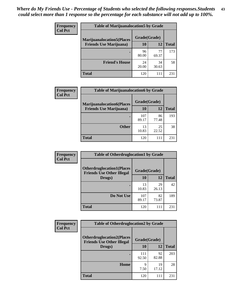| <b>Frequency</b> | <b>Table of Marijuanalocation5 by Grade</b> |              |             |              |
|------------------|---------------------------------------------|--------------|-------------|--------------|
| <b>Col Pct</b>   | <b>Marijuanalocation5</b> (Places           | Grade(Grade) |             |              |
|                  | <b>Friends Use Marijuana</b> )              | 10           | 12          | <b>Total</b> |
|                  |                                             | 96<br>80.00  | 77<br>69.37 | 173          |
|                  | <b>Friend's House</b>                       | 24<br>20.00  | 34<br>30.63 | 58           |
|                  | <b>Total</b>                                | 120          | 111         | 231          |

| <b>Frequency</b> | <b>Table of Marijuanalocation6 by Grade</b>                        |                    |             |              |
|------------------|--------------------------------------------------------------------|--------------------|-------------|--------------|
| <b>Col Pct</b>   | <b>Marijuanalocation6(Places</b><br><b>Friends Use Marijuana</b> ) | Grade(Grade)<br>10 | 12          | <b>Total</b> |
|                  |                                                                    | 107<br>89.17       | 86<br>77.48 | 193          |
|                  | <b>Other</b>                                                       | 13<br>10.83        | 25<br>22.52 | 38           |
|                  | <b>Total</b>                                                       | 120                | 111         | 231          |

| <b>Frequency</b> | <b>Table of Otherdruglocation1 by Grade</b>                          |              |             |              |
|------------------|----------------------------------------------------------------------|--------------|-------------|--------------|
| <b>Col Pct</b>   | <b>Otherdruglocation1(Places</b><br><b>Friends Use Other Illegal</b> | Grade(Grade) |             |              |
|                  | Drugs)                                                               | 10           | <b>12</b>   | <b>Total</b> |
|                  |                                                                      | 13<br>10.83  | 29<br>26.13 | 42           |
|                  | Do Not Use                                                           | 107<br>89.17 | 82<br>73.87 | 189          |
|                  | <b>Total</b>                                                         | 120          | 111         | 231          |

| Frequency      | <b>Table of Otherdruglocation2 by Grade</b>                          |              |             |              |
|----------------|----------------------------------------------------------------------|--------------|-------------|--------------|
| <b>Col Pct</b> | <b>Otherdruglocation2(Places</b><br><b>Friends Use Other Illegal</b> | Grade(Grade) |             |              |
|                | Drugs)                                                               | 10           | 12          | <b>Total</b> |
|                |                                                                      | 111<br>92.50 | 92<br>82.88 | 203          |
|                | Home                                                                 | 9<br>7.50    | 19<br>17.12 | 28           |
|                | <b>Total</b>                                                         | 120          | 111         | 231          |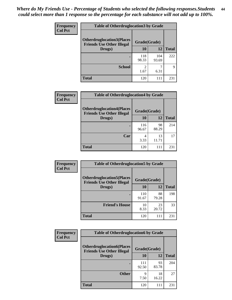| <b>Frequency</b> | <b>Table of Otherdruglocation 3 by Grade</b>                         |                        |              |              |
|------------------|----------------------------------------------------------------------|------------------------|--------------|--------------|
| <b>Col Pct</b>   | <b>Otherdruglocation3(Places</b><br><b>Friends Use Other Illegal</b> | Grade(Grade)           |              |              |
|                  | Drugs)                                                               | 10                     | 12           | <b>Total</b> |
|                  |                                                                      | 118<br>98.33           | 104<br>93.69 | 222          |
|                  | <b>School</b>                                                        | $\mathfrak{D}$<br>1.67 | 6.31         | 9            |
|                  | <b>Total</b>                                                         | 120                    | 111          | 231          |

| Frequency      | <b>Table of Otherdruglocation4 by Grade</b>                          |              |             |              |  |
|----------------|----------------------------------------------------------------------|--------------|-------------|--------------|--|
| <b>Col Pct</b> | <b>Otherdruglocation4(Places</b><br><b>Friends Use Other Illegal</b> | Grade(Grade) |             |              |  |
|                | Drugs)                                                               | 10           | 12          | <b>Total</b> |  |
|                |                                                                      | 116<br>96.67 | 98<br>88.29 | 214          |  |
|                | Car                                                                  | 4<br>3.33    | 13<br>11.71 | 17           |  |
|                | <b>Total</b>                                                         | 120          | 111         | 231          |  |

| Frequency      | <b>Table of Otherdruglocation5 by Grade</b>                          |              |             |              |
|----------------|----------------------------------------------------------------------|--------------|-------------|--------------|
| <b>Col Pct</b> | <b>Otherdruglocation5(Places</b><br><b>Friends Use Other Illegal</b> | Grade(Grade) |             |              |
|                | Drugs)                                                               | 10           | 12          | <b>Total</b> |
|                |                                                                      | 110<br>91.67 | 88<br>79.28 | 198          |
|                | <b>Friend's House</b>                                                | 10<br>8.33   | 23<br>20.72 | 33           |
|                | <b>Total</b>                                                         | 120          | 111         | 231          |

| Frequency      | <b>Table of Otherdruglocation6 by Grade</b>                           |              |             |              |
|----------------|-----------------------------------------------------------------------|--------------|-------------|--------------|
| <b>Col Pct</b> | <b>Otherdruglocation6(Places)</b><br><b>Friends Use Other Illegal</b> | Grade(Grade) |             |              |
|                | Drugs)                                                                | 10           | 12          | <b>Total</b> |
|                |                                                                       | 111<br>92.50 | 93<br>83.78 | 204          |
|                | <b>Other</b>                                                          | 9<br>7.50    | 18<br>16.22 | 27           |
|                | <b>Total</b>                                                          | 120          | 111         | 231          |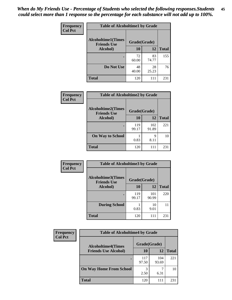| Frequency      | <b>Table of Alcoholtime1 by Grade</b>           |              |             |              |
|----------------|-------------------------------------------------|--------------|-------------|--------------|
| <b>Col Pct</b> | <b>Alcoholtime1(Times</b><br><b>Friends Use</b> | Grade(Grade) |             |              |
|                | Alcohol)                                        | 10           | 12          | <b>Total</b> |
|                |                                                 | 72<br>60.00  | 83<br>74.77 | 155          |
|                | Do Not Use                                      | 48<br>40.00  | 28<br>25.23 | 76           |
|                | <b>Total</b>                                    | 120          | 111         | 231          |

| Frequency      | <b>Table of Alcoholtime2 by Grade</b>           |              |              |              |
|----------------|-------------------------------------------------|--------------|--------------|--------------|
| <b>Col Pct</b> | <b>Alcoholtime2(Times</b><br><b>Friends Use</b> | Grade(Grade) |              |              |
|                | Alcohol)                                        | 10           | 12           | <b>Total</b> |
|                |                                                 | 119<br>99.17 | 102<br>91.89 | 221          |
|                | <b>On Way to School</b>                         | 0.83         | 9<br>8.11    | 10           |
|                | <b>Total</b>                                    | 120          | 111          | 231          |

| Frequency<br><b>Col Pct</b> | <b>Table of Alcoholtime3 by Grade</b>           |              |              |              |
|-----------------------------|-------------------------------------------------|--------------|--------------|--------------|
|                             | <b>Alcoholtime3(Times</b><br><b>Friends Use</b> | Grade(Grade) |              |              |
|                             | Alcohol)                                        | 10           | 12           | <b>Total</b> |
|                             |                                                 | 119<br>99.17 | 101<br>90.99 | 220          |
|                             | <b>During School</b>                            | 0.83         | 10<br>9.01   | 11           |
|                             | Total                                           | 120          | 111          | 231          |

| <b>Frequency</b> | <b>Table of Alcoholtime4 by Grade</b> |              |              |              |  |
|------------------|---------------------------------------|--------------|--------------|--------------|--|
| <b>Col Pct</b>   | <b>Alcoholtime4(Times</b>             | Grade(Grade) |              |              |  |
|                  | <b>Friends Use Alcohol)</b>           | 10           | 12           | <b>Total</b> |  |
|                  |                                       | 117<br>97.50 | 104<br>93.69 | 221          |  |
|                  | <b>On Way Home From School</b>        | 3<br>2.50    | ┑<br>6.31    | 10           |  |
|                  | <b>Total</b>                          | 120          | 111          | 231          |  |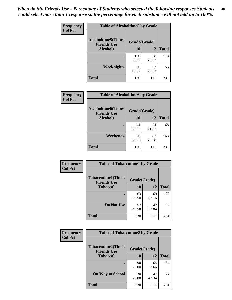*When do My Friends Use - Percentage of Students who selected the following responses.Students could select more than 1 response so the percentage for each substance will not add up to 100%.* **46**

| Frequency      | <b>Table of Alcoholtime5 by Grade</b>            |              |             |              |
|----------------|--------------------------------------------------|--------------|-------------|--------------|
| <b>Col Pct</b> | <b>Alcoholtime5</b> (Times<br><b>Friends Use</b> | Grade(Grade) |             |              |
|                | Alcohol)                                         | 10           | 12          | <b>Total</b> |
|                |                                                  | 100<br>83.33 | 78<br>70.27 | 178          |
|                | Weeknights                                       | 20<br>16.67  | 33<br>29.73 | 53           |
|                | <b>Total</b>                                     | 120          | 111         | 231          |

| Frequency      | <b>Table of Alcoholtime6 by Grade</b>           |              |             |              |
|----------------|-------------------------------------------------|--------------|-------------|--------------|
| <b>Col Pct</b> | <b>Alcoholtime6(Times</b><br><b>Friends Use</b> | Grade(Grade) |             |              |
|                | Alcohol)                                        | 10           | 12          | <b>Total</b> |
|                |                                                 | 44<br>36.67  | 24<br>21.62 | 68           |
|                | Weekends                                        | 76<br>63.33  | 87<br>78.38 | 163          |
|                | <b>Total</b>                                    | 120          | 111         | 231          |

| Frequency<br><b>Col Pct</b> | <b>Table of Tobaccotime1 by Grade</b>           |              |             |              |
|-----------------------------|-------------------------------------------------|--------------|-------------|--------------|
|                             | <b>Tobaccotime1(Times</b><br><b>Friends Use</b> | Grade(Grade) |             |              |
|                             | <b>Tobacco</b> )                                | 10           | 12          | <b>Total</b> |
|                             |                                                 | 63<br>52.50  | 69<br>62.16 | 132          |
|                             | Do Not Use                                      | 57<br>47.50  | 42<br>37.84 | 99           |
|                             | <b>Total</b>                                    | 120          | 111         | 231          |

| <b>Frequency</b> |                                                 | <b>Table of Tobaccotime2 by Grade</b> |             |              |
|------------------|-------------------------------------------------|---------------------------------------|-------------|--------------|
| <b>Col Pct</b>   | <b>Tobaccotime2(Times</b><br><b>Friends Use</b> | Grade(Grade)                          |             |              |
|                  | <b>Tobacco</b> )                                | 10                                    | 12          | <b>Total</b> |
|                  |                                                 | 90<br>75.00                           | 64<br>57.66 | 154          |
|                  | <b>On Way to School</b>                         | 30<br>25.00                           | 47<br>42.34 | 77           |
|                  | <b>Total</b>                                    | 120                                   | 111         | 231          |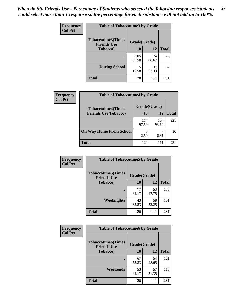*When do My Friends Use - Percentage of Students who selected the following responses.Students could select more than 1 response so the percentage for each substance will not add up to 100%.* **47**

| <b>Frequency</b> | <b>Table of Tobaccotime3 by Grade</b>           |              |             |              |  |
|------------------|-------------------------------------------------|--------------|-------------|--------------|--|
| <b>Col Pct</b>   | <b>Tobaccotime3(Times</b><br><b>Friends Use</b> | Grade(Grade) |             |              |  |
|                  | <b>Tobacco</b> )                                | 10           | 12          | <b>Total</b> |  |
|                  |                                                 | 105<br>87.50 | 74<br>66.67 | 179          |  |
|                  | <b>During School</b>                            | 15<br>12.50  | 37<br>33.33 | 52           |  |
|                  | <b>Total</b>                                    | 120          | 111         | 231          |  |

| <b>Frequency</b><br><b>Col Pct</b> | <b>Table of Tobaccotime4 by Grade</b> |              |              |              |
|------------------------------------|---------------------------------------|--------------|--------------|--------------|
|                                    | <b>Tobaccotime4(Times</b>             | Grade(Grade) |              |              |
|                                    | <b>Friends Use Tobacco)</b>           | 10           | 12           | <b>Total</b> |
|                                    |                                       | 117<br>97.50 | 104<br>93.69 | 221          |
|                                    | <b>On Way Home From School</b>        | 3<br>2.50    | 6.31         | 10           |
|                                    | <b>Total</b>                          | 120          | 111          | 231          |

| Frequency      | <b>Table of Tobaccotime5 by Grade</b>            |              |             |              |
|----------------|--------------------------------------------------|--------------|-------------|--------------|
| <b>Col Pct</b> | <b>Tobaccotime5</b> (Times<br><b>Friends Use</b> | Grade(Grade) |             |              |
|                | <b>Tobacco</b> )                                 | 10           | 12          | <b>Total</b> |
|                |                                                  | 77<br>64.17  | 53<br>47.75 | 130          |
|                | Weeknights                                       | 43<br>35.83  | 58<br>52.25 | 101          |
|                | <b>Total</b>                                     | 120          | 111         | 231          |

| Frequency<br><b>Col Pct</b> | <b>Table of Tobaccotime6 by Grade</b>           |              |             |              |  |
|-----------------------------|-------------------------------------------------|--------------|-------------|--------------|--|
|                             | <b>Tobaccotime6(Times</b><br><b>Friends Use</b> | Grade(Grade) |             |              |  |
|                             | <b>Tobacco</b> )                                | 10           | 12          | <b>Total</b> |  |
|                             | ٠                                               | 67<br>55.83  | 54<br>48.65 | 121          |  |
|                             | Weekends                                        | 53<br>44.17  | 57<br>51.35 | 110          |  |
|                             | <b>Total</b>                                    | 120          | 111         | 231          |  |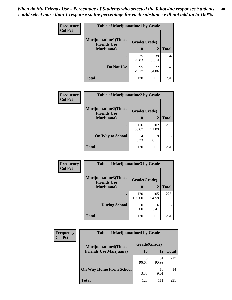| Frequency      | <b>Table of Marijuanatime1 by Grade</b>           |              |             |              |
|----------------|---------------------------------------------------|--------------|-------------|--------------|
| <b>Col Pct</b> | <b>Marijuanatime1(Times</b><br><b>Friends Use</b> | Grade(Grade) |             |              |
|                | Marijuana)                                        | 10           | 12          | <b>Total</b> |
|                |                                                   | 25<br>20.83  | 39<br>35.14 | 64           |
|                | Do Not Use                                        | 95<br>79.17  | 72<br>64.86 | 167          |
|                | <b>Total</b>                                      | 120          | 111         | 231          |

| Frequency      |                                                   | <b>Table of Marijuanatime2 by Grade</b> |              |              |  |
|----------------|---------------------------------------------------|-----------------------------------------|--------------|--------------|--|
| <b>Col Pct</b> | <b>Marijuanatime2(Times</b><br><b>Friends Use</b> | Grade(Grade)                            |              |              |  |
|                | Marijuana)                                        | 10                                      | 12           | <b>Total</b> |  |
|                |                                                   | 116<br>96.67                            | 102<br>91.89 | 218          |  |
|                | <b>On Way to School</b>                           | 4<br>3.33                               | 9<br>8.11    | 13           |  |
|                | <b>Total</b>                                      | 120                                     | 111          | 231          |  |

| Frequency      | <b>Table of Marijuanatime3 by Grade</b>    |               |              |              |
|----------------|--------------------------------------------|---------------|--------------|--------------|
| <b>Col Pct</b> | Marijuanatime3(Times<br><b>Friends Use</b> | Grade(Grade)  |              |              |
|                | Marijuana)                                 | 10            | 12           | <b>Total</b> |
|                |                                            | 120<br>100.00 | 105<br>94.59 | 225          |
|                | <b>During School</b>                       | 0.00          | 6<br>5.41    | 6            |
|                | <b>Total</b>                               | 120           | 111          | 231          |

| <b>Frequency</b> | <b>Table of Marijuanatime4 by Grade</b> |              |              |              |
|------------------|-----------------------------------------|--------------|--------------|--------------|
| <b>Col Pct</b>   | <b>Marijuanatime4(Times</b>             | Grade(Grade) |              |              |
|                  | <b>Friends Use Marijuana</b> )          | 10           | 12           | <b>Total</b> |
|                  |                                         | 116<br>96.67 | 101<br>90.99 | 217          |
|                  | <b>On Way Home From School</b>          | 3.33         | 10<br>9.01   | 14           |
|                  | <b>Total</b>                            | 120          | 111          | 231          |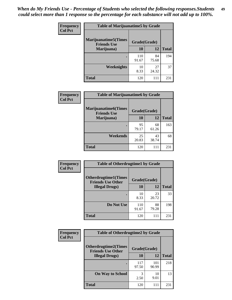| Frequency      | <b>Table of Marijuanatime5 by Grade</b>            |              |             |              |
|----------------|----------------------------------------------------|--------------|-------------|--------------|
| <b>Col Pct</b> | <b>Marijuanatime5</b> (Times<br><b>Friends Use</b> | Grade(Grade) |             |              |
|                | Marijuana)                                         | 10           | 12          | <b>Total</b> |
|                |                                                    | 110<br>91.67 | 84<br>75.68 | 194          |
|                | Weeknights                                         | 10<br>8.33   | 27<br>24.32 | 37           |
|                | <b>Total</b>                                       | 120          | 111         | 231          |

| Frequency      | <b>Table of Marijuanatime6 by Grade</b>    |              |             |              |
|----------------|--------------------------------------------|--------------|-------------|--------------|
| <b>Col Pct</b> | Marijuanatime6(Times<br><b>Friends Use</b> | Grade(Grade) |             |              |
|                | Marijuana)                                 | 10           | 12          | <b>Total</b> |
|                |                                            | 95<br>79.17  | 68<br>61.26 | 163          |
|                | Weekends                                   | 25<br>20.83  | 43<br>38.74 | 68           |
|                | <b>Total</b>                               | 120          | 111         | 231          |

| <b>Frequency</b> | <b>Table of Otherdrugtime1 by Grade</b>                 |              |             |              |
|------------------|---------------------------------------------------------|--------------|-------------|--------------|
| <b>Col Pct</b>   | <b>Otherdrugtime1(Times</b><br><b>Friends Use Other</b> | Grade(Grade) |             |              |
|                  | <b>Illegal Drugs</b> )                                  | 10           | 12          | <b>Total</b> |
|                  |                                                         | 10<br>8.33   | 23<br>20.72 | 33           |
|                  | Do Not Use                                              | 110<br>91.67 | 88<br>79.28 | 198          |
|                  | <b>Total</b>                                            | 120          | 111         | 231          |

| Frequency      | <b>Table of Otherdrugtime2 by Grade</b>                 |              |              |              |  |  |  |
|----------------|---------------------------------------------------------|--------------|--------------|--------------|--|--|--|
| <b>Col Pct</b> | <b>Otherdrugtime2(Times</b><br><b>Friends Use Other</b> | Grade(Grade) |              |              |  |  |  |
|                | <b>Illegal Drugs</b> )                                  | 10           | 12           | <b>Total</b> |  |  |  |
|                |                                                         | 117<br>97.50 | 101<br>90.99 | 218          |  |  |  |
|                | <b>On Way to School</b>                                 | 3<br>2.50    | 10<br>9.01   | 13           |  |  |  |
|                | Total                                                   | 120          | 111          | 231          |  |  |  |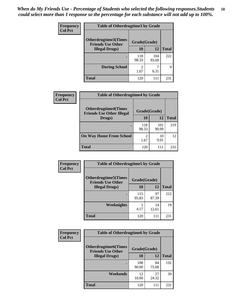| <b>Frequency</b> | <b>Table of Otherdrugtime3 by Grade</b>                 |              |              |              |  |  |
|------------------|---------------------------------------------------------|--------------|--------------|--------------|--|--|
| <b>Col Pct</b>   | <b>Otherdrugtime3(Times</b><br><b>Friends Use Other</b> | Grade(Grade) |              |              |  |  |
|                  | <b>Illegal Drugs</b> )                                  | 10           | 12           | <b>Total</b> |  |  |
|                  |                                                         | 118<br>98.33 | 104<br>93.69 | 222          |  |  |
|                  | <b>During School</b>                                    | 2<br>1.67    | 6.31         | 9            |  |  |
|                  | <b>Total</b>                                            | 120          | 111          | 231          |  |  |

| Frequency      | <b>Table of Otherdrugtime4 by Grade</b>                         |                        |              |              |  |  |  |
|----------------|-----------------------------------------------------------------|------------------------|--------------|--------------|--|--|--|
| <b>Col Pct</b> | <b>Otherdrugtime4(Times</b><br><b>Friends Use Other Illegal</b> | Grade(Grade)           |              |              |  |  |  |
|                | Drugs)                                                          | 10                     | 12           | <b>Total</b> |  |  |  |
|                |                                                                 | 118<br>98.33           | 101<br>90.99 | 219          |  |  |  |
|                | <b>On Way Home From School</b>                                  | $\mathfrak{D}$<br>1.67 | 10<br>9.01   | 12           |  |  |  |
|                | <b>Total</b>                                                    | 120                    | 111          | 231          |  |  |  |

| <b>Frequency</b><br><b>Col Pct</b> | <b>Table of Otherdrugtime5 by Grade</b>                  |              |             |              |  |  |
|------------------------------------|----------------------------------------------------------|--------------|-------------|--------------|--|--|
|                                    | <b>Otherdrugtime5</b> (Times<br><b>Friends Use Other</b> | Grade(Grade) |             |              |  |  |
|                                    | <b>Illegal Drugs</b> )                                   | 10           | 12          | <b>Total</b> |  |  |
|                                    |                                                          | 115<br>95.83 | 97<br>87.39 | 212          |  |  |
|                                    | <b>Weeknights</b>                                        | 5<br>4.17    | 14<br>12.61 | 19           |  |  |
|                                    | Total                                                    | 120          | 111         | 231          |  |  |

| <b>Frequency</b> | <b>Table of Otherdrugtime6 by Grade</b>                 |              |             |              |  |  |
|------------------|---------------------------------------------------------|--------------|-------------|--------------|--|--|
| <b>Col Pct</b>   | <b>Otherdrugtime6(Times</b><br><b>Friends Use Other</b> | Grade(Grade) |             |              |  |  |
|                  | <b>Illegal Drugs</b> )                                  | 10           | 12          | <b>Total</b> |  |  |
|                  |                                                         | 108<br>90.00 | 84<br>75.68 | 192          |  |  |
|                  | Weekends                                                | 12<br>10.00  | 27<br>24.32 | 39           |  |  |
|                  | Total                                                   | 120          | 111         | 231          |  |  |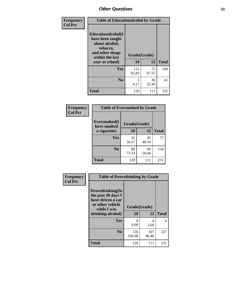| Frequency      | <b>Table of Educationalcohol by Grade</b>                                                                  |              |             |              |  |  |
|----------------|------------------------------------------------------------------------------------------------------------|--------------|-------------|--------------|--|--|
| <b>Col Pct</b> | Educationalcohol(I<br>have been taught<br>about alcohol,<br>tobacco,<br>and other drugs<br>within the last | Grade(Grade) |             |              |  |  |
|                | year at school)                                                                                            | 10           | 12          | <b>Total</b> |  |  |
|                | <b>Yes</b>                                                                                                 | 115<br>95.83 | 75<br>67.57 | 190          |  |  |
|                | N <sub>0</sub>                                                                                             | 5<br>4.17    | 36<br>32.43 | 41           |  |  |
|                | <b>Total</b>                                                                                               | 120          | 111         | 231          |  |  |

| Frequency      | <b>Table of Eversmoked by Grade</b> |              |             |              |  |  |  |
|----------------|-------------------------------------|--------------|-------------|--------------|--|--|--|
| <b>Col Pct</b> | Eversmoked(I<br>have smoked         | Grade(Grade) |             |              |  |  |  |
|                | a cigarette)                        | 10           | 12          | <b>Total</b> |  |  |  |
|                | <b>Yes</b>                          | 32<br>26.67  | 45<br>40.54 | 77           |  |  |  |
|                | N <sub>0</sub>                      | 88<br>73.33  | 66<br>59.46 | 154          |  |  |  |
|                | <b>Total</b>                        | 120          | 111         | 231          |  |  |  |

| Frequency<br><b>Col Pct</b> | <b>Table of Drovedrinking by Grade</b>                                                                              |                      |              |     |  |  |  |
|-----------------------------|---------------------------------------------------------------------------------------------------------------------|----------------------|--------------|-----|--|--|--|
|                             | Drovedrinking(In<br>the past 30 days I<br>have driven a car<br>or other vehicle<br>while I was<br>drinking alcohol) | Grade(Grade)<br>10   | <b>Total</b> |     |  |  |  |
|                             | <b>Yes</b>                                                                                                          | $\mathbf{0}$<br>0.00 | 4<br>3.60    | 4   |  |  |  |
|                             | N <sub>0</sub>                                                                                                      | 120<br>100.00        | 107<br>96.40 | 227 |  |  |  |
|                             | <b>Total</b>                                                                                                        | 120                  | 111          | 231 |  |  |  |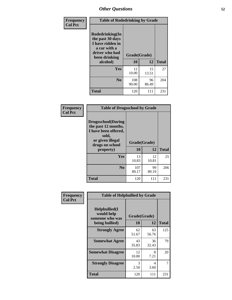| Frequency      | <b>Table of Rodedrinking by Grade</b>                                                                      |              |             |              |  |  |  |
|----------------|------------------------------------------------------------------------------------------------------------|--------------|-------------|--------------|--|--|--|
| <b>Col Pct</b> | Rodedrinking(In<br>the past 30 days<br>I have ridden in<br>a car with a<br>driver who had<br>been drinking | Grade(Grade) |             |              |  |  |  |
|                | alcohol)                                                                                                   | 10           | 12          | <b>Total</b> |  |  |  |
|                | <b>Yes</b>                                                                                                 | 12<br>10.00  | 15<br>13.51 | 27           |  |  |  |
|                | N <sub>0</sub>                                                                                             | 108<br>90.00 | 96<br>86.49 | 204          |  |  |  |
|                | <b>Total</b>                                                                                               | 120          | 111         | 231          |  |  |  |

#### **Frequency Col Pct**

| <b>Table of Drugsschool by Grade</b>                                                                                      |              |             |              |  |  |  |
|---------------------------------------------------------------------------------------------------------------------------|--------------|-------------|--------------|--|--|--|
| <b>Drugsschool</b> (During<br>the past 12 months,<br>I have been offered,<br>sold,<br>or given illegal<br>drugs on school | Grade(Grade) |             |              |  |  |  |
| property)                                                                                                                 | 10           | 12          | <b>Total</b> |  |  |  |
| Yes                                                                                                                       | 13<br>10.83  | 12<br>10.81 | 25           |  |  |  |
| N <sub>0</sub>                                                                                                            | 107<br>89.17 | 99<br>89.19 | 206          |  |  |  |
|                                                                                                                           |              |             |              |  |  |  |

| Frequency      | <b>Table of Helpbullied by Grade</b>           |              |             |              |  |  |  |
|----------------|------------------------------------------------|--------------|-------------|--------------|--|--|--|
| <b>Col Pct</b> | Helpbullied(I<br>would help<br>someone who was | Grade(Grade) |             |              |  |  |  |
|                | being bullied)                                 | 10           | 12          | <b>Total</b> |  |  |  |
|                | <b>Strongly Agree</b>                          | 62<br>51.67  | 63<br>56.76 | 125          |  |  |  |
|                | <b>Somewhat Agree</b>                          | 43<br>35.83  | 36<br>32.43 | 79           |  |  |  |
|                | <b>Somewhat Disagree</b>                       | 12<br>10.00  | 8<br>7.21   | 20           |  |  |  |
|                | <b>Strongly Disagree</b>                       | 3<br>2.50    | 4<br>3.60   |              |  |  |  |
|                | <b>Total</b>                                   | 120          | 111         | 231          |  |  |  |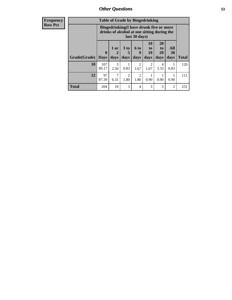| <b>Frequency</b><br><b>Row Pct</b> | <b>Table of Grade by Bingedrinking</b><br>Bingedrinking(I have drunk five or more |                             |                                                              |                        |                                |                          |                       |                |                     |
|------------------------------------|-----------------------------------------------------------------------------------|-----------------------------|--------------------------------------------------------------|------------------------|--------------------------------|--------------------------|-----------------------|----------------|---------------------|
|                                    |                                                                                   |                             | drinks of alcohol at one sitting during the<br>last 30 days) |                        |                                |                          |                       |                |                     |
|                                    |                                                                                   | $\bf{0}$                    | 1 or                                                         | 3 <sub>to</sub>        | $6$ to<br>9                    | 10<br>$\mathbf{t}$<br>19 | <b>20</b><br>to<br>29 | All<br>30      |                     |
|                                    | Grade(Grade)  <br>10                                                              | <b>Days</b><br>107<br>89.17 | days<br>3                                                    | days<br>0.83           | days<br>$\mathfrak{D}$<br>1.67 | days<br>$\mathfrak{D}$   | days<br>4<br>3.33     | days<br>0.83   | <b>Total</b><br>120 |
|                                    | 12                                                                                | 97<br>87.39                 | 2.50<br>6.31                                                 | $\mathfrak{D}$<br>1.80 | $\mathfrak{D}$<br>1.80         | 1.67<br>0.90             | 0.90                  | 0.90           | 111                 |
|                                    | <b>Total</b>                                                                      | 204                         | 10                                                           | 3                      | 4                              | 3                        | 5                     | $\overline{2}$ | 231                 |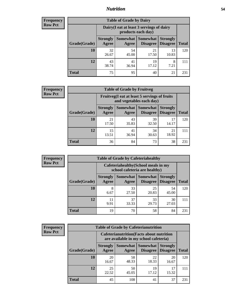### *Nutrition* **54**

| <b>Frequency</b><br>Row Pct |
|-----------------------------|
|                             |

| <b>Table of Grade by Dairy</b> |                          |                                                                 |                             |                                    |              |  |
|--------------------------------|--------------------------|-----------------------------------------------------------------|-----------------------------|------------------------------------|--------------|--|
|                                |                          | Dairy (I eat at least 3 servings of dairy<br>products each day) |                             |                                    |              |  |
| Grade(Grade)                   | <b>Strongly</b><br>Agree | Somewhat<br>Agree                                               | <b>Somewhat</b><br>Disagree | <b>Strongly</b><br><b>Disagree</b> | <b>Total</b> |  |
| 10                             | 32<br>26.67              | 54<br>45.00                                                     | 21<br>17.50                 | 13<br>10.83                        | 120          |  |
| 12                             | 43<br>38.74              | 41<br>36.94                                                     | 19<br>17.12                 | 8<br>7.21                          | 111          |  |
| <b>Total</b>                   | 75                       | 95                                                              | 40                          | 21                                 | 231          |  |

| <b>Frequency</b> |  |
|------------------|--|
| <b>Row Pct</b>   |  |

| <b>Table of Grade by Fruitveg</b> |                          |                                                                          |                                        |                                    |              |  |
|-----------------------------------|--------------------------|--------------------------------------------------------------------------|----------------------------------------|------------------------------------|--------------|--|
|                                   |                          | Fruitveg(I eat at least 5 servings of fruits<br>and vegetables each day) |                                        |                                    |              |  |
| Grade(Grade)                      | <b>Strongly</b><br>Agree | Agree                                                                    | <b>Somewhat   Somewhat</b><br>Disagree | <b>Strongly</b><br><b>Disagree</b> | <b>Total</b> |  |
| 10                                | 21<br>17.50              | 43<br>35.83                                                              | 39<br>32.50                            | 17<br>14.17                        | 120          |  |
| 12                                | 15<br>13.51              | 41<br>36.94                                                              | 34<br>30.63                            | 21<br>18.92                        | 111          |  |
| <b>Total</b>                      | 36                       | 84                                                                       | 73                                     | 38                                 | 231          |  |

| Frequency      | <b>Table of Grade by Cafeteriahealthy</b> |                          |                                                                       |                                        |                                    |              |  |
|----------------|-------------------------------------------|--------------------------|-----------------------------------------------------------------------|----------------------------------------|------------------------------------|--------------|--|
| <b>Row Pct</b> |                                           |                          | Cafeteriahealthy (School meals in my<br>school cafeteria are healthy) |                                        |                                    |              |  |
|                | Grade(Grade)                              | <b>Strongly</b><br>Agree | Agree                                                                 | Somewhat   Somewhat<br><b>Disagree</b> | <b>Strongly</b><br><b>Disagree</b> | <b>Total</b> |  |
|                | 10                                        | 8<br>6.67                | 33<br>27.50                                                           | 25<br>20.83                            | 54<br>45.00                        | 120          |  |
|                | 12                                        | 11<br>9.91               | 37<br>33.33                                                           | 33<br>29.73                            | 30<br>27.03                        | 111          |  |
|                | <b>Total</b>                              | 19                       | 70                                                                    | 58                                     | 84                                 | 231          |  |

| <b>Frequency</b> |
|------------------|
| <b>Row Pct</b>   |

| <b>Table of Grade by Cafeterianutrition</b> |                          |                                                                                           |                             |                                    |              |  |
|---------------------------------------------|--------------------------|-------------------------------------------------------------------------------------------|-----------------------------|------------------------------------|--------------|--|
|                                             |                          | <b>Cafeterianutrition</b> (Facts about nutrition<br>are available in my school cafeteria) |                             |                                    |              |  |
| Grade(Grade)                                | <b>Strongly</b><br>Agree | <b>Somewhat</b><br>Agree                                                                  | <b>Somewhat</b><br>Disagree | <b>Strongly</b><br><b>Disagree</b> | <b>Total</b> |  |
| 10                                          | 20<br>16.67              | 58<br>48.33                                                                               | 22<br>18.33                 | 20<br>16.67                        | 120          |  |
| 12                                          | 25<br>22.52              | 50<br>45.05                                                                               | 19<br>17.12                 | 17<br>15.32                        | 111          |  |
| <b>Total</b>                                | 45                       | 108                                                                                       | 41                          | 37                                 | 231          |  |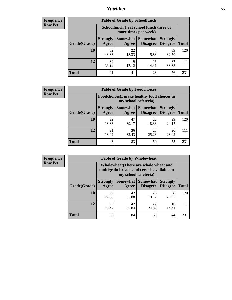### *Nutrition* **55**

| Frequency |
|-----------|
| Row Pct   |

| <b>Table of Grade by Schoollunch</b> |                          |                                                                 |                             |                                    |              |  |
|--------------------------------------|--------------------------|-----------------------------------------------------------------|-----------------------------|------------------------------------|--------------|--|
|                                      |                          | Schoollunch(I eat school lunch three or<br>more times per week) |                             |                                    |              |  |
| Grade(Grade)                         | <b>Strongly</b><br>Agree | Somewhat  <br>Agree                                             | <b>Somewhat</b><br>Disagree | <b>Strongly</b><br><b>Disagree</b> | <b>Total</b> |  |
| 10                                   | 52<br>43.33              | 22<br>18.33                                                     | 5.83                        | 39<br>32.50                        | 120          |  |
| 12                                   | 39<br>35.14              | 19<br>17.12                                                     | 16<br>14.41                 | 37<br>33.33                        | 111          |  |
| <b>Total</b>                         | 91                       | 41                                                              | 23                          | 76                                 | 231          |  |

| <b>Frequency</b> |  |
|------------------|--|
| <b>Row Pct</b>   |  |

| <b>Table of Grade by Foodchoices</b>                                                                                                     |             |                                                                            |             |             |              |  |
|------------------------------------------------------------------------------------------------------------------------------------------|-------------|----------------------------------------------------------------------------|-------------|-------------|--------------|--|
|                                                                                                                                          |             | <b>Foodchoices</b> (I make healthy food choices in<br>my school cafeteria) |             |             |              |  |
| <b>Somewhat   Somewhat</b><br><b>Strongly</b><br><b>Strongly</b><br><b>Disagree</b><br>Grade(Grade)<br>Agree<br><b>Disagree</b><br>Agree |             |                                                                            |             |             | <b>Total</b> |  |
| 10                                                                                                                                       | 22<br>18.33 | 47<br>39.17                                                                | 22<br>18.33 | 29<br>24.17 | 120          |  |
| 12                                                                                                                                       | 21<br>18.92 | 36<br>32.43                                                                | 28<br>25.23 | 26<br>23.42 | 111          |  |
| <b>Total</b>                                                                                                                             | 43          | 83                                                                         | 50          | 55          | 231          |  |

| <b>Frequency</b> |
|------------------|
| <b>Row Pct</b>   |

| <b>Table of Grade by Wholewheat</b> |                          |                                                                                                             |                                      |                                    |              |  |
|-------------------------------------|--------------------------|-------------------------------------------------------------------------------------------------------------|--------------------------------------|------------------------------------|--------------|--|
|                                     |                          | Wholewheat (There are whole wheat and<br>multigrain breads and cereals available in<br>my school cafeteria) |                                      |                                    |              |  |
| Grade(Grade)                        | <b>Strongly</b><br>Agree | Agree                                                                                                       | Somewhat Somewhat<br><b>Disagree</b> | <b>Strongly</b><br><b>Disagree</b> | <b>Total</b> |  |
| 10                                  | 27<br>22.50              | 42<br>35.00                                                                                                 | 23<br>19.17                          | 28<br>23.33                        | 120          |  |
| 12                                  | 26<br>23.42              | 42<br>37.84                                                                                                 | 27<br>24.32                          | 16<br>14.41                        | 111          |  |
| <b>Total</b>                        | 53                       | 84                                                                                                          | 50                                   | 44                                 | 231          |  |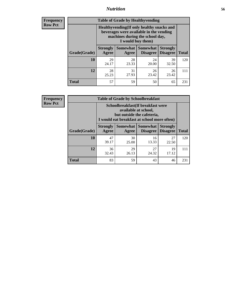### *Nutrition* **56**

**Frequency Row Pct**

| <b>Table of Grade by Healthyvending</b> |                                                                                                                                               |                          |                                    |                                    |              |  |
|-----------------------------------------|-----------------------------------------------------------------------------------------------------------------------------------------------|--------------------------|------------------------------------|------------------------------------|--------------|--|
|                                         | Healthyvending (If only healthy snacks and<br>beverages were available in the vending<br>machines during the school day,<br>I would buy them) |                          |                                    |                                    |              |  |
| Grade(Grade)                            | <b>Strongly</b><br>Agree                                                                                                                      | <b>Somewhat</b><br>Agree | <b>Somewhat</b><br><b>Disagree</b> | <b>Strongly</b><br><b>Disagree</b> | <b>Total</b> |  |
| 10                                      | 29<br>24.17                                                                                                                                   | 28<br>23.33              | 24<br>20.00                        | 39<br>32.50                        | 120          |  |
| 12                                      | 28<br>25.23                                                                                                                                   | 31<br>27.93              | 26<br>23.42                        | 26<br>23.42                        | 111          |  |
| <b>Total</b>                            | 57                                                                                                                                            | 59                       | 50                                 | 65                                 | 231          |  |

**Frequency Row Pct**

| <b>Table of Grade by Schoolbreakfast</b> |                                                                                                                                        |             |                                               |                                    |              |  |
|------------------------------------------|----------------------------------------------------------------------------------------------------------------------------------------|-------------|-----------------------------------------------|------------------------------------|--------------|--|
|                                          | Schoolbreakfast(If breakfast were<br>available at school,<br>but outside the cafeteria,<br>I would eat breakfast at school more often) |             |                                               |                                    |              |  |
| Grade(Grade)                             | <b>Strongly</b><br>Agree                                                                                                               | Agree       | <b>Somewhat   Somewhat</b><br><b>Disagree</b> | <b>Strongly</b><br><b>Disagree</b> | <b>Total</b> |  |
| 10                                       | 47<br>39.17                                                                                                                            | 30<br>25.00 | 16<br>13.33                                   | 27<br>22.50                        | 120          |  |
| 12                                       | 36<br>32.43                                                                                                                            | 29<br>26.13 | 27<br>24.32                                   | 19<br>17.12                        | 111          |  |
| <b>Total</b>                             | 83                                                                                                                                     | 59          | 43                                            | 46                                 | 231          |  |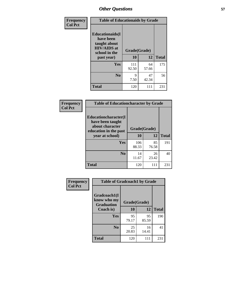| Frequency<br><b>Col Pct</b> |                                                                                                           | <b>Table of Educationaids by Grade</b> |             |              |  |
|-----------------------------|-----------------------------------------------------------------------------------------------------------|----------------------------------------|-------------|--------------|--|
|                             | <b>Educationaids</b> (I<br>have been<br>taught about<br><b>HIV/AIDS</b> at<br>school in the<br>past year) | Grade(Grade)<br>10                     | 12          | <b>Total</b> |  |
|                             | <b>Yes</b>                                                                                                | 111<br>92.50                           | 64<br>57.66 | 175          |  |
|                             | N <sub>0</sub>                                                                                            | 9<br>7.50                              | 47<br>42.34 | 56           |  |
|                             | <b>Total</b>                                                                                              | 120                                    | 111         | 231          |  |

| <b>Frequency</b> | <b>Table of Educationcharacter by Grade</b>                                                             |              |             |              |
|------------------|---------------------------------------------------------------------------------------------------------|--------------|-------------|--------------|
| <b>Col Pct</b>   | Educationcharacter(I<br>have been taught<br>about character<br>education in the past<br>year at school) | Grade(Grade) |             |              |
|                  |                                                                                                         | 10           | 12          | <b>Total</b> |
|                  | Yes                                                                                                     | 106<br>88.33 | 85<br>76.58 | 191          |
|                  | N <sub>0</sub>                                                                                          | 14<br>11.67  | 26<br>23.42 | 40           |
|                  | <b>Total</b>                                                                                            | 120          | 111         | 231          |

| Frequency      | <b>Table of Gradcoach1 by Grade</b>              |              |             |              |  |
|----------------|--------------------------------------------------|--------------|-------------|--------------|--|
| <b>Col Pct</b> | Gradcoach1(I<br>know who my<br><b>Graduation</b> | Grade(Grade) |             |              |  |
|                | Coach is)                                        | 10           | 12          | <b>Total</b> |  |
|                | Yes                                              | 95<br>79.17  | 95<br>85.59 | 190          |  |
|                | N <sub>0</sub>                                   | 25<br>20.83  | 16<br>14.41 | 41           |  |
|                | <b>Total</b>                                     | 120          | 111         | 231          |  |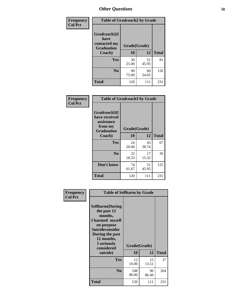| Frequency      | <b>Table of Gradcoach2 by Grade</b> |              |             |              |
|----------------|-------------------------------------|--------------|-------------|--------------|
| <b>Col Pct</b> |                                     |              |             |              |
|                | Gradcoach2(I<br>have                |              |             |              |
|                | contacted my<br><b>Graduation</b>   | Grade(Grade) |             |              |
|                | Coach)                              | 10           | 12          | <b>Total</b> |
|                | <b>Yes</b>                          | 30<br>25.00  | 51<br>45.95 | 81           |
|                | N <sub>0</sub>                      | 90<br>75.00  | 60<br>54.05 | 150          |
|                | <b>Total</b>                        | 120          | 111         | 231          |

| <b>Frequency</b><br><b>Col Pct</b> | <b>Table of Gradcoach3 by Grade</b>                                         |              |             |              |
|------------------------------------|-----------------------------------------------------------------------------|--------------|-------------|--------------|
|                                    | Gradcoach3(I<br>have received<br>assistance<br>from my<br><b>Graduation</b> | Grade(Grade) |             |              |
|                                    | Coach)                                                                      | 10           | 12          | <b>Total</b> |
|                                    | Yes                                                                         | 24<br>20.00  | 43<br>38.74 | 67           |
|                                    | N <sub>0</sub>                                                              | 22<br>18.33  | 17<br>15.32 | 39           |
|                                    | Don't know                                                                  | 74<br>61.67  | 51<br>45.95 | 125          |
|                                    | <b>Total</b>                                                                | 120          | 111         | 231          |

| Frequency      | <b>Table of Selfharm by Grade</b>                                                                                                                                               |                    |             |              |
|----------------|---------------------------------------------------------------------------------------------------------------------------------------------------------------------------------|--------------------|-------------|--------------|
| <b>Col Pct</b> | <b>Selfharm</b> (During<br>the past 12<br>months,<br>I harmed myself<br>on purpose<br>Suicideconsider<br>During the past<br>12 months,<br>I seriously<br>considered<br>suicide) | Grade(Grade)<br>10 | 12          | <b>Total</b> |
|                | Yes                                                                                                                                                                             | 12<br>10.00        | 15<br>13.51 | 27           |
|                | N <sub>0</sub>                                                                                                                                                                  | 108<br>90.00       | 96<br>86.49 | 204          |
|                | Total                                                                                                                                                                           | 120                | 111         | 231          |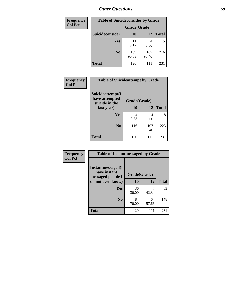| <b>Frequency</b> | <b>Table of Suicideconsider by Grade</b> |              |              |              |
|------------------|------------------------------------------|--------------|--------------|--------------|
| <b>Col Pct</b>   |                                          | Grade(Grade) |              |              |
|                  | Suicideconsider                          | <b>10</b>    | 12           | <b>Total</b> |
|                  | Yes                                      | 11<br>9.17   | 4<br>3.60    | 15           |
|                  | N <sub>0</sub>                           | 109<br>90.83 | 107<br>96.40 | 216          |
|                  | <b>Total</b>                             | 120          | 111          | 231          |

| Frequency      | <b>Table of Suicideattempt by Grade</b>                            |              |              |              |
|----------------|--------------------------------------------------------------------|--------------|--------------|--------------|
| <b>Col Pct</b> | Suicideattempt(I<br>have attempted<br>suicide in the<br>last year) | Grade(Grade) |              |              |
|                |                                                                    | 10           | 12           | <b>Total</b> |
|                | Yes                                                                | 4<br>3.33    | 4<br>3.60    | 8            |
|                | N <sub>0</sub>                                                     | 116<br>96.67 | 107<br>96.40 | 223          |
|                | <b>Total</b>                                                       | 120          | 111          | 231          |

| Frequency      | <b>Table of Instantmessaged by Grade</b>                       |              |             |              |
|----------------|----------------------------------------------------------------|--------------|-------------|--------------|
| <b>Col Pct</b> | <b>Instantmessaged</b> (I<br>have instant<br>messaged people I | Grade(Grade) |             |              |
|                | do not even know)                                              | 10           | 12          | <b>Total</b> |
|                | Yes                                                            | 36<br>30.00  | 47<br>42.34 | 83           |
|                | N <sub>0</sub>                                                 | 84<br>70.00  | 64<br>57.66 | 148          |
|                | <b>Total</b>                                                   | 120          | 111         | 231          |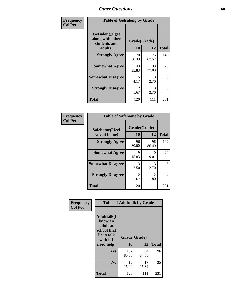| Frequency      | <b>Table of Getsalong by Grade</b>                          |                        |             |              |  |  |  |
|----------------|-------------------------------------------------------------|------------------------|-------------|--------------|--|--|--|
| <b>Col Pct</b> | <b>Getsalong</b> (I get<br>along with other<br>students and | Grade(Grade)           |             |              |  |  |  |
|                | adults)                                                     | 10                     | 12          | <b>Total</b> |  |  |  |
|                | <b>Strongly Agree</b>                                       | 70<br>58.33            | 75<br>67.57 | 145          |  |  |  |
|                | <b>Somewhat Agree</b>                                       | 43<br>35.83            | 30<br>27.03 | 73           |  |  |  |
|                | <b>Somewhat Disagree</b>                                    | 5<br>4.17              | 3<br>2.70   | 8            |  |  |  |
|                | <b>Strongly Disagree</b>                                    | $\mathfrak{D}$<br>1.67 | 3<br>2.70   | 5            |  |  |  |
|                | <b>Total</b>                                                | 120                    | 111         | 231          |  |  |  |

| Frequency      | <b>Table of Safehome by Grade</b> |                        |                               |              |  |  |
|----------------|-----------------------------------|------------------------|-------------------------------|--------------|--|--|
| <b>Col Pct</b> | Safehome(I feel<br>safe at home)  | Grade(Grade)<br>10     | 12                            | <b>Total</b> |  |  |
|                | <b>Strongly Agree</b>             | 96<br>80.00            | 96<br>86.49                   | 192          |  |  |
|                | <b>Somewhat Agree</b>             | 19<br>15.83            | 10<br>9.01                    | 29           |  |  |
|                | <b>Somewhat Disagree</b>          | 3<br>2.50              | 3<br>2.70                     | 6            |  |  |
|                | <b>Strongly Disagree</b>          | $\mathfrak{D}$<br>1.67 | $\mathcal{D}_{\cdot}$<br>1.80 | 4            |  |  |
|                | <b>Total</b>                      | 120                    | 111                           | 231          |  |  |

| Frequency      | <b>Table of Adulttalk by Grade</b>                                                  |              |             |              |  |  |  |  |
|----------------|-------------------------------------------------------------------------------------|--------------|-------------|--------------|--|--|--|--|
| <b>Col Pct</b> | <b>Adulttalk(I</b><br>know an<br>adult at<br>school that<br>I can talk<br>with if I | Grade(Grade) |             |              |  |  |  |  |
|                | need help)                                                                          | 10           | 12          | <b>Total</b> |  |  |  |  |
|                | <b>Yes</b>                                                                          | 102<br>85.00 | 94<br>84.68 | 196          |  |  |  |  |
|                | N <sub>0</sub>                                                                      | 18<br>15.00  | 17<br>15.32 | 35           |  |  |  |  |
|                | <b>Total</b>                                                                        | 120          | 111         | 231          |  |  |  |  |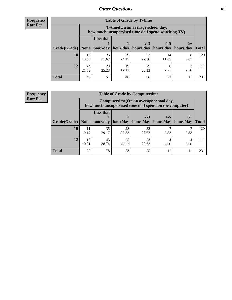**Frequency Row Pct**

r

| <b>Table of Grade by Tvtime</b> |             |                                                                                                                                |             |             |             |           |     |  |  |  |
|---------------------------------|-------------|--------------------------------------------------------------------------------------------------------------------------------|-------------|-------------|-------------|-----------|-----|--|--|--|
|                                 |             | Tvtime(On an average school day,<br>how much unsupervised time do I spend watching TV)                                         |             |             |             |           |     |  |  |  |
| Grade(Grade)   None             |             | <b>Less that</b><br>$2 - 3$<br>$4 - 5$<br>$6+$<br>hour/day   hour/day<br>hours/day<br>hours/day<br>  hours/day<br><b>Total</b> |             |             |             |           |     |  |  |  |
| 10                              | 16<br>13.33 | 26<br>21.67                                                                                                                    | 29<br>24.17 | 27<br>22.50 | 14<br>11.67 | 8<br>6.67 | 120 |  |  |  |
| 12                              | 24<br>21.62 | 28<br>25.23                                                                                                                    | 19<br>17.12 | 29<br>26.13 | 8<br>7.21   | 2.70      | 111 |  |  |  |
| <b>Total</b>                    | 40          | 54                                                                                                                             | 48          | 56          | 22          |           | 231 |  |  |  |

**Frequency Row Pct**

| <b>Table of Grade by Computertime</b> |             |                                                                                                   |                     |             |           |           |              |  |  |  |
|---------------------------------------|-------------|---------------------------------------------------------------------------------------------------|---------------------|-------------|-----------|-----------|--------------|--|--|--|
|                                       |             | Computertime (On an average school day,<br>how much unsupervised time do I spend on the computer) |                     |             |           |           |              |  |  |  |
|                                       |             | <b>Less that</b>                                                                                  |                     | $2 - 3$     | $4 - 5$   | $6+$      |              |  |  |  |
| Grade(Grade)                          | None $ $    |                                                                                                   | hour/day   hour/day | hours/day   | hours/day | hours/day | <b>Total</b> |  |  |  |
| 10                                    | 11<br>9.17  | 35<br>29.17                                                                                       | 28<br>23.33         | 32<br>26.67 | 5.83      | 5.83      | 120          |  |  |  |
| 12                                    | 12<br>10.81 | 43<br>25<br>23<br>4<br>20.72<br>38.74<br>22.52<br>3.60<br>3.60                                    |                     |             |           |           |              |  |  |  |
| <b>Total</b>                          | 23          | 78                                                                                                | 53                  | 55          | 11        | 11        | 231          |  |  |  |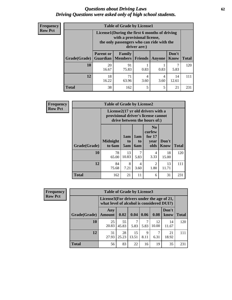#### *Questions about Driving Laws* **62** *Driving Questions were asked only of high school students.*

| <b>Frequency</b> |
|------------------|
| <b>Row Pct</b>   |

| <b>Table of Grade by License1</b> |                              |                                                                                                                                           |                |        |               |              |  |  |  |  |
|-----------------------------------|------------------------------|-------------------------------------------------------------------------------------------------------------------------------------------|----------------|--------|---------------|--------------|--|--|--|--|
|                                   |                              | License1(During the first 6 months of driving<br>with a provisional license,<br>the only passengers who can ride with the<br>driver are:) |                |        |               |              |  |  |  |  |
| Grade(Grade)                      | <b>Parent or</b><br>Guardian | Family<br>  Members                                                                                                                       | <b>Friends</b> | Anyone | Don't<br>Know | <b>Total</b> |  |  |  |  |
| 10                                | 20<br>16.67                  | 91<br>75.83                                                                                                                               | 0.83           | 0.83   | 5.83          | 120          |  |  |  |  |
| 12                                | 18<br>16.22                  | 71<br>14<br>4<br>4<br>63.96<br>12.61<br>3.60<br>3.60                                                                                      |                |        |               |              |  |  |  |  |
| Total                             | 38                           | 162                                                                                                                                       | 5              | 5      | 21            | 231          |  |  |  |  |

| Frequency      |              | <b>Table of Grade by License2</b>                                                                        |                  |                         |                                                      |               |              |  |
|----------------|--------------|----------------------------------------------------------------------------------------------------------|------------------|-------------------------|------------------------------------------------------|---------------|--------------|--|
| <b>Row Pct</b> |              | License2(17 yr old drivers with a<br>provisional driver's license cannot<br>drive between the hours of:) |                  |                         |                                                      |               |              |  |
|                | Grade(Grade) | <b>Midnight</b><br>to 6am                                                                                | 1am<br>to<br>5am | 1am<br>to<br><b>6am</b> | N <sub>0</sub><br>curfew<br>for $17$<br>year<br>olds | Don't<br>Know | <b>Total</b> |  |
|                | 10           | 78<br>65.00                                                                                              | 13<br>10.83      | 7<br>5.83               | 4<br>3.33                                            | 18<br>15.00   | 120          |  |
|                | 12           | 84<br>75.68                                                                                              | 8<br>7.21        | 4<br>3.60               | $\overline{2}$<br>1.80                               | 13<br>11.71   | 111          |  |
|                | <b>Total</b> | 162                                                                                                      | 21               | 11                      | 6                                                    | 31            | 231          |  |

| Frequency      |              | <b>Table of Grade by License3</b> |                                                                                        |             |           |             |               |              |  |
|----------------|--------------|-----------------------------------|----------------------------------------------------------------------------------------|-------------|-----------|-------------|---------------|--------------|--|
| <b>Row Pct</b> |              |                                   | License3(For drivers under the age of 21,<br>what level of alcohol is considered DUI?) |             |           |             |               |              |  |
|                | Grade(Grade) | Any<br><b>Amount</b>              | 0.02                                                                                   | 0.04        | 0.06      | 0.08        | Don't<br>know | <b>Total</b> |  |
|                | <b>10</b>    | 25<br>20.83                       | 55<br>45.83                                                                            | 5.83        | 5.83      | 12<br>10.00 | 14<br>11.67   | 120          |  |
|                | 12           | 31<br>27.93                       | 28<br>25.23                                                                            | 15<br>13.51 | 9<br>8.11 | 6.31        | 21<br>18.92   | 111          |  |
|                | <b>Total</b> | 56                                | 83                                                                                     | 22          | 16        | 19          | 35            | 231          |  |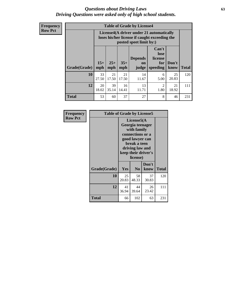#### *Questions about Driving Laws* **63** *Driving Questions were asked only of high school students.*

**Frequency Row Pct**

|              |             |                                                                                                                                                                                                                                                                                |             | <b>Table of Grade by License4</b> |           |             |     |  |  |
|--------------|-------------|--------------------------------------------------------------------------------------------------------------------------------------------------------------------------------------------------------------------------------------------------------------------------------|-------------|-----------------------------------|-----------|-------------|-----|--|--|
|              |             | License4(A driver under 21 automatically<br>loses his/her license if caught exceeding the<br>posted speet limit by:)<br>Can't<br>lose<br><b>Depends</b><br>license<br>$15+$<br>$25+$<br>$35+$<br>Don't<br>for<br>on<br>speeding<br><b>Total</b><br>mph<br>know<br>mph<br>judge |             |                                   |           |             |     |  |  |
| Grade(Grade) | mph         |                                                                                                                                                                                                                                                                                |             |                                   |           |             |     |  |  |
| 10           | 33<br>27.50 | 21<br>17.50                                                                                                                                                                                                                                                                    | 21<br>17.50 | 14<br>11.67                       | 6<br>5.00 | 25<br>20.83 | 120 |  |  |
| 12           | 20<br>18.02 | 39<br>13<br>16<br>$\mathfrak{D}$<br>21<br>35.14<br>1.80<br>18.92<br>14.41<br>11.71                                                                                                                                                                                             |             |                                   |           |             |     |  |  |
| <b>Total</b> | 53          | 60                                                                                                                                                                                                                                                                             | 37          | 27                                | 8         | 46          | 231 |  |  |

| Frequency      | <b>Table of Grade by License5</b> |             |                                                                                                                                      |                     |              |
|----------------|-----------------------------------|-------------|--------------------------------------------------------------------------------------------------------------------------------------|---------------------|--------------|
| <b>Row Pct</b> |                                   |             | License5(A)<br>Georgia teenager<br>with family<br>connections or a<br>good lawyer can<br>break a teen<br>driving law and<br>license) | keep their driver's |              |
|                | Grade(Grade)                      | <b>Yes</b>  | N <sub>0</sub>                                                                                                                       | Don't<br>know       | <b>Total</b> |
|                | 10                                | 25<br>20.83 | 58<br>48.33                                                                                                                          | 37<br>30.83         | 120          |
|                | 12                                | 41<br>36.94 | 44<br>39.64                                                                                                                          | 26<br>23.42         | 111          |
|                | Total                             | 66          | 102                                                                                                                                  | 63                  | 231          |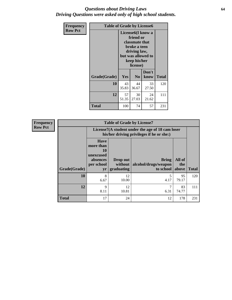#### *Questions about Driving Laws* **64** *Driving Questions were asked only of high school students.*

| <b>Frequency</b> | <b>Table of Grade by License6</b> |                                                                                                                                                 |                |               |              |
|------------------|-----------------------------------|-------------------------------------------------------------------------------------------------------------------------------------------------|----------------|---------------|--------------|
| <b>Row Pct</b>   |                                   | License <sub>6</sub> (I know a<br>friend or<br>classmate that<br>broke a teen<br>driving law,<br>but was allowed to<br>keep his/her<br>license) |                |               |              |
|                  | Grade(Grade)                      | <b>Yes</b>                                                                                                                                      | N <sub>0</sub> | Don't<br>know | <b>Total</b> |
|                  | 10                                | 43<br>35.83                                                                                                                                     | 44<br>36.67    | 33<br>27.50   | 120          |
|                  | 12                                | 57<br>30<br>24<br>27.03<br>51.35<br>21.62                                                                                                       |                |               | 111          |
|                  | <b>Total</b>                      | 100                                                                                                                                             | 74             | 57            | 231          |

| <b>Frequency</b> | <b>Table of Grade by License7</b> |                                                                                               |                                   |                                            |                        |              |
|------------------|-----------------------------------|-----------------------------------------------------------------------------------------------|-----------------------------------|--------------------------------------------|------------------------|--------------|
| <b>Row Pct</b>   |                                   | License7(A student under the age of 18 cam loser<br>his/her driving privileges if he or she:) |                                   |                                            |                        |              |
|                  | Grade(Grade)                      | <b>Have</b><br>more than<br>10<br>unexcused<br>absences<br>per school<br>yr                   | Drop out<br>without<br>graduating | Bring<br>alcohol/drugs/weapon<br>to school | All of<br>the<br>above | <b>Total</b> |
|                  | 10                                | 8<br>6.67                                                                                     | 12<br>10.00                       | 4.17                                       | 95<br>79.17            | 120          |
|                  | 12                                | 9<br>8.11                                                                                     | 12<br>10.81                       | 7<br>6.31                                  | 83<br>74.77            | 111          |
|                  | <b>Total</b>                      | 17                                                                                            | 24                                | 12                                         | 178                    | 231          |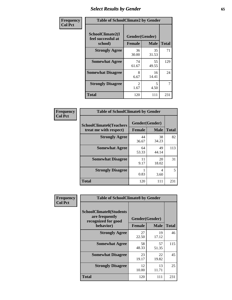# *Select Results by Gender* **65**

| Frequency      | <b>Table of SchoolClimate2 by Gender</b>          |                                 |             |              |
|----------------|---------------------------------------------------|---------------------------------|-------------|--------------|
| <b>Col Pct</b> | SchoolClimate2(I<br>feel successful at<br>school) | Gender(Gender)<br><b>Female</b> | <b>Male</b> | <b>Total</b> |
|                | <b>Strongly Agree</b>                             | 36<br>30.00                     | 35<br>31.53 | 71           |
|                | <b>Somewhat Agree</b>                             | 74<br>61.67                     | 55<br>49.55 | 129          |
|                | <b>Somewhat Disagree</b>                          | 8<br>6.67                       | 16<br>14.41 | 24           |
|                | <b>Strongly Disagree</b>                          | $\mathcal{L}$<br>1.67           | 5<br>4.50   | 7            |
|                | <b>Total</b>                                      | 120                             | 111         | 231          |

| <b>Frequency</b> | <b>Table of SchoolClimate6 by Gender</b>                 |               |                               |              |  |
|------------------|----------------------------------------------------------|---------------|-------------------------------|--------------|--|
| <b>Col Pct</b>   | <b>SchoolClimate6(Teachers</b><br>treat me with respect) | <b>Female</b> | Gender(Gender)<br><b>Male</b> | <b>Total</b> |  |
|                  | <b>Strongly Agree</b>                                    | 44<br>36.67   | 38<br>34.23                   | 82           |  |
|                  | <b>Somewhat Agree</b>                                    | 64<br>53.33   | 49<br>44.14                   | 113          |  |
|                  | <b>Somewhat Disagree</b>                                 | 11<br>9.17    | 20<br>18.02                   | 31           |  |
|                  | <b>Strongly Disagree</b>                                 | 0.83          | 4<br>3.60                     | 5            |  |
|                  | <b>Total</b>                                             | 120           | 111                           | 231          |  |

| Frequency      | <b>Table of SchoolClimate8 by Gender</b>                                             |                                 |             |              |
|----------------|--------------------------------------------------------------------------------------|---------------------------------|-------------|--------------|
| <b>Col Pct</b> | <b>SchoolClimate8(Students</b><br>are frequently<br>recognized for good<br>behavior) | Gender(Gender)<br><b>Female</b> | <b>Male</b> | <b>Total</b> |
|                | <b>Strongly Agree</b>                                                                | 27<br>22.50                     | 19<br>17.12 | 46           |
|                | <b>Somewhat Agree</b>                                                                | 58<br>48.33                     | 57<br>51.35 | 115          |
|                | <b>Somewhat Disagree</b>                                                             | 23<br>19.17                     | 22<br>19.82 | 45           |
|                | <b>Strongly Disagree</b>                                                             | 12<br>10.00                     | 13<br>11.71 | 25           |
|                | Total                                                                                | 120                             | 111         | 231          |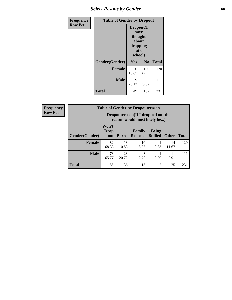# *Select Results by Gender* **66**

| Frequency      | <b>Table of Gender by Dropout</b> |                                                                        |                |              |
|----------------|-----------------------------------|------------------------------------------------------------------------|----------------|--------------|
| <b>Row Pct</b> |                                   | Dropout(I<br>have<br>thought<br>about<br>dropping<br>out of<br>school) |                |              |
|                | Gender(Gender)                    | Yes                                                                    | N <sub>0</sub> | <b>Total</b> |
|                | <b>Female</b>                     | 20<br>16.67                                                            | 100<br>83.33   | 120          |
|                | <b>Male</b>                       | 29<br>26.13                                                            | 82<br>73.87    | 111          |
|                | <b>Total</b>                      | 49                                                                     | 182            | 231          |

| <b>Frequency</b> | <b>Table of Gender by Dropoutreason</b> |                                                                    |              |                          |                                |              |              |
|------------------|-----------------------------------------|--------------------------------------------------------------------|--------------|--------------------------|--------------------------------|--------------|--------------|
| <b>Row Pct</b>   |                                         | Dropoutreason(If I dropped out the<br>reason would most likely be) |              |                          |                                |              |              |
|                  | Gender(Gender)                          | Won't<br><b>Drop</b><br>out                                        | <b>Bored</b> | Family<br><b>Reasons</b> | <b>Being</b><br><b>Bullied</b> | <b>Other</b> | <b>Total</b> |
|                  | <b>Female</b>                           | 82<br>68.33                                                        | 13<br>10.83  | 10<br>8.33               | 0.83                           | 14<br>11.67  | 120          |
|                  | <b>Male</b>                             | 73<br>65.77                                                        | 23<br>20.72  | 3<br>2.70                | 0.90                           | 11<br>9.91   | 111          |
|                  | <b>Total</b>                            | 155                                                                | 36           | 13                       | $\overline{2}$                 | 25           | 231          |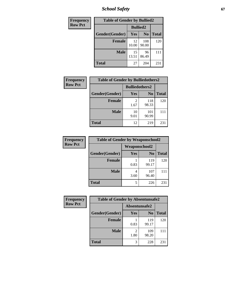*School Safety* **67**

| Frequency      | <b>Table of Gender by Bullied2</b> |                 |                |              |
|----------------|------------------------------------|-----------------|----------------|--------------|
| <b>Row Pct</b> |                                    | <b>Bullied2</b> |                |              |
|                | Gender(Gender)                     | Yes             | N <sub>0</sub> | <b>Total</b> |
|                | <b>Female</b>                      | 12<br>10.00     | 108<br>90.00   | 120          |
|                | <b>Male</b>                        | 15<br>13.51     | 96<br>86.49    | 111          |
|                | Total                              | 27              | 204            | 231          |

| Frequency      | <b>Table of Gender by Bulliedothers2</b> |                       |                |              |
|----------------|------------------------------------------|-----------------------|----------------|--------------|
| <b>Row Pct</b> |                                          | <b>Bulliedothers2</b> |                |              |
|                | Gender(Gender)                           | Yes                   | N <sub>0</sub> | <b>Total</b> |
|                | <b>Female</b>                            | 2<br>1.67             | 118<br>98.33   | 120          |
|                | <b>Male</b>                              | 10<br>9.01            | 101<br>90.99   | 111          |
|                | <b>Total</b>                             | 12                    | 219            | 231          |

| <b>Frequency</b> | <b>Table of Gender by Weaponschool2</b> |                      |                |              |
|------------------|-----------------------------------------|----------------------|----------------|--------------|
| <b>Row Pct</b>   |                                         | <b>Weaponschool2</b> |                |              |
|                  | Gender(Gender)                          | Yes                  | N <sub>0</sub> | <b>Total</b> |
|                  | <b>Female</b>                           | 0.83                 | 119<br>99.17   | 120          |
|                  | <b>Male</b>                             | 4<br>3.60            | 107<br>96.40   |              |
|                  | <b>Total</b>                            | 5                    | 226            | 231          |

| Frequency      | <b>Table of Gender by Absentunsafe2</b> |               |                |              |  |
|----------------|-----------------------------------------|---------------|----------------|--------------|--|
| <b>Row Pct</b> |                                         | Absentunsafe2 |                |              |  |
|                | Gender(Gender)                          | Yes           | N <sub>0</sub> | <b>Total</b> |  |
|                | <b>Female</b>                           | 0.83          | 119<br>99.17   | 120          |  |
|                | <b>Male</b>                             | 1.80          | 109<br>98.20   | 111          |  |
|                | <b>Total</b>                            |               | 228            | 231          |  |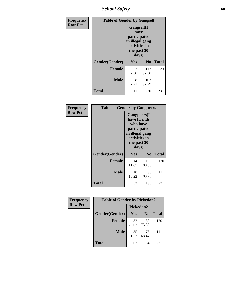*School Safety* **68**

| Frequency      | <b>Table of Gender by Gangself</b> |                                                                                                |                |              |
|----------------|------------------------------------|------------------------------------------------------------------------------------------------|----------------|--------------|
| <b>Row Pct</b> |                                    | Gangself(I<br>have<br>participated<br>in illegal gang<br>activities in<br>the past 30<br>days) |                |              |
|                | Gender(Gender)                     | Yes                                                                                            | N <sub>0</sub> | <b>Total</b> |
|                | <b>Female</b>                      | 3<br>2.50                                                                                      | 117<br>97.50   | 120          |
|                | <b>Male</b>                        | 8<br>7.21                                                                                      | 103<br>92.79   | 111          |
|                | <b>Total</b>                       | 11                                                                                             | 220            | 231          |

| Frequency      | <b>Table of Gender by Gangpeers</b> |                                                                                                                             |                |              |
|----------------|-------------------------------------|-----------------------------------------------------------------------------------------------------------------------------|----------------|--------------|
| <b>Row Pct</b> |                                     | <b>Gangpeers</b> (I<br>have friends<br>who have<br>participated<br>in illegal gang<br>activities in<br>the past 30<br>days) |                |              |
|                | Gender(Gender)                      | <b>Yes</b>                                                                                                                  | N <sub>0</sub> | <b>Total</b> |
|                | <b>Female</b>                       | 14<br>11.67                                                                                                                 | 106<br>88.33   | 120          |
|                | <b>Male</b>                         | 18<br>16.22                                                                                                                 | 93<br>83.78    | 111          |
|                | <b>Total</b>                        | 32                                                                                                                          | 199            | 231          |

| <b>Frequency</b> | <b>Table of Gender by Pickedon2</b> |                       |             |              |
|------------------|-------------------------------------|-----------------------|-------------|--------------|
| <b>Row Pct</b>   |                                     |                       | Pickedon2   |              |
|                  | Gender(Gender)                      | Yes<br>N <sub>0</sub> |             | <b>Total</b> |
|                  | <b>Female</b>                       | 32<br>26.67           | 88<br>73.33 | 120          |
|                  | <b>Male</b>                         | 35<br>31.53           | 76<br>68.47 | 111          |
|                  | <b>Total</b>                        |                       | 164         | 231          |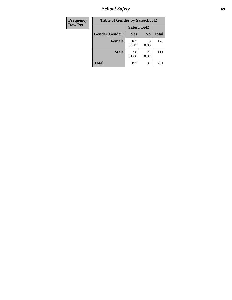*School Safety* **69**

| Frequency      | <b>Table of Gender by Safeschool2</b> |              |                |              |
|----------------|---------------------------------------|--------------|----------------|--------------|
| <b>Row Pct</b> |                                       | Safeschool2  |                |              |
|                | Gender(Gender)                        | Yes          | N <sub>0</sub> | <b>Total</b> |
|                | <b>Female</b>                         | 107<br>89.17 | 13<br>10.83    | 120          |
|                | <b>Male</b>                           | 90<br>81.08  | 21<br>18.92    | 111          |
|                | <b>Total</b>                          | 197          | 34             | 231          |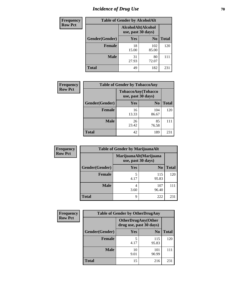# *Incidence of Drug Use* **70**

| <b>Frequency</b> | <b>Table of Gender by AlcoholAlt</b> |                                          |                |              |
|------------------|--------------------------------------|------------------------------------------|----------------|--------------|
| <b>Row Pct</b>   |                                      | AlcoholAlt(Alcohol<br>use, past 30 days) |                |              |
|                  | Gender(Gender)                       | <b>Yes</b>                               | N <sub>0</sub> | <b>Total</b> |
|                  | <b>Female</b>                        | 18<br>15.00                              | 102<br>85.00   | 120          |
|                  | <b>Male</b>                          | 31<br>27.93                              | 80<br>72.07    | 111          |
|                  | <b>Total</b>                         | 49                                       | 182            | 231          |

| <b>Frequency</b> | <b>Table of Gender by TobaccoAny</b> |                                          |                |              |  |
|------------------|--------------------------------------|------------------------------------------|----------------|--------------|--|
| <b>Row Pct</b>   |                                      | TobaccoAny(Tobacco<br>use, past 30 days) |                |              |  |
|                  | Gender(Gender)                       | Yes                                      | N <sub>0</sub> | <b>Total</b> |  |
|                  | <b>Female</b>                        | 16<br>13.33                              | 104<br>86.67   | 120          |  |
|                  | <b>Male</b>                          | 26<br>23.42                              | 85<br>76.58    |              |  |
|                  | <b>Total</b>                         | 42                                       | 189            | 231          |  |

| <b>Frequency</b> | <b>Table of Gender by MarijuanaAlt</b> |            |                                              |              |  |
|------------------|----------------------------------------|------------|----------------------------------------------|--------------|--|
| <b>Row Pct</b>   |                                        |            | MarijuanaAlt(Marijuana<br>use, past 30 days) |              |  |
|                  | Gender(Gender)                         | <b>Yes</b> | N <sub>0</sub>                               | <b>Total</b> |  |
|                  | <b>Female</b>                          | 5<br>4.17  | 115<br>95.83                                 | 120          |  |
|                  | <b>Male</b>                            | 4<br>3.60  | 107<br>96.40                                 | 111          |  |
|                  | <b>Total</b>                           | 9          | 222                                          | 231          |  |

| <b>Frequency</b> | <b>Table of Gender by OtherDrugAny</b> |                                                      |                |              |
|------------------|----------------------------------------|------------------------------------------------------|----------------|--------------|
| <b>Row Pct</b>   |                                        | <b>OtherDrugAny(Other</b><br>drug use, past 30 days) |                |              |
|                  | Gender(Gender)                         | <b>Yes</b>                                           | N <sub>0</sub> | <b>Total</b> |
|                  | <b>Female</b>                          | 5<br>4.17                                            | 115<br>95.83   | 120          |
|                  | <b>Male</b>                            | 10<br>9.01                                           | 101<br>90.99   | 111          |
|                  | <b>Total</b>                           | 15                                                   | 216            | 231          |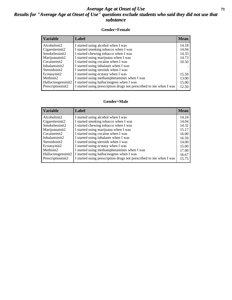#### *Average Age at Onset of Use* **71** *Results for "Average Age at Onset of Use" questions exclude students who said they did not use that substance*

#### **Gender=Female**

| <b>Variable</b>    | <b>Label</b>                                                       | <b>Mean</b> |
|--------------------|--------------------------------------------------------------------|-------------|
| Alcoholinit2       | I started using alcohol when I was                                 | 14.18       |
| Cigarettesinit2    | I started smoking tobacco when I was                               | 14.04       |
| Smokelessinit2     | I started chewing tobacco when I was                               | 14.33       |
| Marijuanainit2     | I started using marijuana when I was                               | 14.73       |
| Cocaineinit2       | I started using cocaine when I was                                 | 10.50       |
| Inhalantsinit2     | I started using inhalants when I was                               |             |
| Steroidsinit2      | I started using steroids when I was                                |             |
| Ecstasyinit2       | I started using ecstasy when I was                                 | 15.50       |
| Methinit2          | I started using methamphetamines when I was                        | 13.00       |
| Hallucinogensinit2 | I started using hallucinogens when I was                           | 15.00       |
| Prescription in t2 | I started using prescription drugs not prescribed to me when I was | 12.50       |

#### **Gender=Male**

| <b>Variable</b>    | Label                                                              | <b>Mean</b> |
|--------------------|--------------------------------------------------------------------|-------------|
| Alcoholinit2       | I started using alcohol when I was                                 | 14.24       |
| Cigarettesinit2    | I started smoking tobacco when I was                               | 14.04       |
| Smokelessinit2     | I started chewing tobacco when I was                               | 14.32       |
| Marijuanainit2     | I started using marijuana when I was                               | 15.17       |
| Cocaineinit2       | I started using cocaine when I was                                 | 16.00       |
| Inhalantsinit2     | I started using inhalants when I was                               | 16.50       |
| Steroidsinit2      | I started using steroids when I was                                | 14.00       |
| Ecstasyinit2       | I started using ecstasy when I was                                 | 15.00       |
| Methinit2          | I started using methamphetamines when I was                        | 17.00       |
| Hallucinogensinit2 | I started using hallucinogens when I was                           | 16.67       |
| Prescriptioninit2  | I started using prescription drugs not prescribed to me when I was | 15.75       |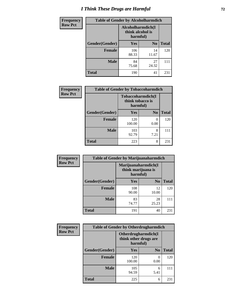# *I Think These Drugs are Harmful* **72**

| <b>Frequency</b> | <b>Table of Gender by Alcoholharmdich</b> |                  |                               |              |
|------------------|-------------------------------------------|------------------|-------------------------------|--------------|
| <b>Row Pct</b>   |                                           | think alcohol is | Alcoholharmdich(I<br>harmful) |              |
|                  | Gender(Gender)                            | <b>Yes</b>       | N <sub>0</sub>                | <b>Total</b> |
|                  | <b>Female</b>                             | 106<br>88.33     | 14<br>11.67                   | 120          |
|                  | <b>Male</b>                               | 84<br>75.68      | 27<br>24.32                   | 111          |
|                  | Total                                     | 190              | 41                            | 231          |

 $\overline{\phantom{a}}$ 

| Frequency      | <b>Table of Gender by Tobaccoharmdich</b> |                  |                               |              |
|----------------|-------------------------------------------|------------------|-------------------------------|--------------|
| <b>Row Pct</b> |                                           | think tobacco is | Tobaccoharmdich(I<br>harmful) |              |
|                | Gender(Gender)                            | Yes              | N <sub>0</sub>                | <b>Total</b> |
|                | <b>Female</b>                             | 120<br>100.00    | 0<br>0.00                     | 120          |
|                | <b>Male</b>                               | 103<br>92.79     | 8<br>7.21                     | 111          |
|                | <b>Total</b>                              | 223              | 8                             | 231          |

| Frequency      | <b>Table of Gender by Marijuanaharmdich</b> |                                                       |                |              |  |
|----------------|---------------------------------------------|-------------------------------------------------------|----------------|--------------|--|
| <b>Row Pct</b> |                                             | Marijuanaharmdich(I<br>think marijuana is<br>harmful) |                |              |  |
|                | Gender(Gender)                              | <b>Yes</b>                                            | N <sub>0</sub> | <b>Total</b> |  |
|                | <b>Female</b>                               | 108<br>90.00                                          | 12<br>10.00    | 120          |  |
|                | <b>Male</b>                                 | 83<br>74.77                                           | 28<br>25.23    | 111          |  |
|                | <b>Total</b>                                | 191                                                   | 40             | 231          |  |

| Frequency      | <b>Table of Gender by Otherdrugharmdich</b> |                                                          |                |              |  |
|----------------|---------------------------------------------|----------------------------------------------------------|----------------|--------------|--|
| <b>Row Pct</b> |                                             | Otherdrugharmdich(I<br>think other drugs are<br>harmful) |                |              |  |
|                | Gender(Gender)                              | <b>Yes</b>                                               | N <sub>0</sub> | <b>Total</b> |  |
|                | <b>Female</b>                               | 120<br>100.00                                            | 0<br>0.00      | 120          |  |
|                | <b>Male</b>                                 | 105<br>94.59                                             | 6<br>5.41      | 111          |  |
|                | <b>Total</b>                                | 225                                                      | 6              | 231          |  |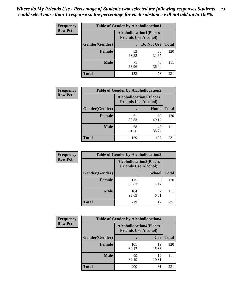| <b>Frequency</b> | <b>Table of Gender by Alcohollocation1</b> |                                                               |             |              |
|------------------|--------------------------------------------|---------------------------------------------------------------|-------------|--------------|
| <b>Row Pct</b>   |                                            | <b>Alcohollocation1(Places</b><br><b>Friends Use Alcohol)</b> |             |              |
|                  | Gender(Gender)                             |                                                               | Do Not Use  | <b>Total</b> |
|                  | <b>Female</b>                              | 82<br>68.33                                                   | 38<br>31.67 | 120          |
|                  | <b>Male</b>                                | 71<br>63.96                                                   | 40<br>36.04 | 111          |
|                  | <b>Total</b>                               | 153                                                           | 78          | 231          |

| <b>Frequency</b> | <b>Table of Gender by Alcohollocation2</b> |                                                               |             |              |
|------------------|--------------------------------------------|---------------------------------------------------------------|-------------|--------------|
| <b>Row Pct</b>   |                                            | <b>Alcohollocation2(Places</b><br><b>Friends Use Alcohol)</b> |             |              |
|                  | Gender(Gender)                             |                                                               | Home        | <b>Total</b> |
|                  | <b>Female</b>                              | 61<br>50.83                                                   | 59<br>49.17 | 120          |
|                  | <b>Male</b>                                | 68<br>61.26                                                   | 43<br>38.74 |              |
|                  | <b>Total</b>                               | 129                                                           | 102         | 231          |

| Frequency      | <b>Table of Gender by Alcohollocation3</b> |                                                               |               |              |
|----------------|--------------------------------------------|---------------------------------------------------------------|---------------|--------------|
| <b>Row Pct</b> |                                            | <b>Alcohollocation3(Places</b><br><b>Friends Use Alcohol)</b> |               |              |
|                | Gender(Gender)                             |                                                               | <b>School</b> | <b>Total</b> |
|                | <b>Female</b>                              | 115<br>95.83                                                  | 4.17          | 120          |
|                | <b>Male</b>                                | 104<br>93.69                                                  | 6.31          | 111          |
|                | <b>Total</b>                               | 219                                                           | 12            | 231          |

| Frequency      | <b>Table of Gender by Alcohollocation4</b> |                                                               |             |              |
|----------------|--------------------------------------------|---------------------------------------------------------------|-------------|--------------|
| <b>Row Pct</b> |                                            | <b>Alcohollocation4(Places</b><br><b>Friends Use Alcohol)</b> |             |              |
|                | Gender(Gender)                             |                                                               | Car         | <b>Total</b> |
|                | Female                                     | 101<br>84.17                                                  | 19<br>15.83 | 120          |
|                | <b>Male</b>                                | 99<br>89.19                                                   | 12<br>10.81 | 111          |
|                | <b>Total</b>                               | 200                                                           | 31          | 231          |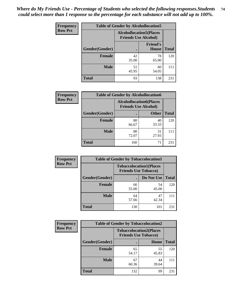| <b>Frequency</b> | <b>Table of Gender by Alcohollocation5</b> |                                                                |                                 |              |
|------------------|--------------------------------------------|----------------------------------------------------------------|---------------------------------|--------------|
| <b>Row Pct</b>   |                                            | <b>Alcohollocation5</b> (Places<br><b>Friends Use Alcohol)</b> |                                 |              |
|                  | Gender(Gender)                             |                                                                | <b>Friend's</b><br><b>House</b> | <b>Total</b> |
|                  | <b>Female</b>                              | 42<br>35.00                                                    | 78<br>65.00                     | 120          |
|                  | <b>Male</b>                                | 51<br>45.95                                                    | 60<br>54.05                     | 111          |
|                  | <b>Total</b>                               | 93                                                             | 138                             | 231          |

| Frequency      | <b>Table of Gender by Alcohollocation6</b> |                                                               |              |              |  |
|----------------|--------------------------------------------|---------------------------------------------------------------|--------------|--------------|--|
| <b>Row Pct</b> |                                            | <b>Alcohollocation6(Places</b><br><b>Friends Use Alcohol)</b> |              |              |  |
|                | <b>Gender</b> (Gender)                     |                                                               | <b>Other</b> | <b>Total</b> |  |
|                | <b>Female</b>                              | 80<br>66.67                                                   | 40<br>33.33  | 120          |  |
|                | <b>Male</b>                                | 80<br>72.07                                                   | 31<br>27.93  |              |  |
|                | <b>Total</b>                               | 160                                                           | 71           | 231          |  |

| Frequency      | <b>Table of Gender by Tobaccolocation1</b> |                                                               |             |              |  |
|----------------|--------------------------------------------|---------------------------------------------------------------|-------------|--------------|--|
| <b>Row Pct</b> |                                            | <b>Tobaccolocation1(Places</b><br><b>Friends Use Tobacco)</b> |             |              |  |
|                | Gender(Gender)                             |                                                               | Do Not Use  | <b>Total</b> |  |
|                | Female                                     | 66<br>55.00                                                   | 54<br>45.00 | 120          |  |
|                | <b>Male</b>                                | 64<br>57.66                                                   | 47<br>42.34 | 111          |  |
|                | <b>Total</b>                               | 130                                                           | 101         | 231          |  |

| <b>Frequency</b> | <b>Table of Gender by Tobaccolocation2</b> |                                                               |             |              |
|------------------|--------------------------------------------|---------------------------------------------------------------|-------------|--------------|
| <b>Row Pct</b>   |                                            | <b>Tobaccolocation2(Places</b><br><b>Friends Use Tobacco)</b> |             |              |
|                  | Gender(Gender)                             |                                                               | Home        | <b>Total</b> |
|                  | Female                                     | 65<br>54.17                                                   | 55<br>45.83 | 120          |
|                  | <b>Male</b>                                | 67<br>60.36                                                   | 44<br>39.64 | 111          |
|                  | <b>Total</b>                               | 132                                                           | 99          | 231          |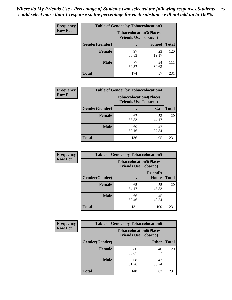| <b>Frequency</b> | <b>Table of Gender by Tobaccolocation3</b> |                                                               |               |              |
|------------------|--------------------------------------------|---------------------------------------------------------------|---------------|--------------|
| <b>Row Pct</b>   |                                            | <b>Tobaccolocation3(Places</b><br><b>Friends Use Tobacco)</b> |               |              |
|                  | Gender(Gender)                             |                                                               | <b>School</b> | <b>Total</b> |
|                  | <b>Female</b>                              | 97<br>80.83                                                   | 23<br>19.17   | 120          |
|                  | <b>Male</b>                                | 77<br>69.37                                                   | 34<br>30.63   | 111          |
|                  | <b>Total</b>                               | 174                                                           | 57            | 231          |

| <b>Frequency</b> | <b>Table of Gender by Tobaccolocation4</b> |             |                                                               |              |
|------------------|--------------------------------------------|-------------|---------------------------------------------------------------|--------------|
| <b>Row Pct</b>   |                                            |             | <b>Tobaccolocation4(Places</b><br><b>Friends Use Tobacco)</b> |              |
|                  | Gender(Gender)                             |             | Car                                                           | <b>Total</b> |
|                  | <b>Female</b>                              | 67<br>55.83 | 53<br>44.17                                                   | 120          |
|                  | <b>Male</b>                                | 69<br>62.16 | 42<br>37.84                                                   |              |
|                  | <b>Total</b>                               | 136         | 95                                                            | 231          |

| <b>Frequency</b> | <b>Table of Gender by Tobaccolocation5</b> |                                                               |                          |              |
|------------------|--------------------------------------------|---------------------------------------------------------------|--------------------------|--------------|
| <b>Row Pct</b>   |                                            | <b>Tobaccolocation5(Places</b><br><b>Friends Use Tobacco)</b> |                          |              |
|                  | Gender(Gender)                             |                                                               | <b>Friend's</b><br>House | <b>Total</b> |
|                  | Female                                     | 65<br>54.17                                                   | 55<br>45.83              | 120          |
|                  | <b>Male</b>                                | 66<br>59.46                                                   | 45<br>40.54              | 111          |
|                  | <b>Total</b>                               | 131                                                           | 100                      | 231          |

| <b>Frequency</b> |                | <b>Table of Gender by Tobaccolocation6</b>                    |              |              |
|------------------|----------------|---------------------------------------------------------------|--------------|--------------|
| <b>Row Pct</b>   |                | <b>Tobaccolocation6(Places</b><br><b>Friends Use Tobacco)</b> |              |              |
|                  | Gender(Gender) |                                                               | <b>Other</b> | <b>Total</b> |
|                  | Female         | 80<br>66.67                                                   | 40<br>33.33  | 120          |
|                  | <b>Male</b>    | 68<br>61.26                                                   | 43<br>38.74  |              |
|                  | <b>Total</b>   | 148                                                           | 83           | 231          |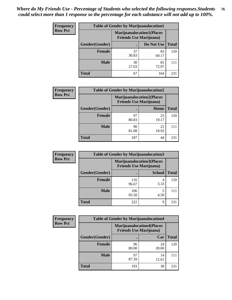| <b>Frequency</b> | <b>Table of Gender by Marijuanalocation1</b> |                                                                    |             |              |
|------------------|----------------------------------------------|--------------------------------------------------------------------|-------------|--------------|
| <b>Row Pct</b>   |                                              | <b>Marijuanalocation1(Places</b><br><b>Friends Use Marijuana</b> ) |             |              |
|                  | Gender(Gender)                               |                                                                    | Do Not Use  | <b>Total</b> |
|                  | <b>Female</b>                                | 37<br>30.83                                                        | 83<br>69.17 | 120          |
|                  | <b>Male</b>                                  | 30<br>27.03                                                        | 81<br>72.97 |              |
|                  | <b>Total</b>                                 | 67                                                                 | 164         | 231          |

| <b>Frequency</b> | <b>Table of Gender by Marijuanalocation2</b> |                                                                    |             |              |
|------------------|----------------------------------------------|--------------------------------------------------------------------|-------------|--------------|
| <b>Row Pct</b>   |                                              | <b>Marijuanalocation2(Places</b><br><b>Friends Use Marijuana</b> ) |             |              |
|                  | Gender(Gender)                               |                                                                    | Home        | <b>Total</b> |
|                  | <b>Female</b>                                | 97<br>80.83                                                        | 23<br>19.17 | 120          |
|                  | <b>Male</b>                                  | 90<br>81.08                                                        | 21<br>18.92 | 111          |
|                  | <b>Total</b>                                 | 187                                                                | 44          | 231          |

| <b>Frequency</b> | <b>Table of Gender by Marijuanalocation3</b> |              |                                                                    |              |
|------------------|----------------------------------------------|--------------|--------------------------------------------------------------------|--------------|
| <b>Row Pct</b>   |                                              |              | <b>Marijuanalocation3(Places</b><br><b>Friends Use Marijuana</b> ) |              |
|                  | Gender(Gender)                               |              | <b>School</b>                                                      | <b>Total</b> |
|                  | <b>Female</b>                                | 116<br>96.67 | 4<br>3.33                                                          | 120          |
|                  | Male                                         | 106<br>95.50 | 5<br>4.50                                                          | 111          |
|                  | <b>Total</b>                                 | 222          | 9                                                                  | 231          |

| <b>Frequency</b> | <b>Table of Gender by Marijuanalocation4</b> |                                                                    |             |              |  |
|------------------|----------------------------------------------|--------------------------------------------------------------------|-------------|--------------|--|
| <b>Row Pct</b>   |                                              | <b>Marijuanalocation4(Places</b><br><b>Friends Use Marijuana</b> ) |             |              |  |
|                  | Gender(Gender)                               |                                                                    | Car         | <b>Total</b> |  |
|                  | <b>Female</b>                                | 96<br>80.00                                                        | 24<br>20.00 | 120          |  |
|                  | <b>Male</b>                                  | 97<br>87.39                                                        | 14<br>12.61 | 111          |  |
|                  | <b>Total</b>                                 | 193                                                                | 38          | $23^{\circ}$ |  |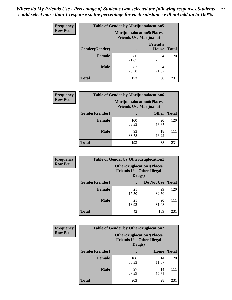| <b>Frequency</b> | <b>Table of Gender by Marijuanalocation5</b> |                                                                    |                          |              |
|------------------|----------------------------------------------|--------------------------------------------------------------------|--------------------------|--------------|
| <b>Row Pct</b>   |                                              | <b>Marijuanalocation5(Places</b><br><b>Friends Use Marijuana</b> ) |                          |              |
|                  | Gender(Gender)                               |                                                                    | <b>Friend's</b><br>House | <b>Total</b> |
|                  | <b>Female</b>                                | 86<br>71.67                                                        | 34<br>28.33              | 120          |
|                  | <b>Male</b>                                  | 87<br>78.38                                                        | 24<br>21.62              | 111          |
|                  | <b>Total</b>                                 | 173                                                                | 58                       | 231          |

| <b>Frequency</b> | <b>Table of Gender by Marijuanalocation6</b> |                                                                    |              |              |
|------------------|----------------------------------------------|--------------------------------------------------------------------|--------------|--------------|
| <b>Row Pct</b>   |                                              | <b>Marijuanalocation6(Places</b><br><b>Friends Use Marijuana</b> ) |              |              |
|                  | Gender(Gender)                               |                                                                    | <b>Other</b> | <b>Total</b> |
|                  | <b>Female</b>                                | 100<br>83.33                                                       | 20<br>16.67  | 120          |
|                  | <b>Male</b>                                  | 93<br>83.78                                                        | 18<br>16.22  | 111          |
|                  | <b>Total</b>                                 | 193                                                                | 38           | 231          |

| <b>Frequency</b> | <b>Table of Gender by Otherdruglocation1</b> |                                            |                                  |              |
|------------------|----------------------------------------------|--------------------------------------------|----------------------------------|--------------|
| <b>Row Pct</b>   |                                              | <b>Friends Use Other Illegal</b><br>Drugs) | <b>Otherdruglocation1(Places</b> |              |
|                  | Gender(Gender)                               |                                            | Do Not Use                       | <b>Total</b> |
|                  | <b>Female</b>                                | 21<br>17.50                                | 99<br>82.50                      | 120          |
|                  | <b>Male</b>                                  | 21<br>18.92                                | 90<br>81.08                      | 111          |
|                  | <b>Total</b>                                 | 42                                         | 189                              | 231          |

| Frequency      | <b>Table of Gender by Otherdruglocation2</b> |                                            |                                  |              |
|----------------|----------------------------------------------|--------------------------------------------|----------------------------------|--------------|
| <b>Row Pct</b> |                                              | <b>Friends Use Other Illegal</b><br>Drugs) | <b>Otherdruglocation2(Places</b> |              |
|                | Gender(Gender)                               |                                            | Home                             | <b>Total</b> |
|                | <b>Female</b>                                | 106<br>88.33                               | 14<br>11.67                      | 120          |
|                | <b>Male</b>                                  | 97<br>87.39                                | 14<br>12.61                      | 111          |
|                | <b>Total</b>                                 | 203                                        | 28                               | 231          |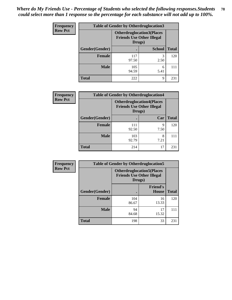| <b>Frequency</b> | <b>Table of Gender by Otherdruglocation3</b> |                                                                                |               |              |
|------------------|----------------------------------------------|--------------------------------------------------------------------------------|---------------|--------------|
| <b>Row Pct</b>   |                                              | <b>Otherdruglocation3(Places</b><br><b>Friends Use Other Illegal</b><br>Drugs) |               |              |
|                  | Gender(Gender)                               |                                                                                | <b>School</b> | <b>Total</b> |
|                  | <b>Female</b>                                | 117<br>97.50                                                                   | 3<br>2.50     | 120          |
|                  | <b>Male</b>                                  | 105<br>94.59                                                                   | 6<br>5.41     | 111          |
|                  | <b>Total</b>                                 | 222                                                                            | Q             | 231          |

| <b>Frequency</b> | <b>Table of Gender by Otherdruglocation4</b> |                                                                                |           |              |
|------------------|----------------------------------------------|--------------------------------------------------------------------------------|-----------|--------------|
| <b>Row Pct</b>   |                                              | <b>Otherdruglocation4(Places</b><br><b>Friends Use Other Illegal</b><br>Drugs) |           |              |
|                  | Gender(Gender)                               |                                                                                | Car       | <b>Total</b> |
|                  | <b>Female</b>                                | 111<br>92.50                                                                   | 9<br>7.50 | 120          |
|                  | <b>Male</b>                                  | 103<br>92.79                                                                   | 8<br>7.21 | 111          |
|                  | <b>Total</b>                                 | 214                                                                            | 17        | 231          |

| Frequency      | <b>Table of Gender by Otherdruglocation5</b>                                   |              |                                 |              |
|----------------|--------------------------------------------------------------------------------|--------------|---------------------------------|--------------|
| <b>Row Pct</b> | <b>Otherdruglocation5(Places</b><br><b>Friends Use Other Illegal</b><br>Drugs) |              |                                 |              |
|                | Gender(Gender)                                                                 |              | <b>Friend's</b><br><b>House</b> | <b>Total</b> |
|                | <b>Female</b>                                                                  | 104<br>86.67 | 16<br>13.33                     | 120          |
|                | <b>Male</b>                                                                    | 94<br>84.68  | 17<br>15.32                     | 111          |
|                | <b>Total</b>                                                                   | 198          | 33                              | 231          |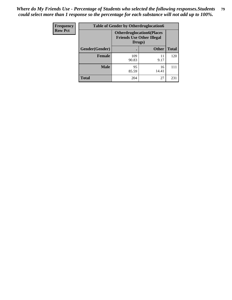| Frequency      | <b>Table of Gender by Otherdruglocation6</b> |                                            |                                  |              |
|----------------|----------------------------------------------|--------------------------------------------|----------------------------------|--------------|
| <b>Row Pct</b> |                                              | <b>Friends Use Other Illegal</b><br>Drugs) | <b>Otherdruglocation6(Places</b> |              |
|                | Gender(Gender)                               |                                            | <b>Other</b>                     | <b>Total</b> |
|                | <b>Female</b>                                | 109<br>90.83                               | 11<br>9.17                       | 120          |
|                | <b>Male</b>                                  | 95<br>85.59                                | 16<br>14.41                      | 111          |
|                | <b>Total</b>                                 | 204                                        | 27                               | 231          |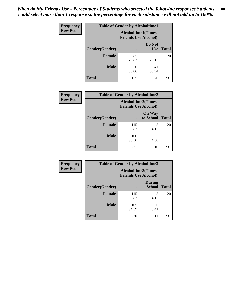| <b>Frequency</b> | <b>Table of Gender by Alcoholtime1</b> |                                                          |                      |              |
|------------------|----------------------------------------|----------------------------------------------------------|----------------------|--------------|
| <b>Row Pct</b>   |                                        | <b>Alcoholtime1(Times</b><br><b>Friends Use Alcohol)</b> |                      |              |
|                  | Gender(Gender)                         | $\bullet$                                                | Do Not<br><b>Use</b> | <b>Total</b> |
|                  | <b>Female</b>                          | 85<br>70.83                                              | 35<br>29.17          | 120          |
|                  | <b>Male</b>                            | 70<br>63.06                                              | 41<br>36.94          | 111          |
|                  | <b>Total</b>                           | 155                                                      | 76                   | 231          |

| Frequency      | <b>Table of Gender by Alcoholtime2</b> |                                                          |                            |              |
|----------------|----------------------------------------|----------------------------------------------------------|----------------------------|--------------|
| <b>Row Pct</b> |                                        | <b>Alcoholtime2(Times</b><br><b>Friends Use Alcohol)</b> |                            |              |
|                | Gender(Gender)                         |                                                          | <b>On Way</b><br>to School | <b>Total</b> |
|                | <b>Female</b>                          | 115<br>95.83                                             | 5<br>4.17                  | 120          |
|                | <b>Male</b>                            | 106<br>95.50                                             | 5<br>4.50                  | 111          |
|                | <b>Total</b>                           | 221                                                      | 10                         | 231          |

| <b>Frequency</b> | <b>Table of Gender by Alcoholtime3</b> |                                                          |                                |              |
|------------------|----------------------------------------|----------------------------------------------------------|--------------------------------|--------------|
| <b>Row Pct</b>   |                                        | <b>Alcoholtime3(Times</b><br><b>Friends Use Alcohol)</b> |                                |              |
|                  | Gender(Gender)                         |                                                          | <b>During</b><br><b>School</b> | <b>Total</b> |
|                  | Female                                 | 115<br>95.83                                             | 5<br>4.17                      | 120          |
|                  | <b>Male</b>                            | 105<br>94.59                                             | 6<br>5.41                      | 111          |
|                  | <b>Total</b>                           | 220                                                      | 11                             | 231          |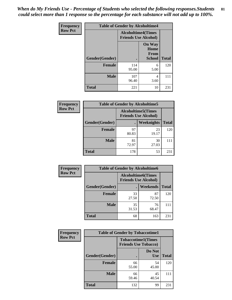*When do My Friends Use - Percentage of Students who selected the following responses.Students could select more than 1 response so the percentage for each substance will not add up to 100%.* **81**

| <b>Frequency</b> | <b>Table of Gender by Alcoholtime4</b> |                                                          |                                                |              |
|------------------|----------------------------------------|----------------------------------------------------------|------------------------------------------------|--------------|
| <b>Row Pct</b>   |                                        | <b>Alcoholtime4(Times</b><br><b>Friends Use Alcohol)</b> |                                                |              |
|                  | Gender(Gender)                         |                                                          | <b>On Way</b><br>Home<br>From<br><b>School</b> | <b>Total</b> |
|                  | <b>Female</b>                          | 114<br>95.00                                             | 6<br>5.00                                      | 120          |
|                  | <b>Male</b>                            | 107<br>96.40                                             | $\overline{4}$<br>3.60                         | 111          |
|                  | <b>Total</b>                           | 221                                                      | 10                                             | 231          |

| <b>Frequency</b> | <b>Table of Gender by Alcoholtime5</b> |                                                           |             |              |
|------------------|----------------------------------------|-----------------------------------------------------------|-------------|--------------|
| <b>Row Pct</b>   |                                        | <b>Alcoholtime5</b> (Times<br><b>Friends Use Alcohol)</b> |             |              |
|                  | Gender(Gender)                         |                                                           | Weeknights  | <b>Total</b> |
|                  | <b>Female</b>                          | 97<br>80.83                                               | 23<br>19.17 | 120          |
|                  | <b>Male</b>                            | 81<br>72.97                                               | 30<br>27.03 | 111          |
|                  | <b>Total</b>                           | 178                                                       | 53          | 231          |

| <b>Frequency</b> | <b>Table of Gender by Alcoholtime6</b> |             |                                                          |              |
|------------------|----------------------------------------|-------------|----------------------------------------------------------|--------------|
| <b>Row Pct</b>   |                                        |             | <b>Alcoholtime6(Times</b><br><b>Friends Use Alcohol)</b> |              |
|                  | Gender(Gender)                         |             | Weekends                                                 | <b>Total</b> |
|                  | Female                                 | 33<br>27.50 | 87<br>72.50                                              | 120          |
|                  | <b>Male</b>                            | 35<br>31.53 | 76<br>68.47                                              | 111          |
|                  | <b>Total</b>                           | 68          | 163                                                      | 231          |

| Frequency      | <b>Table of Gender by Tobaccotime1</b> |                                                          |                      |              |
|----------------|----------------------------------------|----------------------------------------------------------|----------------------|--------------|
| <b>Row Pct</b> |                                        | <b>Tobaccotime1(Times</b><br><b>Friends Use Tobacco)</b> |                      |              |
|                | Gender(Gender)                         |                                                          | Do Not<br><b>Use</b> | <b>Total</b> |
|                | Female                                 | 66<br>55.00                                              | 54<br>45.00          | 120          |
|                | <b>Male</b>                            | 66<br>59.46                                              | 45<br>40.54          | 111          |
|                | <b>Total</b>                           | 132                                                      | 99                   | 231          |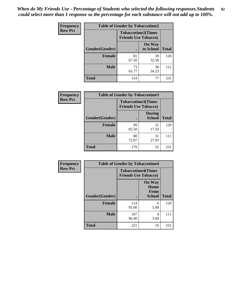| <b>Frequency</b> | <b>Table of Gender by Tobaccotime2</b> |                             |                            |              |
|------------------|----------------------------------------|-----------------------------|----------------------------|--------------|
| <b>Row Pct</b>   |                                        | <b>Friends Use Tobacco)</b> | <b>Tobaccotime2(Times</b>  |              |
|                  | Gender(Gender)                         |                             | <b>On Way</b><br>to School | <b>Total</b> |
|                  | <b>Female</b>                          | 81<br>67.50                 | 39<br>32.50                | 120          |
|                  | <b>Male</b>                            | 73<br>65.77                 | 38<br>34.23                | 111          |
|                  | <b>Total</b>                           | 154                         | 77                         | 231          |

| Frequency      | <b>Table of Gender by Tobaccotime3</b> |                                                          |                                |              |
|----------------|----------------------------------------|----------------------------------------------------------|--------------------------------|--------------|
| <b>Row Pct</b> |                                        | <b>Tobaccotime3(Times</b><br><b>Friends Use Tobacco)</b> |                                |              |
|                | Gender(Gender)                         |                                                          | <b>During</b><br><b>School</b> | <b>Total</b> |
|                | <b>Female</b>                          | 99<br>82.50                                              | 21<br>17.50                    | 120          |
|                | <b>Male</b>                            | 80<br>72.07                                              | 31<br>27.93                    |              |
|                | <b>Total</b>                           | 179                                                      | 52                             | 231          |

| <b>Frequency</b> | <b>Table of Gender by Tobaccotime4</b> |                                                          |                                                |              |
|------------------|----------------------------------------|----------------------------------------------------------|------------------------------------------------|--------------|
| <b>Row Pct</b>   |                                        | <b>Tobaccotime4(Times</b><br><b>Friends Use Tobacco)</b> |                                                |              |
|                  | Gender(Gender)                         |                                                          | <b>On Way</b><br>Home<br><b>From</b><br>School | <b>Total</b> |
|                  | <b>Female</b>                          | 114                                                      | 6                                              | 120          |
|                  |                                        | 95.00                                                    | 5.00                                           |              |
|                  | <b>Male</b>                            | 107<br>96.40                                             | 4<br>3.60                                      | 111          |
|                  | <b>Total</b>                           | 221                                                      | 10                                             | 231          |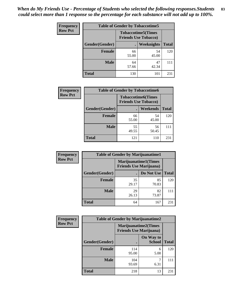| Frequency      | <b>Table of Gender by Tobaccotime5</b> |             |                                                          |              |
|----------------|----------------------------------------|-------------|----------------------------------------------------------|--------------|
| <b>Row Pct</b> |                                        |             | <b>Tobaccotime5(Times</b><br><b>Friends Use Tobacco)</b> |              |
|                | Gender(Gender)                         |             | Weeknights                                               | <b>Total</b> |
|                | <b>Female</b>                          | 66<br>55.00 | 54<br>45.00                                              | 120          |
|                | <b>Male</b>                            | 64<br>57.66 | 47<br>42.34                                              | 111          |
|                | <b>Total</b>                           | 130         | 101                                                      | 231          |

| <b>Frequency</b> | <b>Table of Gender by Tobaccotime6</b> |                                                          |                 |              |
|------------------|----------------------------------------|----------------------------------------------------------|-----------------|--------------|
| <b>Row Pct</b>   |                                        | <b>Tobaccotime6(Times</b><br><b>Friends Use Tobacco)</b> |                 |              |
|                  | Gender(Gender)                         |                                                          | <b>Weekends</b> | <b>Total</b> |
|                  | Female                                 | 66<br>55.00                                              | 54<br>45.00     | 120          |
|                  | <b>Male</b>                            | 55<br>49.55                                              | 56<br>50.45     | 111          |
|                  | <b>Total</b>                           | 121                                                      | 110             | 231          |

| Frequency      |                | <b>Table of Gender by Marijuanatime1</b>                      |             |              |
|----------------|----------------|---------------------------------------------------------------|-------------|--------------|
| <b>Row Pct</b> |                | <b>Marijuanatime1(Times</b><br><b>Friends Use Marijuana</b> ) |             |              |
|                | Gender(Gender) |                                                               | Do Not Use  | <b>Total</b> |
|                | <b>Female</b>  | 35<br>29.17                                                   | 85<br>70.83 | 120          |
|                | <b>Male</b>    | 29<br>26.13                                                   | 82<br>73.87 | 111          |
|                | <b>Total</b>   | 64                                                            | 167         | 231          |

| <b>Frequency</b> | <b>Table of Gender by Marijuanatime2</b> |                                                               |                            |              |
|------------------|------------------------------------------|---------------------------------------------------------------|----------------------------|--------------|
| <b>Row Pct</b>   |                                          | <b>Marijuanatime2(Times</b><br><b>Friends Use Marijuana</b> ) |                            |              |
|                  | Gender(Gender)                           |                                                               | On Way to<br><b>School</b> | <b>Total</b> |
|                  | <b>Female</b>                            | 114<br>95.00                                                  | 6<br>5.00                  | 120          |
|                  | <b>Male</b>                              | 104<br>93.69                                                  | 6.31                       | 111          |
|                  | <b>Total</b>                             | 218                                                           | 13                         | 231          |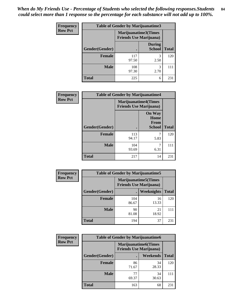*When do My Friends Use - Percentage of Students who selected the following responses.Students could select more than 1 response so the percentage for each substance will not add up to 100%.* **84**

| <b>Frequency</b> | <b>Table of Gender by Marijuanatime3</b> |                                                        |                                |              |
|------------------|------------------------------------------|--------------------------------------------------------|--------------------------------|--------------|
| <b>Row Pct</b>   |                                          | Marijuanatime3(Times<br><b>Friends Use Marijuana</b> ) |                                |              |
|                  | Gender(Gender)                           |                                                        | <b>During</b><br><b>School</b> | <b>Total</b> |
|                  | <b>Female</b>                            | 117<br>97.50                                           | 3<br>2.50                      | 120          |
|                  | <b>Male</b>                              | 108<br>97.30                                           | 3<br>2.70                      | 111          |
|                  | <b>Total</b>                             | 225                                                    | 6                              | 231          |

| Frequency      | <b>Table of Gender by Marijuanatime4</b> |                                                               |                                                |              |
|----------------|------------------------------------------|---------------------------------------------------------------|------------------------------------------------|--------------|
| <b>Row Pct</b> |                                          | <b>Marijuanatime4(Times</b><br><b>Friends Use Marijuana</b> ) |                                                |              |
|                | Gender(Gender)                           |                                                               | <b>On Way</b><br>Home<br>From<br><b>School</b> | <b>Total</b> |
|                | <b>Female</b>                            | 113<br>94.17                                                  | 7<br>5.83                                      | 120          |
|                | <b>Male</b>                              | 104<br>93.69                                                  | 7<br>6.31                                      | 111          |
|                | <b>Total</b>                             | 217                                                           | 14                                             | 231          |

| Frequency      | <b>Table of Gender by Marijuanatime5</b> |                                                                |             |              |
|----------------|------------------------------------------|----------------------------------------------------------------|-------------|--------------|
| <b>Row Pct</b> |                                          | <b>Marijuanatime5</b> (Times<br><b>Friends Use Marijuana</b> ) |             |              |
|                | Gender(Gender)                           | ٠                                                              | Weeknights  | <b>Total</b> |
|                | <b>Female</b>                            | 104<br>86.67                                                   | 16<br>13.33 | 120          |
|                | <b>Male</b>                              | 90<br>81.08                                                    | 21<br>18.92 | 111          |
|                | <b>Total</b>                             | 194                                                            | 37          | 231          |

| Frequency      | <b>Table of Gender by Marijuanatime6</b> |                                                               |             |              |  |
|----------------|------------------------------------------|---------------------------------------------------------------|-------------|--------------|--|
| <b>Row Pct</b> |                                          | <b>Marijuanatime6(Times</b><br><b>Friends Use Marijuana</b> ) |             |              |  |
|                | Gender(Gender)                           |                                                               | Weekends    | <b>Total</b> |  |
|                | <b>Female</b>                            | 86<br>71.67                                                   | 34<br>28.33 | 120          |  |
|                | <b>Male</b>                              | 77<br>69.37                                                   | 34<br>30.63 | 111          |  |
|                | <b>Total</b>                             | 163                                                           | 68          | 231          |  |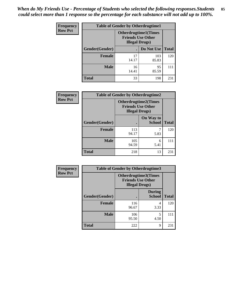| <b>Frequency</b> | <b>Table of Gender by Otherdrugtime1</b> |                                                                                    |              |              |
|------------------|------------------------------------------|------------------------------------------------------------------------------------|--------------|--------------|
| <b>Row Pct</b>   |                                          | <b>Otherdrugtime1</b> (Times<br><b>Friends Use Other</b><br><b>Illegal Drugs</b> ) |              |              |
|                  | Gender(Gender)                           |                                                                                    | Do Not Use   | <b>Total</b> |
|                  | <b>Female</b>                            | 17<br>14.17                                                                        | 103<br>85.83 | 120          |
|                  | <b>Male</b>                              | 16<br>14.41                                                                        | 95<br>85.59  | 111          |
|                  | <b>Total</b>                             | 33                                                                                 | 198          | 231          |

| Frequency      | <b>Table of Gender by Otherdrugtime2</b> |                        |                                                         |              |
|----------------|------------------------------------------|------------------------|---------------------------------------------------------|--------------|
| <b>Row Pct</b> |                                          | <b>Illegal Drugs</b> ) | <b>Otherdrugtime2(Times</b><br><b>Friends Use Other</b> |              |
|                | Gender(Gender)                           |                        | On Way to<br><b>School</b>                              | <b>Total</b> |
|                | <b>Female</b>                            | 113<br>94.17           | 5.83                                                    | 120          |
|                | <b>Male</b>                              | 105<br>94.59           | 6<br>5.41                                               | 111          |
|                | <b>Total</b>                             | 218                    | 13                                                      | 231          |

| Frequency      | <b>Table of Gender by Otherdrugtime3</b> |                        |                                                         |              |
|----------------|------------------------------------------|------------------------|---------------------------------------------------------|--------------|
| <b>Row Pct</b> |                                          | <b>Illegal Drugs</b> ) | <b>Otherdrugtime3(Times</b><br><b>Friends Use Other</b> |              |
|                | Gender(Gender)                           |                        | <b>During</b><br><b>School</b>                          | <b>Total</b> |
|                | <b>Female</b>                            | 116<br>96.67           | 4<br>3.33                                               | 120          |
|                | <b>Male</b>                              | 106<br>95.50           | 5<br>4.50                                               | 111          |
|                | <b>Total</b>                             | 222                    | 9                                                       | 231          |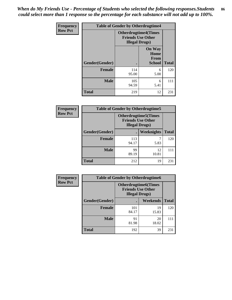*When do My Friends Use - Percentage of Students who selected the following responses.Students could select more than 1 response so the percentage for each substance will not add up to 100%.* **86**

| <b>Frequency</b> | <b>Table of Gender by Otherdrugtime4</b> |                                                    |                                                |              |
|------------------|------------------------------------------|----------------------------------------------------|------------------------------------------------|--------------|
| <b>Row Pct</b>   |                                          | <b>Friends Use Other</b><br><b>Illegal Drugs</b> ) | <b>Otherdrugtime4(Times</b>                    |              |
|                  | Gender(Gender)                           |                                                    | <b>On Way</b><br>Home<br>From<br><b>School</b> | <b>Total</b> |
|                  | <b>Female</b>                            | 114<br>95.00                                       | 6<br>5.00                                      | 120          |
|                  | <b>Male</b>                              | 105<br>94.59                                       | 6<br>5.41                                      | 111          |
|                  | <b>Total</b>                             | 219                                                | 12                                             | 231          |

| Frequency      | <b>Table of Gender by Otherdrugtime5</b> |                                                                                    |             |              |
|----------------|------------------------------------------|------------------------------------------------------------------------------------|-------------|--------------|
| <b>Row Pct</b> |                                          | <b>Otherdrugtime5</b> (Times<br><b>Friends Use Other</b><br><b>Illegal Drugs</b> ) |             |              |
|                | Gender(Gender)                           |                                                                                    | Weeknights  | <b>Total</b> |
|                | <b>Female</b>                            | 113<br>94.17                                                                       | 5.83        | 120          |
|                | <b>Male</b>                              | 99<br>89.19                                                                        | 12<br>10.81 | 111          |
|                | <b>Total</b>                             | 212                                                                                | 19          | 231          |

| <b>Frequency</b> | <b>Table of Gender by Otherdrugtime6</b> |                                                                                   |             |              |
|------------------|------------------------------------------|-----------------------------------------------------------------------------------|-------------|--------------|
| <b>Row Pct</b>   |                                          | <b>Otherdrugtime6(Times</b><br><b>Friends Use Other</b><br><b>Illegal Drugs</b> ) |             |              |
|                  | Gender(Gender)                           |                                                                                   | Weekends    | <b>Total</b> |
|                  | <b>Female</b>                            | 101<br>84.17                                                                      | 19<br>15.83 | 120          |
|                  | <b>Male</b>                              | 91<br>81.98                                                                       | 20<br>18.02 | 111          |
|                  | <b>Total</b>                             | 192                                                                               | 39          | 231          |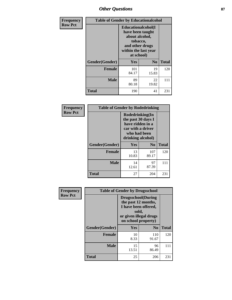# *Other Questions* **87**

| <b>Frequency</b> | <b>Table of Gender by Educationalcohol</b> |                                                                                                                                       |                |              |
|------------------|--------------------------------------------|---------------------------------------------------------------------------------------------------------------------------------------|----------------|--------------|
| <b>Row Pct</b>   |                                            | <b>Educationalcohol</b> (I<br>have been taught<br>about alcohol,<br>tobacco,<br>and other drugs<br>within the last year<br>at school) |                |              |
|                  | Gender(Gender)                             | <b>Yes</b>                                                                                                                            | N <sub>0</sub> | <b>Total</b> |
|                  | <b>Female</b>                              | 101<br>84.17                                                                                                                          | 19<br>15.83    | 120          |
|                  | <b>Male</b>                                | 89<br>80.18                                                                                                                           | 22<br>19.82    | 111          |
|                  | <b>Total</b>                               | 190                                                                                                                                   | 41             | 231          |

| Frequency      | <b>Table of Gender by Rodedrinking</b> |                                                                                                                     |                |              |  |
|----------------|----------------------------------------|---------------------------------------------------------------------------------------------------------------------|----------------|--------------|--|
| <b>Row Pct</b> |                                        | Rodedrinking(In<br>the past 30 days I<br>have ridden in a<br>car with a driver<br>who had been<br>drinking alcohol) |                |              |  |
|                | Gender(Gender)                         | Yes                                                                                                                 | N <sub>0</sub> | <b>Total</b> |  |
|                | <b>Female</b>                          | 13<br>10.83                                                                                                         | 107<br>89.17   | 120          |  |
|                | <b>Male</b>                            | 14<br>12.61                                                                                                         | 97<br>87.39    | 111          |  |
|                | <b>Total</b>                           | 27                                                                                                                  | 204            | 231          |  |

| Frequency      | <b>Table of Gender by Drugsschool</b> |                                                                                                                                     |                |              |  |
|----------------|---------------------------------------|-------------------------------------------------------------------------------------------------------------------------------------|----------------|--------------|--|
| <b>Row Pct</b> |                                       | <b>Drugsschool</b> (During<br>the past 12 months,<br>I have been offered,<br>sold,<br>or given illegal drugs<br>on school property) |                |              |  |
|                | Gender(Gender)                        | <b>Yes</b>                                                                                                                          | N <sub>0</sub> | <b>Total</b> |  |
|                | <b>Female</b>                         | 10<br>8.33                                                                                                                          | 110<br>91.67   | 120          |  |
|                | <b>Male</b>                           | 15<br>13.51                                                                                                                         | 96<br>86.49    | 111          |  |
|                | <b>Total</b>                          | 25                                                                                                                                  | 206            | 231          |  |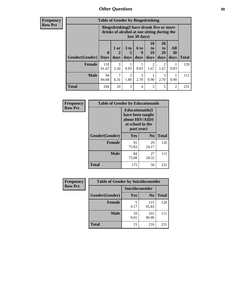# *Other Questions* **88**

**Frequency Row Pct**

| <b>Table of Gender by Bingedrinking</b> |                         |                                                                                                         |                   |                   |                        |                               |                   |              |
|-----------------------------------------|-------------------------|---------------------------------------------------------------------------------------------------------|-------------------|-------------------|------------------------|-------------------------------|-------------------|--------------|
|                                         |                         | Bingedrinking(I have drunk five or more<br>drinks of alcohol at one sitting during the<br>last 30 days) |                   |                   |                        |                               |                   |              |
| <b>Gender</b> (Gender)                  | $\bf{0}$<br><b>Days</b> | $1$ or<br>days                                                                                          | 3 to<br>5<br>days | 6 to<br>9<br>days | 10<br>to<br>19<br>days | <b>20</b><br>to<br>29<br>days | All<br>30<br>days | <b>Total</b> |
| <b>Female</b>                           | 110<br>91.67            | 3<br>2.50                                                                                               | 0.83              | 0.83              | $\overline{2}$<br>1.67 | 2<br>1.67                     | 0.83              | 120          |
| <b>Male</b>                             | 94                      |                                                                                                         | $\overline{2}$    | 3                 |                        | 3                             |                   | 111          |
|                                         | 84.68                   | 6.31                                                                                                    | 1.80              | 2.70              | 0.90                   | 2.70                          | 0.90              |              |

| Frequency      | <b>Table of Gender by Educationaids</b> |                                                                                                 |                |              |  |  |
|----------------|-----------------------------------------|-------------------------------------------------------------------------------------------------|----------------|--------------|--|--|
| <b>Row Pct</b> |                                         | <b>Educationaids</b> (I<br>have been taught<br>about HIV/AIDS<br>at school in the<br>past year) |                |              |  |  |
|                | Gender(Gender)                          | Yes                                                                                             | N <sub>0</sub> | <b>Total</b> |  |  |
|                | <b>Female</b>                           | 91<br>75.83                                                                                     | 29<br>24.17    | 120          |  |  |
|                | <b>Male</b>                             | 84<br>75.68                                                                                     | 27<br>24.32    | 111          |  |  |
|                | <b>Total</b>                            | 175                                                                                             | 56             | 231          |  |  |

| Frequency      | <b>Table of Gender by Suicideconsider</b> |                 |                |              |  |
|----------------|-------------------------------------------|-----------------|----------------|--------------|--|
| <b>Row Pct</b> |                                           | Suicideconsider |                |              |  |
|                | Gender(Gender)                            | Yes             | N <sub>0</sub> | <b>Total</b> |  |
|                | <b>Female</b>                             | 4.17            | 115<br>95.83   | 120          |  |
|                | <b>Male</b>                               | 10<br>9.01      | 101<br>90.99   | 111          |  |
|                | <b>Total</b>                              | 15              | 216            | 231          |  |